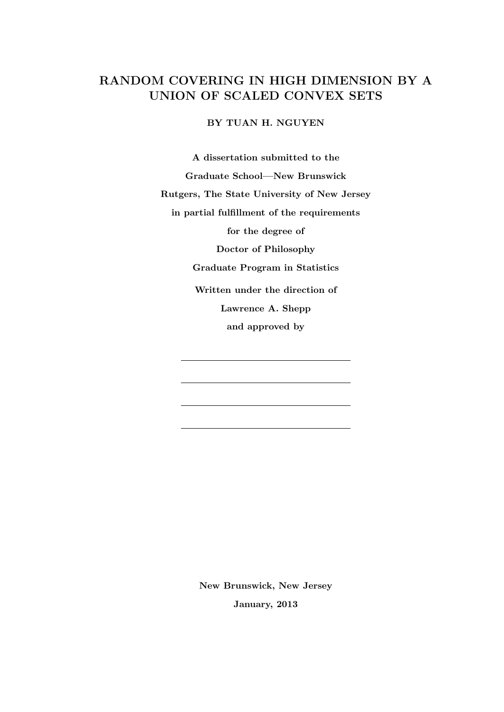# RANDOM COVERING IN HIGH DIMENSION BY A UNION OF SCALED CONVEX SETS

BY TUAN H. NGUYEN

A dissertation submitted to the Graduate School—New Brunswick Rutgers, The State University of New Jersey in partial fulfillment of the requirements for the degree of Doctor of Philosophy Graduate Program in Statistics Written under the direction of Lawrence A. Shepp and approved by

> New Brunswick, New Jersey January, 2013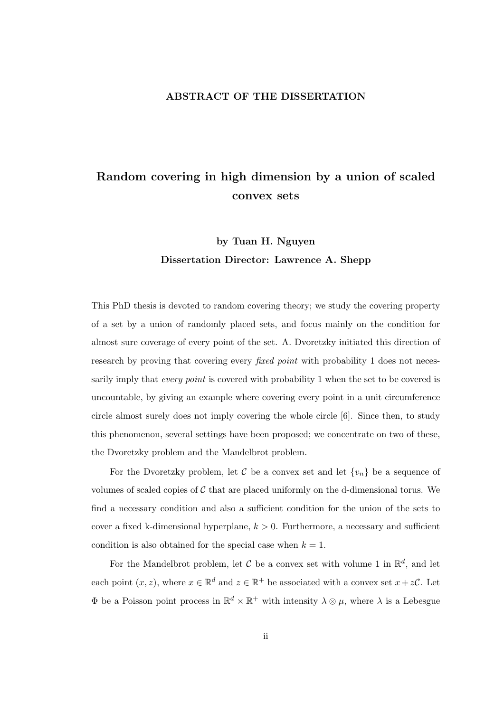#### ABSTRACT OF THE DISSERTATION

# Random covering in high dimension by a union of scaled convex sets

# by Tuan H. Nguyen Dissertation Director: Lawrence A. Shepp

This PhD thesis is devoted to random covering theory; we study the covering property of a set by a union of randomly placed sets, and focus mainly on the condition for almost sure coverage of every point of the set. A. Dvoretzky initiated this direction of research by proving that covering every *fixed point* with probability 1 does not necessarily imply that *every point* is covered with probability 1 when the set to be covered is uncountable, by giving an example where covering every point in a unit circumference circle almost surely does not imply covering the whole circle [6]. Since then, to study this phenomenon, several settings have been proposed; we concentrate on two of these, the Dvoretzky problem and the Mandelbrot problem.

For the Dvoretzky problem, let C be a convex set and let  $\{v_n\}$  be a sequence of volumes of scaled copies of  $C$  that are placed uniformly on the d-dimensional torus. We find a necessary condition and also a sufficient condition for the union of the sets to cover a fixed k-dimensional hyperplane,  $k > 0$ . Furthermore, a necessary and sufficient condition is also obtained for the special case when  $k = 1$ .

For the Mandelbrot problem, let C be a convex set with volume 1 in  $\mathbb{R}^d$ , and let each point  $(x, z)$ , where  $x \in \mathbb{R}^d$  and  $z \in \mathbb{R}^+$  be associated with a convex set  $x + z\mathcal{C}$ . Let  $\Phi$  be a Poisson point process in  $\mathbb{R}^d \times \mathbb{R}^+$  with intensity  $\lambda \otimes \mu$ , where  $\lambda$  is a Lebesgue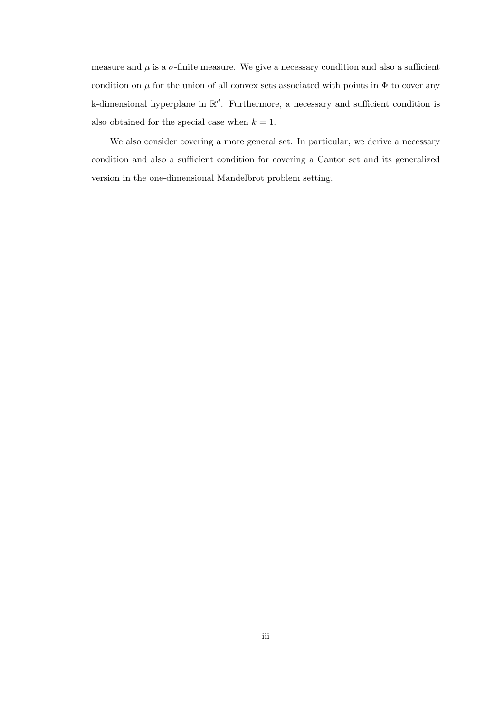measure and  $\mu$  is a  $\sigma$ -finite measure. We give a necessary condition and also a sufficient condition on  $\mu$  for the union of all convex sets associated with points in  $\Phi$  to cover any k-dimensional hyperplane in  $\mathbb{R}^d$ . Furthermore, a necessary and sufficient condition is also obtained for the special case when  $k = 1$ .

We also consider covering a more general set. In particular, we derive a necessary condition and also a sufficient condition for covering a Cantor set and its generalized version in the one-dimensional Mandelbrot problem setting.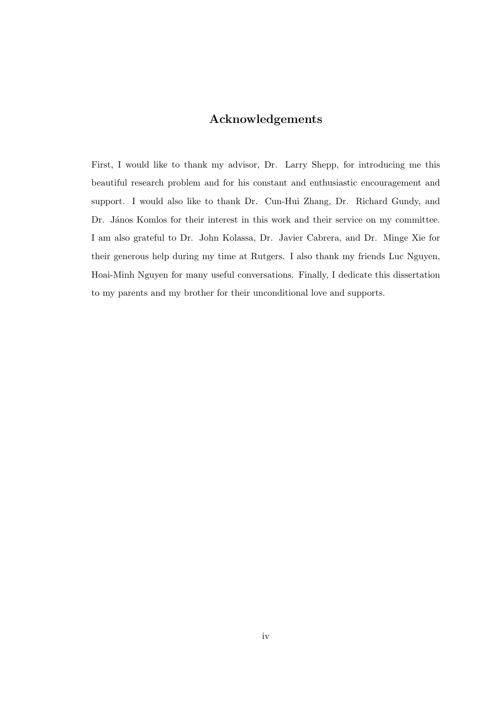## Acknowledgements

First, I would like to thank my advisor, Dr. Larry Shepp, for introducing me this beautiful research problem and for his constant and enthusiastic encouragement and support. I would also like to thank Dr. Cun-Hui Zhang, Dr. Richard Gundy, and Dr. János Komlos for their interest in this work and their service on my committee. I am also grateful to Dr. John Kolassa, Dr. Javier Cabrera, and Dr. Minge Xie for their generous help during my time at Rutgers. I also thank my friends Luc Nguyen, Hoai-Minh Nguyen for many useful conversations. Finally, I dedicate this dissertation to my parents and my brother for their unconditional love and supports.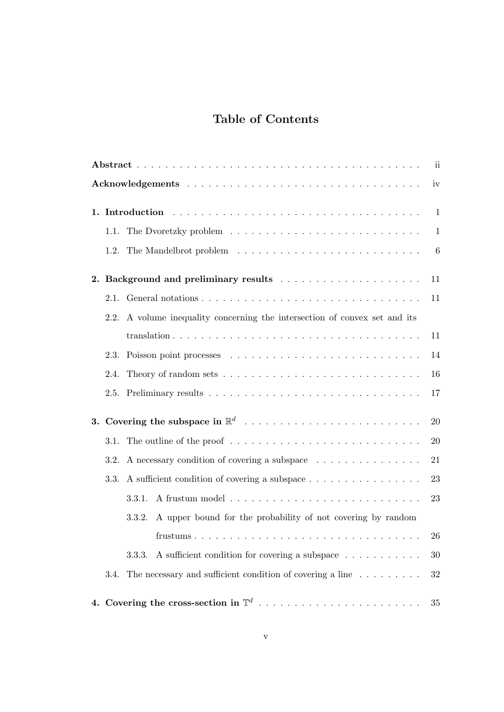# Table of Contents

| ii |      |                                                                                             |              |  |  |
|----|------|---------------------------------------------------------------------------------------------|--------------|--|--|
|    | iv   |                                                                                             |              |  |  |
|    |      |                                                                                             | $\mathbf{1}$ |  |  |
|    | 1.1. |                                                                                             | 1            |  |  |
|    |      |                                                                                             | 6            |  |  |
| 2. |      |                                                                                             | 11           |  |  |
|    |      |                                                                                             | 11           |  |  |
|    | 2.2. | A volume inequality concerning the intersection of convex set and its                       |              |  |  |
|    |      |                                                                                             | 11           |  |  |
|    | 2.3. |                                                                                             | 14           |  |  |
|    | 2.4. |                                                                                             | 16           |  |  |
|    | 2.5. |                                                                                             | 17           |  |  |
|    |      |                                                                                             | 20           |  |  |
|    |      | 3.1. The outline of the proof $\dots \dots \dots \dots \dots \dots \dots \dots \dots \dots$ | 20           |  |  |
|    | 3.2. | A necessary condition of covering a subspace                                                | 21           |  |  |
|    | 3.3. | A sufficient condition of covering a subspace                                               | 23           |  |  |
|    |      | 3.3.1.                                                                                      | 23           |  |  |
|    |      | A upper bound for the probability of not covering by random<br>3.3.2.                       |              |  |  |
|    |      |                                                                                             | 26           |  |  |
|    |      | A sufficient condition for covering a subspace<br>3.3.3.                                    | 30           |  |  |
|    | 3.4. | The necessary and sufficient condition of covering a line $\dots \dots \dots$               | 32           |  |  |
|    |      | 4. Covering the cross-section in $\mathbb{T}^d$                                             | 35           |  |  |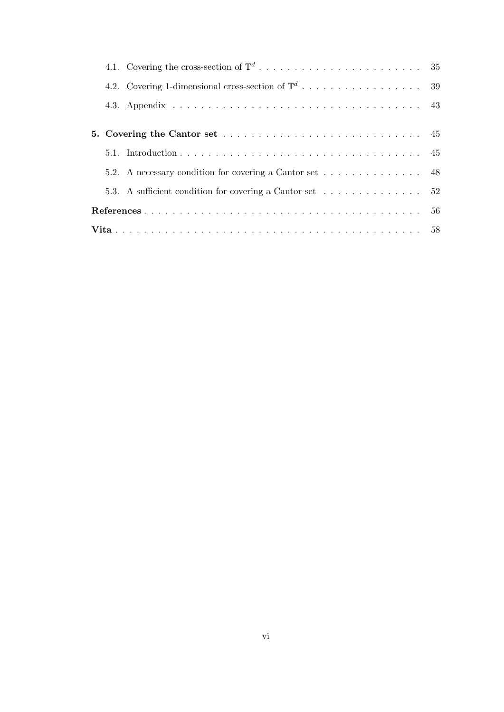|  |  | 5.2. A necessary condition for covering a Cantor set 48                                        |  |  |
|--|--|------------------------------------------------------------------------------------------------|--|--|
|  |  | 5.3. A sufficient condition for covering a Cantor set $\dots \dots \dots \dots \dots \dots$ 52 |  |  |
|  |  |                                                                                                |  |  |
|  |  |                                                                                                |  |  |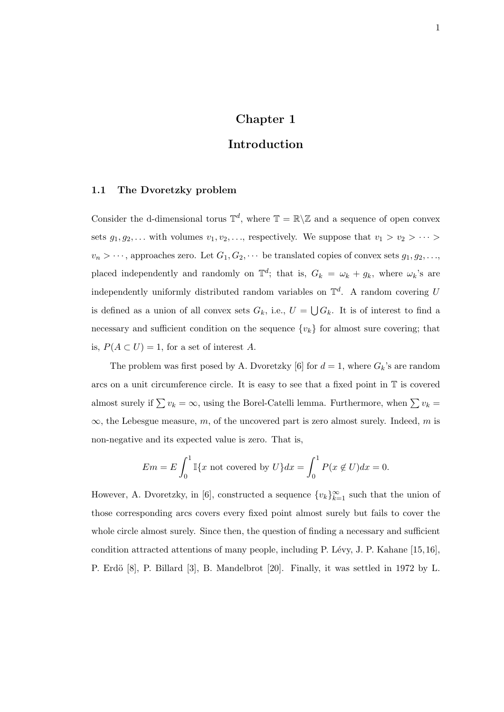## Chapter 1

## Introduction

### 1.1 The Dvoretzky problem

Consider the d-dimensional torus  $\mathbb{T}^d$ , where  $\mathbb{T} = \mathbb{R} \setminus \mathbb{Z}$  and a sequence of open convex sets  $g_1, g_2, \ldots$  with volumes  $v_1, v_2, \ldots$ , respectively. We suppose that  $v_1 > v_2 > \cdots >$  $v_n > \cdots$ , approaches zero. Let  $G_1, G_2, \cdots$  be translated copies of convex sets  $g_1, g_2, \ldots$ , placed independently and randomly on  $\mathbb{T}^d$ ; that is,  $G_k = \omega_k + g_k$ , where  $\omega_k$ 's are independently uniformly distributed random variables on  $\mathbb{T}^d$ . A random covering U is defined as a union of all convex sets  $G_k$ , i.e.,  $U = \bigcup G_k$ . It is of interest to find a necessary and sufficient condition on the sequence  $\{v_k\}$  for almost sure covering; that is,  $P(A \subset U) = 1$ , for a set of interest A.

The problem was first posed by A. Dvoretzky [6] for  $d = 1$ , where  $G_k$ 's are random arcs on a unit circumference circle. It is easy to see that a fixed point in T is covered almost surely if  $\sum v_k = \infty$ , using the Borel-Catelli lemma. Furthermore, when  $\sum v_k =$  $\infty$ , the Lebesgue measure, m, of the uncovered part is zero almost surely. Indeed, m is non-negative and its expected value is zero. That is,

$$
Em = E \int_0^1 \mathbb{I}\{x \text{ not covered by } U\} dx = \int_0^1 P(x \notin U) dx = 0.
$$

However, A. Dvoretzky, in [6], constructed a sequence  $\{v_k\}_{k=1}^{\infty}$  such that the union of those corresponding arcs covers every fixed point almost surely but fails to cover the whole circle almost surely. Since then, the question of finding a necessary and sufficient condition attracted attentions of many people, including P. Lévy, J. P. Kahane [15, 16], P. Erdö [8], P. Billard [3], B. Mandelbrot [20]. Finally, it was settled in 1972 by L.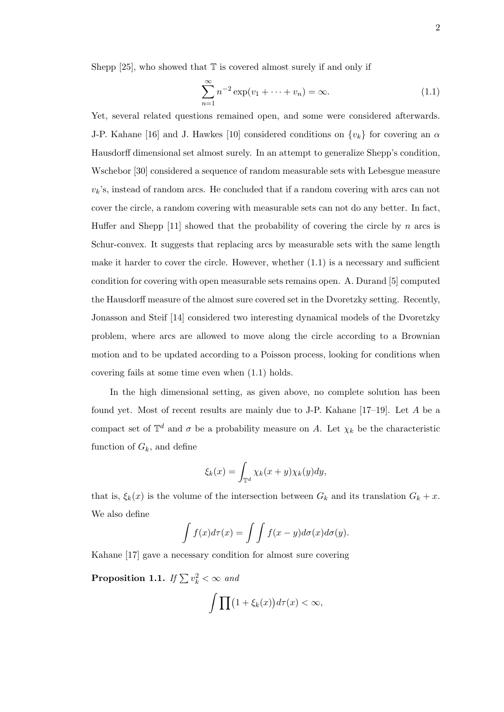Shepp [25], who showed that  $\mathbb T$  is covered almost surely if and only if

$$
\sum_{n=1}^{\infty} n^{-2} \exp(v_1 + \dots + v_n) = \infty.
$$
 (1.1)

Yet, several related questions remained open, and some were considered afterwards. J-P. Kahane [16] and J. Hawkes [10] considered conditions on  $\{v_k\}$  for covering an  $\alpha$ Hausdorff dimensional set almost surely. In an attempt to generalize Shepp's condition, Wschebor [30] considered a sequence of random measurable sets with Lebesgue measure  $v_k$ 's, instead of random arcs. He concluded that if a random covering with arcs can not cover the circle, a random covering with measurable sets can not do any better. In fact, Huffer and Shepp [11] showed that the probability of covering the circle by  $n$  arcs is Schur-convex. It suggests that replacing arcs by measurable sets with the same length make it harder to cover the circle. However, whether  $(1.1)$  is a necessary and sufficient condition for covering with open measurable sets remains open. A. Durand [5] computed the Hausdorff measure of the almost sure covered set in the Dvoretzky setting. Recently, Jonasson and Steif [14] considered two interesting dynamical models of the Dvoretzky problem, where arcs are allowed to move along the circle according to a Brownian motion and to be updated according to a Poisson process, looking for conditions when covering fails at some time even when (1.1) holds.

In the high dimensional setting, as given above, no complete solution has been found yet. Most of recent results are mainly due to J-P. Kahane [17–19]. Let A be a compact set of  $\mathbb{T}^d$  and  $\sigma$  be a probability measure on A. Let  $\chi_k$  be the characteristic function of  $G_k$ , and define

$$
\xi_k(x) = \int_{\mathbb{T}^d} \chi_k(x+y) \chi_k(y) dy,
$$

that is,  $\xi_k(x)$  is the volume of the intersection between  $G_k$  and its translation  $G_k + x$ . We also define

$$
\int f(x)d\tau(x) = \int \int f(x-y)d\sigma(x)d\sigma(y).
$$

Kahane [17] gave a necessary condition for almost sure covering

**Proposition 1.1.** If  $\sum v_k^2 < \infty$  and

$$
\int \prod (1 + \xi_k(x)) d\tau(x) < \infty,
$$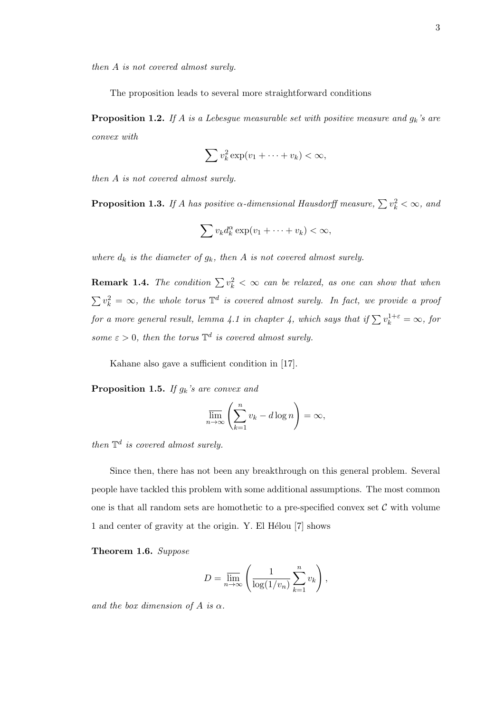then A is not covered almost surely.

The proposition leads to several more straightforward conditions

**Proposition 1.2.** If A is a Lebesgue measurable set with positive measure and  $g_k$ 's are convex with

$$
\sum v_k^2 \exp(v_1 + \dots + v_k) < \infty,
$$

then A is not covered almost surely.

**Proposition 1.3.** If A has positive  $\alpha$ -dimensional Hausdorff measure,  $\sum v_k^2 < \infty$ , and

$$
\sum v_k d_k^{\alpha} \exp(v_1 + \dots + v_k) < \infty,
$$

where  $d_k$  is the diameter of  $g_k$ , then A is not covered almost surely.

**Remark 1.4.** The condition  $\sum v_k^2 < \infty$  can be relaxed, as one can show that when  $\sum v_k^2 = \infty$ , the whole torus  $\mathbb{T}^d$  is covered almost surely. In fact, we provide a proof for a more general result, lemma 4.1 in chapter 4, which says that if  $\sum v_k^{1+\varepsilon} = \infty$ , for some  $\varepsilon > 0$ , then the torus  $\mathbb{T}^d$  is covered almost surely.

Kahane also gave a sufficient condition in [17].

**Proposition 1.5.** If  $g_k$ 's are convex and

$$
\overline{\lim}_{n \to \infty} \left( \sum_{k=1}^{n} v_k - d \log n \right) = \infty,
$$

then  $\mathbb{T}^d$  is covered almost surely.

Since then, there has not been any breakthrough on this general problem. Several people have tackled this problem with some additional assumptions. The most common one is that all random sets are homothetic to a pre-specified convex set  $\mathcal C$  with volume 1 and center of gravity at the origin. Y. El Hélou [7] shows

Theorem 1.6. Suppose

$$
D = \overline{\lim}_{n \to \infty} \left( \frac{1}{\log(1/v_n)} \sum_{k=1}^n v_k \right),\,
$$

and the box dimension of A is  $\alpha$ .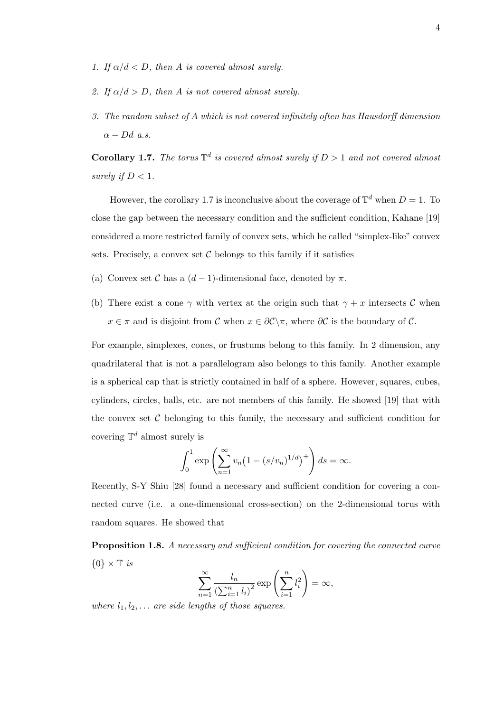- 1. If  $\alpha/d < D$ , then A is covered almost surely.
- 2. If  $\alpha/d > D$ , then A is not covered almost surely.
- 3. The random subset of A which is not covered infinitely often has Hausdorff dimension  $\alpha - Dd$  a.s.

**Corollary 1.7.** The torus  $\mathbb{T}^d$  is covered almost surely if  $D > 1$  and not covered almost surely if  $D < 1$ .

However, the corollary 1.7 is inconclusive about the coverage of  $\mathbb{T}^d$  when  $D = 1$ . To close the gap between the necessary condition and the sufficient condition, Kahane [19] considered a more restricted family of convex sets, which he called "simplex-like" convex sets. Precisely, a convex set  $\mathcal C$  belongs to this family if it satisfies

- (a) Convex set C has a  $(d-1)$ -dimensional face, denoted by  $\pi$ .
- (b) There exist a cone  $\gamma$  with vertex at the origin such that  $\gamma + x$  intersects C when  $x \in \pi$  and is disjoint from C when  $x \in \partial C \setminus \pi$ , where  $\partial C$  is the boundary of C.

For example, simplexes, cones, or frustums belong to this family. In 2 dimension, any quadrilateral that is not a parallelogram also belongs to this family. Another example is a spherical cap that is strictly contained in half of a sphere. However, squares, cubes, cylinders, circles, balls, etc. are not members of this family. He showed [19] that with the convex set  $\mathcal C$  belonging to this family, the necessary and sufficient condition for covering  $\mathbb{T}^d$  almost surely is

$$
\int_0^1 \exp\left(\sum_{n=1}^\infty v_n \left(1 - \left(s/v_n\right)^{1/d}\right)^+\right) ds = \infty.
$$

Recently, S-Y Shiu [28] found a necessary and sufficient condition for covering a connected curve (i.e. a one-dimensional cross-section) on the 2-dimensional torus with random squares. He showed that

Proposition 1.8. A necessary and sufficient condition for covering the connected curve  $\{0\} \times \mathbb{T}$  is

$$
\sum_{n=1}^{\infty} \frac{l_n}{\left(\sum_{i=1}^n l_i\right)^2} \exp\left(\sum_{i=1}^n l_i^2\right) = \infty,
$$

where  $l_1, l_2, \ldots$  are side lengths of those squares.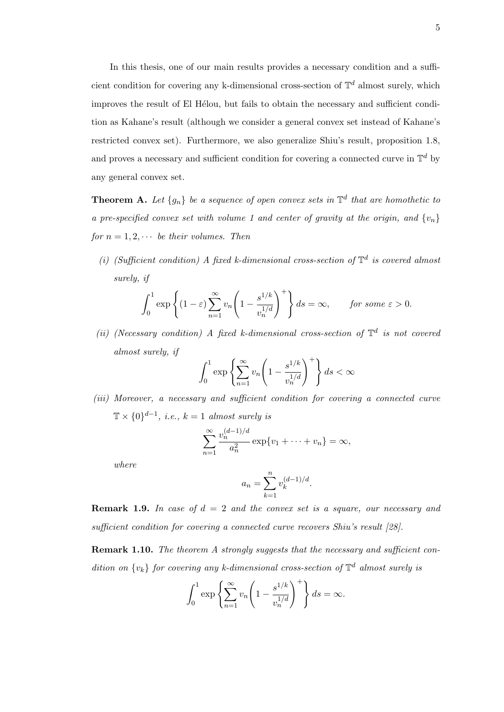In this thesis, one of our main results provides a necessary condition and a sufficient condition for covering any k-dimensional cross-section of  $\mathbb{T}^d$  almost surely, which improves the result of El Hélou, but fails to obtain the necessary and sufficient condition as Kahane's result (although we consider a general convex set instead of Kahane's restricted convex set). Furthermore, we also generalize Shiu's result, proposition 1.8, and proves a necessary and sufficient condition for covering a connected curve in  $\mathbb{T}^d$  by any general convex set.

**Theorem A.** Let  $\{g_n\}$  be a sequence of open convex sets in  $\mathbb{T}^d$  that are homothetic to a pre-specified convex set with volume 1 and center of gravity at the origin, and  $\{v_n\}$ for  $n = 1, 2, \cdots$  be their volumes. Then

(i) (Sufficient condition) A fixed k-dimensional cross-section of  $\mathbb{T}^d$  is covered almost surely, if

$$
\int_0^1 \exp\left\{ (1-\varepsilon) \sum_{n=1}^\infty v_n \left( 1 - \frac{s^{1/k}}{v_n^{1/d}} \right)^+ \right\} ds = \infty, \quad \text{for some } \varepsilon > 0.
$$

(ii) (Necessary condition) A fixed k-dimensional cross-section of  $\mathbb{T}^d$  is not covered almost surely, if

$$
\int_0^1 \exp\left\{\sum_{n=1}^\infty v_n \left(1 - \frac{s^{1/k}}{v_n^{1/d}}\right)^+\right\} ds < \infty
$$

(iii) Moreover, a necessary and sufficient condition for covering a connected curve  $\mathbb{T} \times \{0\}^{d-1}$ , *i.e.*,  $k = 1$  almost surely is

$$
\sum_{n=1}^{\infty} \frac{v_n^{(d-1)/d}}{a_n^2} \exp\{v_1 + \dots + v_n\} = \infty,
$$

where

$$
a_n = \sum_{k=1}^n v_k^{(d-1)/d}.
$$

**Remark 1.9.** In case of  $d = 2$  and the convex set is a square, our necessary and sufficient condition for covering a connected curve recovers Shiu's result [28].

Remark 1.10. The theorem A strongly suggests that the necessary and sufficient condition on  $\{v_k\}$  for covering any k-dimensional cross-section of  $\mathbb{T}^d$  almost surely is

$$
\int_0^1 \exp\left\{\sum_{n=1}^\infty v_n \left(1 - \frac{s^{1/k}}{v_n^{1/d}}\right)^+\right\} ds = \infty.
$$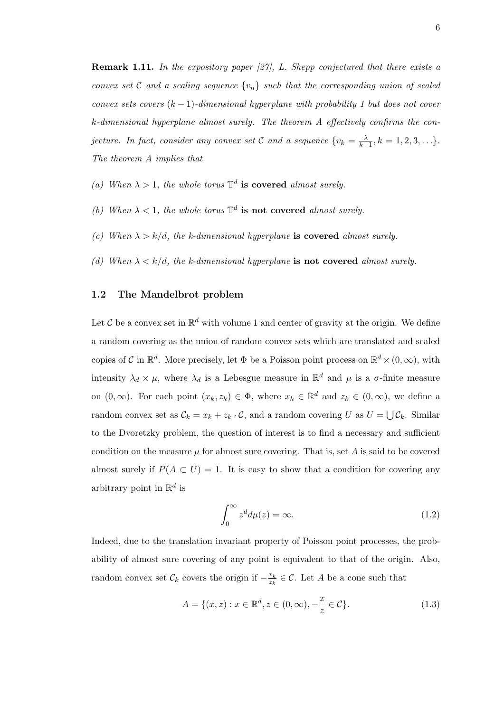**Remark 1.11.** In the expository paper  $\left[\frac{27}{1}\right]$ , L. Shepp conjectured that there exists a convex set C and a scaling sequence  $\{v_n\}$  such that the corresponding union of scaled convex sets covers  $(k-1)$ -dimensional hyperplane with probability 1 but does not cover k-dimensional hyperplane almost surely. The theorem A effectively confirms the conjecture. In fact, consider any convex set C and a sequence  $\{v_k = \frac{\lambda}{k+1}, k = 1, 2, 3, \ldots\}$ . The theorem A implies that

- (a) When  $\lambda > 1$ , the whole torus  $\mathbb{T}^d$  is covered almost surely.
- (b) When  $\lambda < 1$ , the whole torus  $\mathbb{T}^d$  is not covered almost surely.
- (c) When  $\lambda > k/d$ , the k-dimensional hyperplane is covered almost surely.
- (d) When  $\lambda < k/d$ , the k-dimensional hyperplane is not covered almost surely.

### 1.2 The Mandelbrot problem

Let C be a convex set in  $\mathbb{R}^d$  with volume 1 and center of gravity at the origin. We define a random covering as the union of random convex sets which are translated and scaled copies of C in  $\mathbb{R}^d$ . More precisely, let  $\Phi$  be a Poisson point process on  $\mathbb{R}^d \times (0,\infty)$ , with intensity  $\lambda_d \times \mu$ , where  $\lambda_d$  is a Lebesgue measure in  $\mathbb{R}^d$  and  $\mu$  is a  $\sigma$ -finite measure on  $(0, \infty)$ . For each point  $(x_k, z_k) \in \Phi$ , where  $x_k \in \mathbb{R}^d$  and  $z_k \in (0, \infty)$ , we define a random convex set as  $\mathcal{C}_k = x_k + z_k \cdot \mathcal{C}$ , and a random covering U as  $U = \bigcup \mathcal{C}_k$ . Similar to the Dvoretzky problem, the question of interest is to find a necessary and sufficient condition on the measure  $\mu$  for almost sure covering. That is, set A is said to be covered almost surely if  $P(A \subset U) = 1$ . It is easy to show that a condition for covering any arbitrary point in  $\mathbb{R}^d$  is

$$
\int_0^\infty z^d d\mu(z) = \infty. \tag{1.2}
$$

Indeed, due to the translation invariant property of Poisson point processes, the probability of almost sure covering of any point is equivalent to that of the origin. Also, random convex set  $\mathcal{C}_k$  covers the origin if  $-\frac{x_k}{z_k}$  $\frac{x_k}{z_k} \in \mathcal{C}$ . Let A be a cone such that

$$
A = \{(x, z) : x \in \mathbb{R}^d, z \in (0, \infty), -\frac{x}{z} \in \mathcal{C}\}.
$$
 (1.3)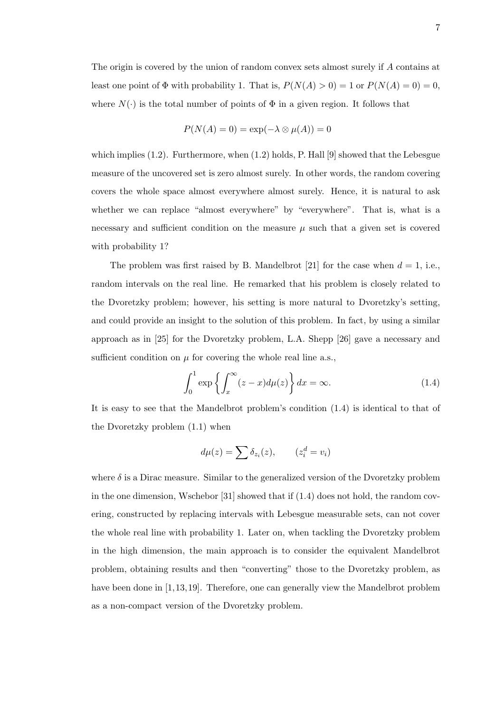The origin is covered by the union of random convex sets almost surely if A contains at least one point of  $\Phi$  with probability 1. That is,  $P(N(A) > 0) = 1$  or  $P(N(A) = 0) = 0$ , where  $N(\cdot)$  is the total number of points of  $\Phi$  in a given region. It follows that

$$
P(N(A) = 0) = \exp(-\lambda \otimes \mu(A)) = 0
$$

which implies  $(1.2)$ . Furthermore, when  $(1.2)$  holds, P. Hall [9] showed that the Lebesgue measure of the uncovered set is zero almost surely. In other words, the random covering covers the whole space almost everywhere almost surely. Hence, it is natural to ask whether we can replace "almost everywhere" by "everywhere". That is, what is a necessary and sufficient condition on the measure  $\mu$  such that a given set is covered with probability 1?

The problem was first raised by B. Mandelbrot [21] for the case when  $d = 1$ , i.e., random intervals on the real line. He remarked that his problem is closely related to the Dvoretzky problem; however, his setting is more natural to Dvoretzky's setting, and could provide an insight to the solution of this problem. In fact, by using a similar approach as in [25] for the Dvoretzky problem, L.A. Shepp [26] gave a necessary and sufficient condition on  $\mu$  for covering the whole real line a.s.,

$$
\int_0^1 \exp\left\{ \int_x^\infty (z-x) d\mu(z) \right\} dx = \infty. \tag{1.4}
$$

It is easy to see that the Mandelbrot problem's condition (1.4) is identical to that of the Dvoretzky problem (1.1) when

$$
d\mu(z) = \sum \delta_{z_i}(z), \qquad (z_i^d = v_i)
$$

where  $\delta$  is a Dirac measure. Similar to the generalized version of the Dvoretzky problem in the one dimension, Wschebor  $[31]$  showed that if  $(1.4)$  does not hold, the random covering, constructed by replacing intervals with Lebesgue measurable sets, can not cover the whole real line with probability 1. Later on, when tackling the Dvoretzky problem in the high dimension, the main approach is to consider the equivalent Mandelbrot problem, obtaining results and then "converting" those to the Dvoretzky problem, as have been done in [1,13,19]. Therefore, one can generally view the Mandelbrot problem as a non-compact version of the Dvoretzky problem.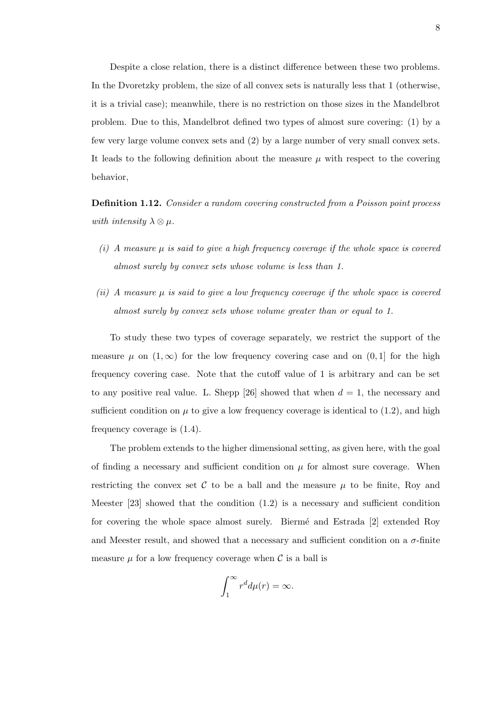Despite a close relation, there is a distinct difference between these two problems. In the Dvoretzky problem, the size of all convex sets is naturally less that 1 (otherwise, it is a trivial case); meanwhile, there is no restriction on those sizes in the Mandelbrot problem. Due to this, Mandelbrot defined two types of almost sure covering: (1) by a few very large volume convex sets and (2) by a large number of very small convex sets. It leads to the following definition about the measure  $\mu$  with respect to the covering behavior,

Definition 1.12. Consider a random covering constructed from a Poisson point process with intensity  $\lambda \otimes \mu$ .

- (i) A measure  $\mu$  is said to give a high frequency coverage if the whole space is covered almost surely by convex sets whose volume is less than 1.
- (ii) A measure  $\mu$  is said to give a low frequency coverage if the whole space is covered almost surely by convex sets whose volume greater than or equal to 1.

To study these two types of coverage separately, we restrict the support of the measure  $\mu$  on  $(1,\infty)$  for the low frequency covering case and on  $(0,1]$  for the high frequency covering case. Note that the cutoff value of 1 is arbitrary and can be set to any positive real value. L. Shepp [26] showed that when  $d = 1$ , the necessary and sufficient condition on  $\mu$  to give a low frequency coverage is identical to (1.2), and high frequency coverage is (1.4).

The problem extends to the higher dimensional setting, as given here, with the goal of finding a necessary and sufficient condition on  $\mu$  for almost sure coverage. When restricting the convex set  $\mathcal C$  to be a ball and the measure  $\mu$  to be finite, Roy and Meester [23] showed that the condition (1.2) is a necessary and sufficient condition for covering the whole space almost surely. Biermé and Estrada [2] extended Roy and Meester result, and showed that a necessary and sufficient condition on a  $\sigma$ -finite measure  $\mu$  for a low frequency coverage when C is a ball is

$$
\int_1^\infty r^d d\mu(r) = \infty.
$$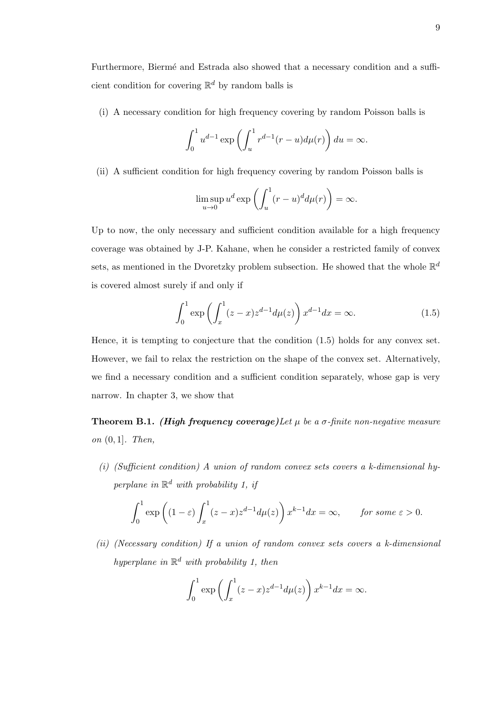Furthermore, Biermé and Estrada also showed that a necessary condition and a sufficient condition for covering  $\mathbb{R}^d$  by random balls is

(i) A necessary condition for high frequency covering by random Poisson balls is

$$
\int_0^1 u^{d-1} \exp\left(\int_u^1 r^{d-1}(r-u)d\mu(r)\right) du = \infty.
$$

(ii) A sufficient condition for high frequency covering by random Poisson balls is

$$
\limsup_{u \to 0} u^d \exp\left(\int_u^1 (r - u)^d d\mu(r)\right) = \infty.
$$

Up to now, the only necessary and sufficient condition available for a high frequency coverage was obtained by J-P. Kahane, when he consider a restricted family of convex sets, as mentioned in the Dvoretzky problem subsection. He showed that the whole  $\mathbb{R}^d$ is covered almost surely if and only if

$$
\int_0^1 \exp\left(\int_x^1 (z-x)z^{d-1}d\mu(z)\right)x^{d-1}dx = \infty.
$$
 (1.5)

Hence, it is tempting to conjecture that the condition (1.5) holds for any convex set. However, we fail to relax the restriction on the shape of the convex set. Alternatively, we find a necessary condition and a sufficient condition separately, whose gap is very narrow. In chapter 3, we show that

**Theorem B.1.** (High frequency coverage) Let  $\mu$  be a  $\sigma$ -finite non-negative measure on (0, 1]. Then,

(i) (Sufficient condition) A union of random convex sets covers a k-dimensional hyperplane in  $\mathbb{R}^d$  with probability 1, if

$$
\int_0^1 \exp\left((1-\varepsilon)\int_x^1 (z-x)z^{d-1}d\mu(z)\right)x^{k-1}dx = \infty, \quad \text{for some } \varepsilon > 0.
$$

(ii) (Necessary condition) If a union of random convex sets covers a k-dimensional hyperplane in  $\mathbb{R}^d$  with probability 1, then

$$
\int_0^1 \exp\left(\int_x^1 (z-x)z^{d-1}d\mu(z)\right)x^{k-1}dx = \infty.
$$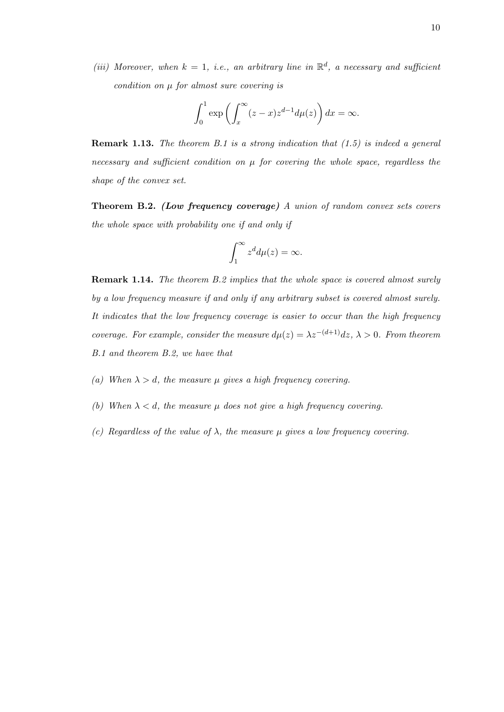(iii) Moreover, when  $k = 1$ , i.e., an arbitrary line in  $\mathbb{R}^d$ , a necessary and sufficient condition on  $\mu$  for almost sure covering is

$$
\int_0^1 \exp\left(\int_x^\infty (z-x)z^{d-1}d\mu(z)\right)dx = \infty.
$$

**Remark 1.13.** The theorem B.1 is a strong indication that  $(1.5)$  is indeed a general necessary and sufficient condition on  $\mu$  for covering the whole space, regardless the shape of the convex set.

**Theorem B.2.** (Low frequency coverage) A union of random convex sets covers the whole space with probability one if and only if

$$
\int_1^\infty z^d d\mu(z) = \infty.
$$

**Remark 1.14.** The theorem B.2 implies that the whole space is covered almost surely by a low frequency measure if and only if any arbitrary subset is covered almost surely. It indicates that the low frequency coverage is easier to occur than the high frequency coverage. For example, consider the measure  $d\mu(z) = \lambda z^{-(d+1)}dz, \lambda > 0$ . From theorem B.1 and theorem B.2, we have that

- (a) When  $\lambda > d$ , the measure  $\mu$  gives a high frequency covering.
- (b) When  $\lambda < d$ , the measure  $\mu$  does not give a high frequency covering.
- (c) Regardless of the value of  $\lambda$ , the measure  $\mu$  gives a low frequency covering.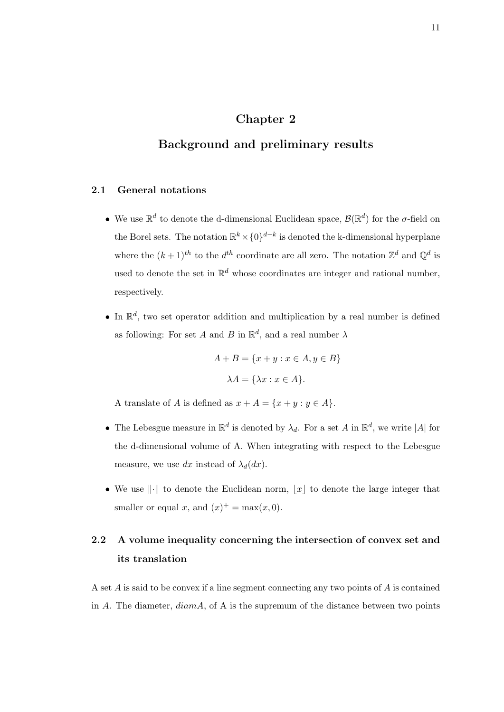## Chapter 2

## Background and preliminary results

### 2.1 General notations

- We use  $\mathbb{R}^d$  to denote the d-dimensional Euclidean space,  $\mathcal{B}(\mathbb{R}^d)$  for the  $\sigma$ -field on the Borel sets. The notation  $\mathbb{R}^k \times \{0\}^{d-k}$  is denoted the k-dimensional hyperplane where the  $(k+1)$ <sup>th</sup> to the  $d^{th}$  coordinate are all zero. The notation  $\mathbb{Z}^d$  and  $\mathbb{Q}^d$  is used to denote the set in  $\mathbb{R}^d$  whose coordinates are integer and rational number, respectively.
- In  $\mathbb{R}^d$ , two set operator addition and multiplication by a real number is defined as following: For set A and B in  $\mathbb{R}^d$ , and a real number  $\lambda$

$$
A + B = \{x + y : x \in A, y \in B\}
$$

$$
\lambda A = \{\lambda x : x \in A\}.
$$

A translate of A is defined as  $x + A = \{x + y : y \in A\}.$ 

- The Lebesgue measure in  $\mathbb{R}^d$  is denoted by  $\lambda_d$ . For a set A in  $\mathbb{R}^d$ , we write |A| for the d-dimensional volume of A. When integrating with respect to the Lebesgue measure, we use dx instead of  $\lambda_d(dx)$ .
- We use  $\|\cdot\|$  to denote the Euclidean norm,  $|x|$  to denote the large integer that smaller or equal x, and  $(x)^{+} = \max(x, 0)$ .

# 2.2 A volume inequality concerning the intersection of convex set and its translation

A set A is said to be convex if a line segment connecting any two points of A is contained in A. The diameter,  $diam A$ , of A is the supremum of the distance between two points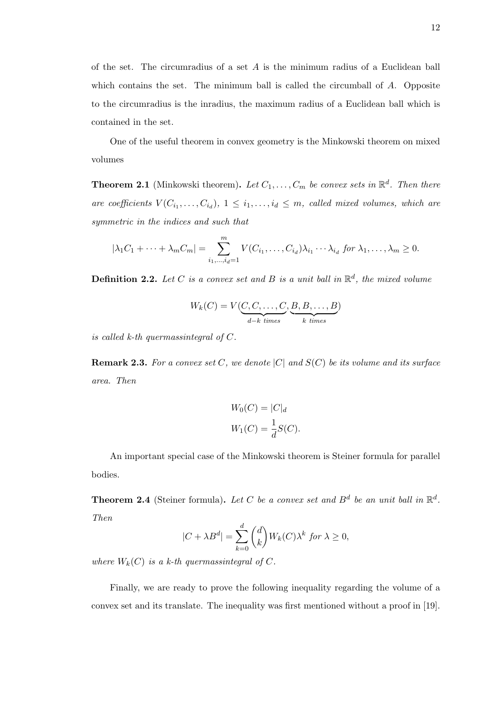of the set. The circumradius of a set A is the minimum radius of a Euclidean ball which contains the set. The minimum ball is called the circumball of A. Opposite to the circumradius is the inradius, the maximum radius of a Euclidean ball which is contained in the set.

One of the useful theorem in convex geometry is the Minkowski theorem on mixed volumes

**Theorem 2.1** (Minkowski theorem). Let  $C_1, \ldots, C_m$  be convex sets in  $\mathbb{R}^d$ . Then there are coefficients  $V(C_{i_1},...,C_{i_d})$ ,  $1 \leq i_1,...,i_d \leq m$ , called mixed volumes, which are symmetric in the indices and such that

$$
|\lambda_1 C_1 + \cdots + \lambda_m C_m| = \sum_{i_1, \ldots, i_d=1}^m V(C_{i_1}, \ldots, C_{i_d}) \lambda_{i_1} \cdots \lambda_{i_d} \text{ for } \lambda_1, \ldots, \lambda_m \ge 0.
$$

**Definition 2.2.** Let C is a convex set and B is a unit ball in  $\mathbb{R}^d$ , the mixed volume

$$
W_k(C) = V(\underbrace{C, C, \dots, C}_{d-k \ times}, \underbrace{B, B, \dots, B}_{k \ times})
$$

is called  $k$ -th quermassintegral of  $C$ .

**Remark 2.3.** For a convex set C, we denote  $|C|$  and  $S(C)$  be its volume and its surface area. Then

$$
W_0(C) = |C|_d
$$
  

$$
W_1(C) = \frac{1}{d}S(C).
$$

An important special case of the Minkowski theorem is Steiner formula for parallel bodies.

**Theorem 2.4** (Steiner formula). Let C be a convex set and  $B^d$  be an unit ball in  $\mathbb{R}^d$ . Then

$$
|C + \lambda B^d| = \sum_{k=0}^d \binom{d}{k} W_k(C) \lambda^k \text{ for } \lambda \ge 0,
$$

where  $W_k(C)$  is a k-th quermassintegral of C.

Finally, we are ready to prove the following inequality regarding the volume of a convex set and its translate. The inequality was first mentioned without a proof in [19].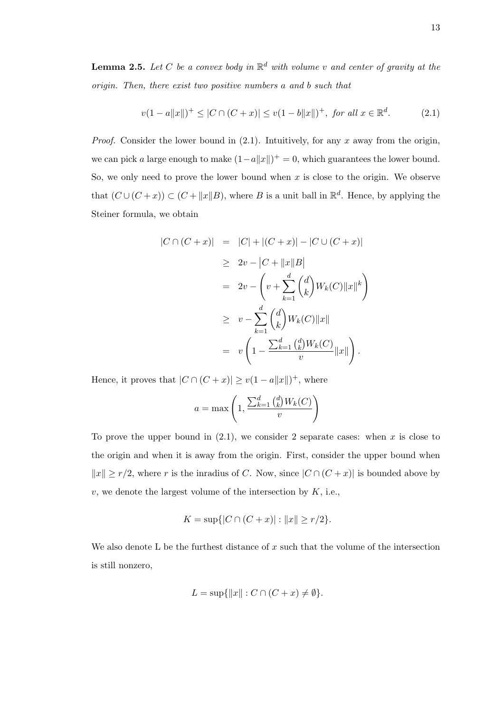**Lemma 2.5.** Let C be a convex body in  $\mathbb{R}^d$  with volume v and center of gravity at the origin. Then, there exist two positive numbers a and b such that

$$
v(1-a||x||)^{+} \le |C \cap (C+x)| \le v(1-b||x||)^{+}, \text{ for all } x \in \mathbb{R}^{d}.
$$
 (2.1)

*Proof.* Consider the lower bound in  $(2.1)$ . Intuitively, for any x away from the origin, we can pick a large enough to make  $(1 - a||x||)^+ = 0$ , which guarantees the lower bound. So, we only need to prove the lower bound when  $x$  is close to the origin. We observe that  $(C \cup (C + x)) \subset (C + ||x||B)$ , where B is a unit ball in  $\mathbb{R}^d$ . Hence, by applying the Steiner formula, we obtain

$$
|C \cap (C+x)| = |C| + |(C+x)| - |C \cup (C+x)|
$$
  
\n
$$
\geq 2v - |C + ||x||B|
$$
  
\n
$$
= 2v - \left(v + \sum_{k=1}^{d} {d \choose k} W_k(C) ||x||^k\right)
$$
  
\n
$$
\geq v - \sum_{k=1}^{d} {d \choose k} W_k(C) ||x||
$$
  
\n
$$
= v \left(1 - \frac{\sum_{k=1}^{d} {d \choose k} W_k(C)}{v} ||x||\right).
$$

Hence, it proves that  $|C \cap (C+x)| \ge v(1-a||x||)^+$ , where

$$
a = \max\left(1, \frac{\sum_{k=1}^{d} {d \choose k} W_k(C)}{v}\right)
$$

To prove the upper bound in  $(2.1)$ , we consider 2 separate cases: when x is close to the origin and when it is away from the origin. First, consider the upper bound when  $||x|| \ge r/2$ , where r is the inradius of C. Now, since  $|C ∩ (C + x)|$  is bounded above by  $v$ , we denote the largest volume of the intersection by  $K$ , i.e.,

$$
K = \sup\{|C \cap (C + x)| : ||x|| \ge r/2\}.
$$

We also denote L be the furthest distance of x such that the volume of the intersection is still nonzero,

$$
L = \sup\{\|x\| : C \cap (C + x) \neq \emptyset\}.
$$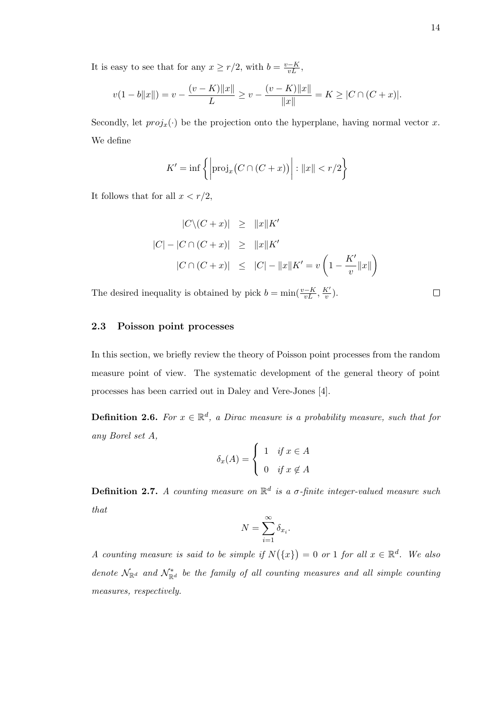It is easy to see that for any  $x \geq r/2$ , with  $b = \frac{v-K}{vL}$ ,

$$
v(1-b||x||) = v - \frac{(v-K)||x||}{L} \ge v - \frac{(v-K)||x||}{||x||} = K \ge |C \cap (C+x)|.
$$

Secondly, let  $proj_x(\cdot)$  be the projection onto the hyperplane, having normal vector x. We define

$$
K' = \inf \left\{ \left| \text{proj}_x \big( C \cap (C + x) \big) \right| : ||x|| < r/2 \right\}
$$

It follows that for all  $x < r/2$ ,

$$
|C\setminus (C+x)| \ge ||x||K'
$$
  
\n
$$
|C| - |C \cap (C+x)| \ge ||x||K'
$$
  
\n
$$
|C \cap (C+x)| \le |C| - ||x||K' = v\left(1 - \frac{K'}{v}||x||\right)
$$

The desired inequality is obtained by pick  $b = \min(\frac{v - K}{vL}, \frac{K'}{v})$  $\frac{\mathbf{x}^{\prime}}{v}).$ 

#### 2.3 Poisson point processes

In this section, we briefly review the theory of Poisson point processes from the random measure point of view. The systematic development of the general theory of point processes has been carried out in Daley and Vere-Jones [4].

**Definition 2.6.** For  $x \in \mathbb{R}^d$ , a Dirac measure is a probability measure, such that for any Borel set A,

$$
\delta_x(A) = \begin{cases} 1 & \text{if } x \in A \\ 0 & \text{if } x \notin A \end{cases}
$$

**Definition 2.7.** A counting measure on  $\mathbb{R}^d$  is a  $\sigma$ -finite integer-valued measure such that

$$
N = \sum_{i=1}^{\infty} \delta_{x_i}.
$$

A counting measure is said to be simple if  $N({x}) = 0$  or 1 for all  $x \in \mathbb{R}^d$ . We also denote  $\mathcal{N}_{\mathbb{R}^d}$  and  $\mathcal{N}_{\mathbb{R}^d}^*$  be the family of all counting measures and all simple counting measures, respectively.

 $\Box$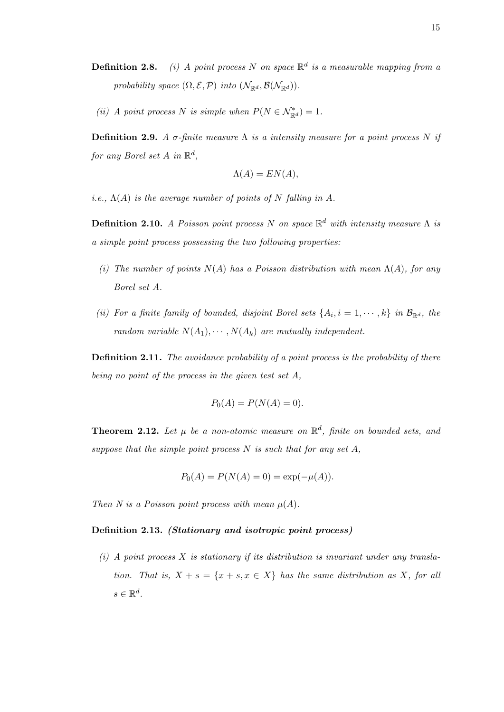- **Definition 2.8.** (i) A point process N on space  $\mathbb{R}^d$  is a measurable mapping from a probability space  $(\Omega, \mathcal{E}, \mathcal{P})$  into  $(\mathcal{N}_{\mathbb{R}^d}, \mathcal{B}(\mathcal{N}_{\mathbb{R}^d}))$ .
- (ii) A point process N is simple when  $P(N \in \mathcal{N}_{\mathbb{R}^d}^*) = 1$ .

**Definition 2.9.** A  $\sigma$ -finite measure  $\Lambda$  is a intensity measure for a point process N if for any Borel set  $A$  in  $\mathbb{R}^d$ ,

$$
\Lambda(A) = EN(A),
$$

*i.e.*,  $\Lambda(A)$  *is the average number of points of* N falling in A.

**Definition 2.10.** A Poisson point process N on space  $\mathbb{R}^d$  with intensity measure  $\Lambda$  is a simple point process possessing the two following properties:

- (i) The number of points  $N(A)$  has a Poisson distribution with mean  $\Lambda(A)$ , for any Borel set A.
- (ii) For a finite family of bounded, disjoint Borel sets  $\{A_i, i = 1, \dots, k\}$  in  $\mathcal{B}_{\mathbb{R}^d}$ , the random variable  $N(A_1), \cdots, N(A_k)$  are mutually independent.

Definition 2.11. The avoidance probability of a point process is the probability of there being no point of the process in the given test set A,

$$
P_0(A) = P(N(A) = 0).
$$

**Theorem 2.12.** Let  $\mu$  be a non-atomic measure on  $\mathbb{R}^d$ , finite on bounded sets, and suppose that the simple point process  $N$  is such that for any set  $A$ ,

$$
P_0(A) = P(N(A) = 0) = \exp(-\mu(A)).
$$

Then N is a Poisson point process with mean  $\mu(A)$ .

#### Definition 2.13. (Stationary and isotropic point process)

(i) A point process X is stationary if its distribution is invariant under any translation. That is,  $X + s = \{x + s, x \in X\}$  has the same distribution as X, for all  $s \in \mathbb{R}^d$ .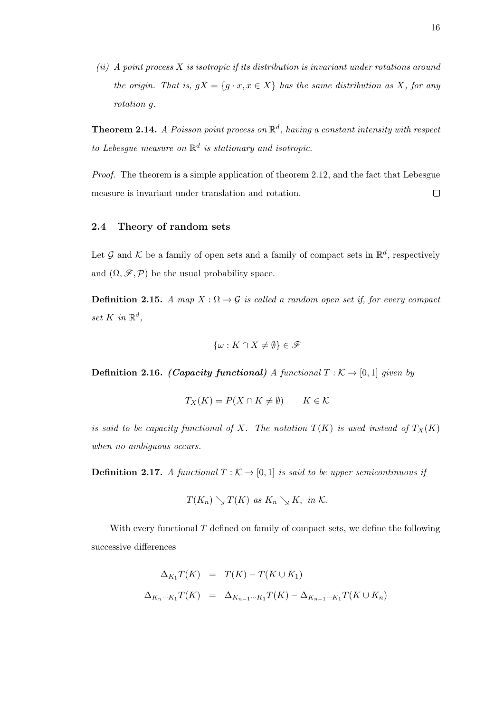$(ii)$  A point process X is isotropic if its distribution is invariant under rotations around the origin. That is,  $gX = \{g \cdot x, x \in X\}$  has the same distribution as X, for any rotation g.

**Theorem 2.14.** A Poisson point process on  $\mathbb{R}^d$ , having a constant intensity with respect to Lebesgue measure on  $\mathbb{R}^d$  is stationary and isotropic.

Proof. The theorem is a simple application of theorem 2.12, and the fact that Lebesgue measure is invariant under translation and rotation.  $\Box$ 

#### 2.4 Theory of random sets

Let G and K be a family of open sets and a family of compact sets in  $\mathbb{R}^d$ , respectively and  $(\Omega, \mathscr{F}, \mathcal{P})$  be the usual probability space.

**Definition 2.15.** A map  $X : \Omega \to \mathcal{G}$  is called a random open set if, for every compact set K in  $\mathbb{R}^d$ ,

$$
\{\omega: K\cap X\neq \emptyset\}\in \mathscr{F}
$$

**Definition 2.16.** (Capacity functional) A functional  $T : \mathcal{K} \to [0,1]$  given by

$$
T_X(K) = P(X \cap K \neq \emptyset) \qquad K \in \mathcal{K}
$$

is said to be capacity functional of X. The notation  $T(K)$  is used instead of  $T_X(K)$ when no ambiguous occurs.

**Definition 2.17.** A functional  $T : \mathcal{K} \to [0,1]$  is said to be upper semicontinuous if

$$
T(K_n) \searrow T(K) \text{ as } K_n \searrow K, \text{ in } \mathcal{K}.
$$

With every functional T defined on family of compact sets, we define the following successive differences

$$
\Delta_{K_1} T(K) = T(K) - T(K \cup K_1)
$$
  

$$
\Delta_{K_n \cdots K_1} T(K) = \Delta_{K_{n-1} \cdots K_1} T(K) - \Delta_{K_{n-1} \cdots K_1} T(K \cup K_n)
$$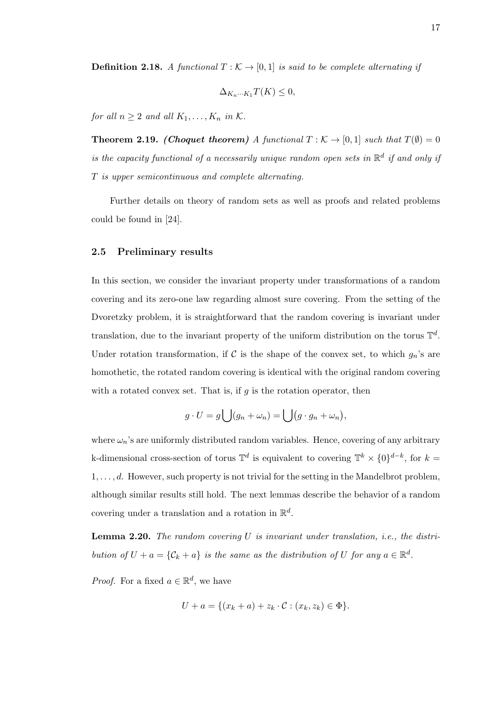**Definition 2.18.** A functional  $T : \mathcal{K} \to [0,1]$  is said to be complete alternating if

$$
\Delta_{K_n\cdots K_1}T(K)\leq 0,
$$

for all  $n \geq 2$  and all  $K_1, \ldots, K_n$  in K.

**Theorem 2.19.** (Choquet theorem) A functional  $T : K \to [0,1]$  such that  $T(\emptyset) = 0$ is the capacity functional of a necessarily unique random open sets in  $\mathbb{R}^d$  if and only if T is upper semicontinuous and complete alternating.

Further details on theory of random sets as well as proofs and related problems could be found in [24].

#### 2.5 Preliminary results

In this section, we consider the invariant property under transformations of a random covering and its zero-one law regarding almost sure covering. From the setting of the Dvoretzky problem, it is straightforward that the random covering is invariant under translation, due to the invariant property of the uniform distribution on the torus  $\mathbb{T}^d$ . Under rotation transformation, if C is the shape of the convex set, to which  $g_n$ 's are homothetic, the rotated random covering is identical with the original random covering with a rotated convex set. That is, if  $g$  is the rotation operator, then

$$
g \cdot U = g \bigcup (g_n + \omega_n) = \bigcup (g \cdot g_n + \omega_n),
$$

where  $\omega_n$ 's are uniformly distributed random variables. Hence, covering of any arbitrary k-dimensional cross-section of torus  $\mathbb{T}^d$  is equivalent to covering  $\mathbb{T}^k \times \{0\}^{d-k}$ , for  $k =$  $1, \ldots, d$ . However, such property is not trivial for the setting in the Mandelbrot problem, although similar results still hold. The next lemmas describe the behavior of a random covering under a translation and a rotation in  $\mathbb{R}^d$ .

**Lemma 2.20.** The random covering  $U$  is invariant under translation, i.e., the distribution of  $U + a = \{C_k + a\}$  is the same as the distribution of U for any  $a \in \mathbb{R}^d$ .

*Proof.* For a fixed  $a \in \mathbb{R}^d$ , we have

$$
U + a = \{(x_k + a) + z_k \cdot C : (x_k, z_k) \in \Phi\}.
$$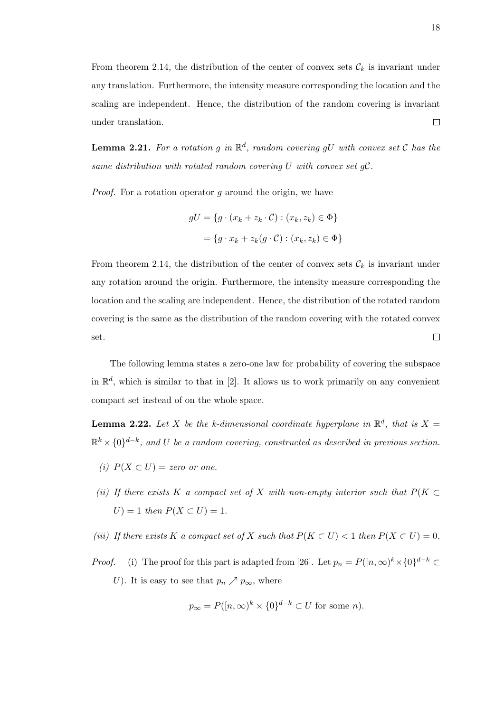From theorem 2.14, the distribution of the center of convex sets  $\mathcal{C}_k$  is invariant under any translation. Furthermore, the intensity measure corresponding the location and the scaling are independent. Hence, the distribution of the random covering is invariant under translation.  $\Box$ 

**Lemma 2.21.** For a rotation g in  $\mathbb{R}^d$ , random covering gU with convex set C has the same distribution with rotated random covering U with convex set  $qC$ .

*Proof.* For a rotation operator q around the origin, we have

$$
gU = \{g \cdot (x_k + z_k \cdot C) : (x_k, z_k) \in \Phi\}
$$

$$
= \{g \cdot x_k + z_k(g \cdot C) : (x_k, z_k) \in \Phi\}
$$

From theorem 2.14, the distribution of the center of convex sets  $\mathcal{C}_k$  is invariant under any rotation around the origin. Furthermore, the intensity measure corresponding the location and the scaling are independent. Hence, the distribution of the rotated random covering is the same as the distribution of the random covering with the rotated convex  $\Box$ set.

The following lemma states a zero-one law for probability of covering the subspace in  $\mathbb{R}^d$ , which is similar to that in [2]. It allows us to work primarily on any convenient compact set instead of on the whole space.

**Lemma 2.22.** Let X be the k-dimensional coordinate hyperplane in  $\mathbb{R}^d$ , that is  $X =$  $\mathbb{R}^k\times\{0\}^{d-k}$ , and U be a random covering, constructed as described in previous section.

- (i)  $P(X \subset U) =$  zero or one.
- (ii) If there exists K a compact set of X with non-empty interior such that  $P(K \subset$  $U$ ) = 1 then  $P(X \subset U) = 1$ .
- (iii) If there exists K a compact set of X such that  $P(K \subset U) < 1$  then  $P(X \subset U) = 0$ .
- *Proof.* (i) The proof for this part is adapted from [26]. Let  $p_n = P([n, \infty)^k \times \{0\}^{d-k} \subset$ U). It is easy to see that  $p_n \nearrow p_\infty$ , where

$$
p_{\infty} = P([n, \infty)^k \times \{0\}^{d-k} \subset U
$$
 for some n).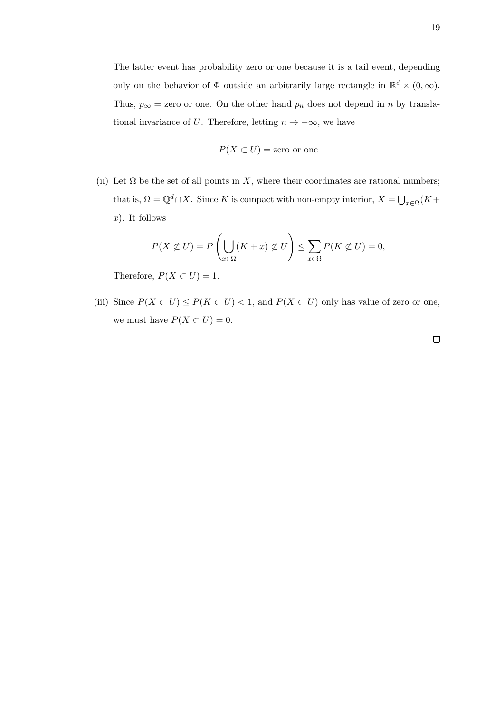The latter event has probability zero or one because it is a tail event, depending only on the behavior of  $\Phi$  outside an arbitrarily large rectangle in  $\mathbb{R}^d \times (0,\infty)$ . Thus,  $p_{\infty}$  = zero or one. On the other hand  $p_n$  does not depend in n by translational invariance of U. Therefore, letting  $n \to -\infty$ , we have

$$
P(X \subset U) =
$$
zero or one

(ii) Let  $\Omega$  be the set of all points in X, where their coordinates are rational numbers; that is,  $\Omega = \mathbb{Q}^d \cap X$ . Since K is compact with non-empty interior,  $X = \bigcup_{x \in \Omega} (K +$  $x$ ). It follows

$$
P(X \not\subset U) = P\left(\bigcup_{x \in \Omega} (K + x) \not\subset U\right) \le \sum_{x \in \Omega} P(K \not\subset U) = 0,
$$

Therefore,  $P(X \subset U) = 1$ .

(iii) Since  $P(X \subset U) \le P(K \subset U) < 1$ , and  $P(X \subset U)$  only has value of zero or one, we must have  $P(X \subset U) = 0$ .

 $\Box$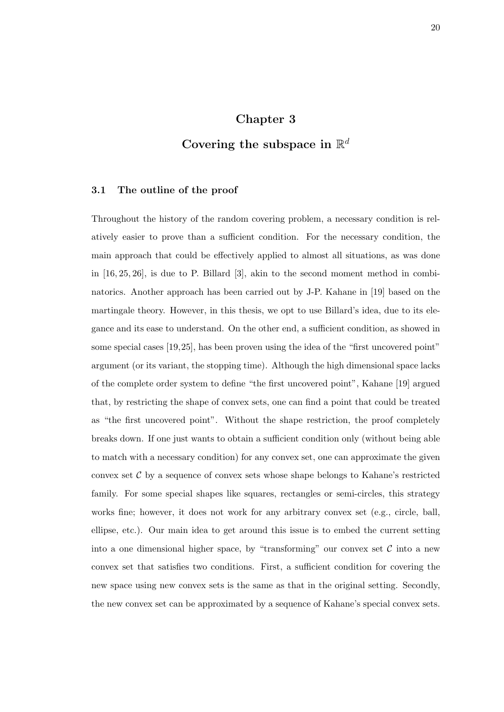## Chapter 3

# Covering the subspace in  $\mathbb{R}^d$

#### 3.1 The outline of the proof

Throughout the history of the random covering problem, a necessary condition is relatively easier to prove than a sufficient condition. For the necessary condition, the main approach that could be effectively applied to almost all situations, as was done in [16, 25, 26], is due to P. Billard [3], akin to the second moment method in combinatorics. Another approach has been carried out by J-P. Kahane in [19] based on the martingale theory. However, in this thesis, we opt to use Billard's idea, due to its elegance and its ease to understand. On the other end, a sufficient condition, as showed in some special cases [19,25], has been proven using the idea of the "first uncovered point" argument (or its variant, the stopping time). Although the high dimensional space lacks of the complete order system to define "the first uncovered point", Kahane [19] argued that, by restricting the shape of convex sets, one can find a point that could be treated as "the first uncovered point". Without the shape restriction, the proof completely breaks down. If one just wants to obtain a sufficient condition only (without being able to match with a necessary condition) for any convex set, one can approximate the given convex set  $C$  by a sequence of convex sets whose shape belongs to Kahane's restricted family. For some special shapes like squares, rectangles or semi-circles, this strategy works fine; however, it does not work for any arbitrary convex set (e.g., circle, ball, ellipse, etc.). Our main idea to get around this issue is to embed the current setting into a one dimensional higher space, by "transforming" our convex set  $\mathcal C$  into a new convex set that satisfies two conditions. First, a sufficient condition for covering the new space using new convex sets is the same as that in the original setting. Secondly, the new convex set can be approximated by a sequence of Kahane's special convex sets.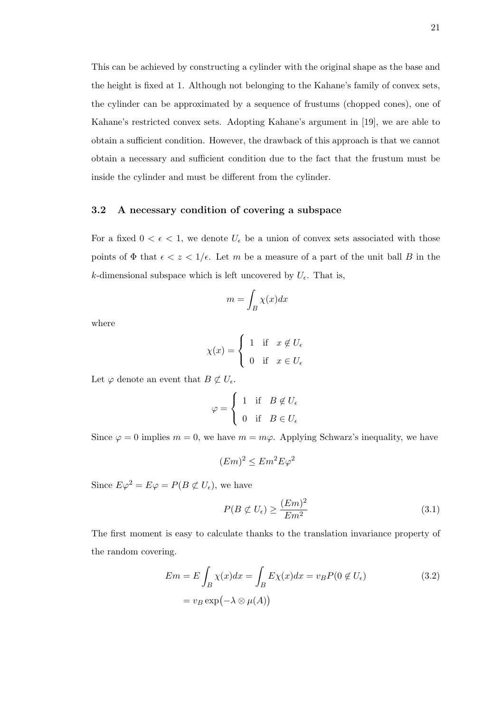This can be achieved by constructing a cylinder with the original shape as the base and the height is fixed at 1. Although not belonging to the Kahane's family of convex sets, the cylinder can be approximated by a sequence of frustums (chopped cones), one of Kahane's restricted convex sets. Adopting Kahane's argument in [19], we are able to obtain a sufficient condition. However, the drawback of this approach is that we cannot obtain a necessary and sufficient condition due to the fact that the frustum must be inside the cylinder and must be different from the cylinder.

#### 3.2 A necessary condition of covering a subspace

For a fixed  $0 < \epsilon < 1$ , we denote  $U_{\epsilon}$  be a union of convex sets associated with those points of  $\Phi$  that  $\epsilon < z < 1/\epsilon$ . Let m be a measure of a part of the unit ball B in the k-dimensional subspace which is left uncovered by  $U_{\epsilon}$ . That is,

$$
m = \int_B \chi(x) dx
$$

where

$$
\chi(x) = \begin{cases} 1 & \text{if } x \notin U_{\epsilon} \\ 0 & \text{if } x \in U_{\epsilon} \end{cases}
$$

Let  $\varphi$  denote an event that  $B \not\subset U_{\epsilon}$ .

$$
\varphi = \begin{cases} 1 & \text{if } B \notin U_{\epsilon} \\ 0 & \text{if } B \in U_{\epsilon} \end{cases}
$$

Since  $\varphi = 0$  implies  $m = 0$ , we have  $m = m\varphi$ . Applying Schwarz's inequality, we have

$$
(Em)^2 \leq Em^2 E\varphi^2
$$

Since  $E\varphi^2 = E\varphi = P(B \not\subset U_{\epsilon})$ , we have

$$
P(B \not\subset U_{\epsilon}) \ge \frac{(Em)^2}{Em^2} \tag{3.1}
$$

The first moment is easy to calculate thanks to the translation invariance property of the random covering.

$$
Em = E \int_B \chi(x) dx = \int_B E \chi(x) dx = v_B P(0 \notin U_{\epsilon})
$$
  
=  $v_B \exp(-\lambda \otimes \mu(A))$  (3.2)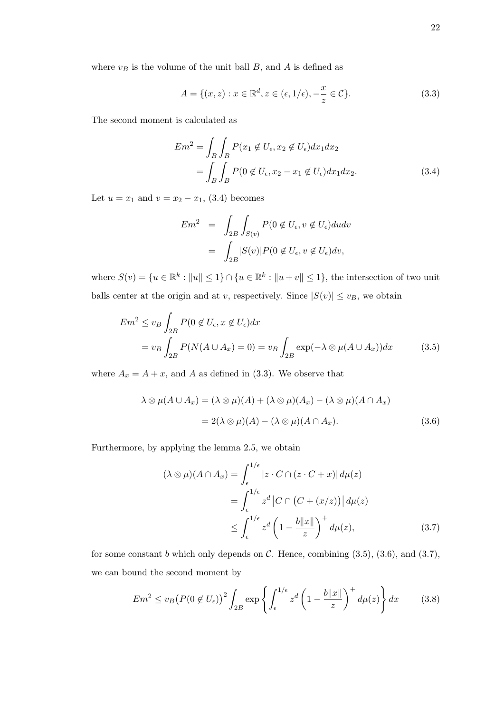where  $v_B$  is the volume of the unit ball B, and A is defined as

$$
A = \{(x, z) : x \in \mathbb{R}^d, z \in (\epsilon, 1/\epsilon), -\frac{x}{z} \in \mathcal{C}\}.
$$
\n
$$
(3.3)
$$

The second moment is calculated as

$$
Em2 = \int_B \int_B P(x_1 \notin U_{\epsilon}, x_2 \notin U_{\epsilon}) dx_1 dx_2
$$
  
= 
$$
\int_B \int_B P(0 \notin U_{\epsilon}, x_2 - x_1 \notin U_{\epsilon}) dx_1 dx_2.
$$
 (3.4)

Let  $u = x_1$  and  $v = x_2 - x_1$ , (3.4) becomes

$$
Em^2 = \int_{2B} \int_{S(v)} P(0 \notin U_{\epsilon}, v \notin U_{\epsilon}) du dv
$$
  
= 
$$
\int_{2B} |S(v)| P(0 \notin U_{\epsilon}, v \notin U_{\epsilon}) dv,
$$

where  $S(v) = \{u \in \mathbb{R}^k : ||u|| \leq 1\} \cap \{u \in \mathbb{R}^k : ||u + v|| \leq 1\}$ , the intersection of two unit balls center at the origin and at v, respectively. Since  $|S(v)| \le v_B$ , we obtain

$$
Em2 \le v_B \int_{2B} P(0 \notin U_{\epsilon}, x \notin U_{\epsilon}) dx
$$
  
=  $v_B \int_{2B} P(N(A \cup A_x) = 0) = v_B \int_{2B} \exp(-\lambda \otimes \mu(A \cup A_x)) dx$  (3.5)

where  $A_x = A + x$ , and A as defined in (3.3). We observe that

$$
\lambda \otimes \mu(A \cup A_x) = (\lambda \otimes \mu)(A) + (\lambda \otimes \mu)(A_x) - (\lambda \otimes \mu)(A \cap A_x)
$$
  
= 2(\lambda \otimes \mu)(A) - (\lambda \otimes \mu)(A \cap A\_x). (3.6)

Furthermore, by applying the lemma 2.5, we obtain

$$
(\lambda \otimes \mu)(A \cap A_x) = \int_{\epsilon}^{1/\epsilon} |z \cdot C \cap (z \cdot C + x)| d\mu(z)
$$
  
= 
$$
\int_{\epsilon}^{1/\epsilon} z^d |C \cap (C + (x/z))| d\mu(z)
$$
  

$$
\leq \int_{\epsilon}^{1/\epsilon} z^d \left(1 - \frac{b\|x\|}{z}\right)^+ d\mu(z), \tag{3.7}
$$

for some constant b which only depends on  $\mathcal C$ . Hence, combining  $(3.5)$ ,  $(3.6)$ , and  $(3.7)$ , we can bound the second moment by

$$
Em^2 \le v_B \left(P(0 \notin U_\epsilon)\right)^2 \int_{2B} \exp\left\{ \int_{\epsilon}^{1/\epsilon} z^d \left(1 - \frac{b\|x\|}{z}\right)^+ d\mu(z) \right\} dx \tag{3.8}
$$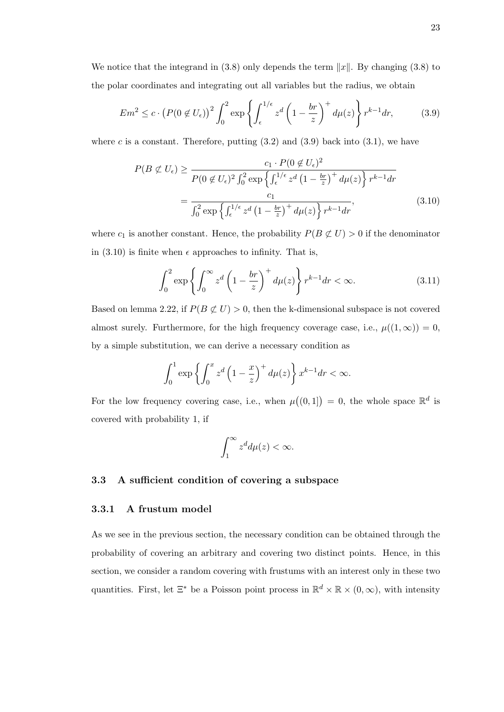We notice that the integrand in (3.8) only depends the term  $||x||$ . By changing (3.8) to the polar coordinates and integrating out all variables but the radius, we obtain

$$
Em^2 \le c \cdot \left(P(0 \notin U_\epsilon)\right)^2 \int_0^2 \exp\left\{\int_\epsilon^{1/\epsilon} z^d \left(1 - \frac{br}{z}\right)^+ d\mu(z)\right\} r^{k-1} dr,\tag{3.9}
$$

where c is a constant. Therefore, putting  $(3.2)$  and  $(3.9)$  back into  $(3.1)$ , we have

$$
P(B \not\subset U_{\epsilon}) \ge \frac{c_1 \cdot P(0 \not\subset U_{\epsilon})^2}{P(0 \not\subset U_{\epsilon})^2 \int_0^2 \exp\left\{\int_{\epsilon}^{1/\epsilon} z^d \left(1 - \frac{br}{z}\right)^+ d\mu(z)\right\} r^{k-1} dr}
$$
  
= 
$$
\frac{c_1}{\int_0^2 \exp\left\{\int_{\epsilon}^{1/\epsilon} z^d \left(1 - \frac{br}{z}\right)^+ d\mu(z)\right\} r^{k-1} dr},
$$
(3.10)

where  $c_1$  is another constant. Hence, the probability  $P(B \not\subset U) > 0$  if the denominator in  $(3.10)$  is finite when  $\epsilon$  approaches to infinity. That is,

$$
\int_0^2 \exp\left\{ \int_0^\infty z^d \left( 1 - \frac{br}{z} \right)^+ d\mu(z) \right\} r^{k-1} dr < \infty. \tag{3.11}
$$

Based on lemma 2.22, if  $P(B \not\subset U) > 0$ , then the k-dimensional subspace is not covered almost surely. Furthermore, for the high frequency coverage case, i.e.,  $\mu((1,\infty)) = 0$ , by a simple substitution, we can derive a necessary condition as

$$
\int_0^1 \exp\left\{\int_0^x z^d \left(1 - \frac{x}{z}\right)^+ d\mu(z)\right\} x^{k-1} dr < \infty.
$$

For the low frequency covering case, i.e., when  $\mu((0,1]) = 0$ , the whole space  $\mathbb{R}^d$  is covered with probability 1, if

$$
\int_1^\infty z^d d\mu(z) < \infty.
$$

### 3.3 A sufficient condition of covering a subspace

#### 3.3.1 A frustum model

As we see in the previous section, the necessary condition can be obtained through the probability of covering an arbitrary and covering two distinct points. Hence, in this section, we consider a random covering with frustums with an interest only in these two quantities. First, let  $\Xi^*$  be a Poisson point process in  $\mathbb{R}^d \times \mathbb{R} \times (0,\infty)$ , with intensity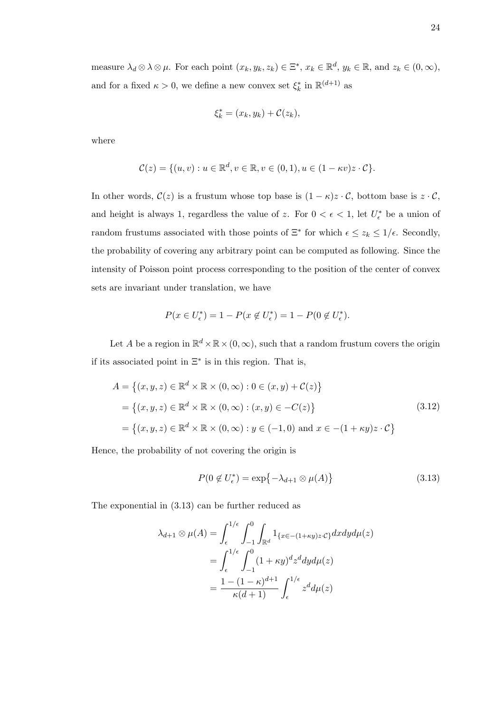measure  $\lambda_d \otimes \lambda \otimes \mu$ . For each point  $(x_k, y_k, z_k) \in \Xi^*, x_k \in \mathbb{R}^d, y_k \in \mathbb{R}$ , and  $z_k \in (0, \infty)$ , and for a fixed  $\kappa > 0$ , we define a new convex set  $\xi_k^*$  in  $\mathbb{R}^{(d+1)}$  as

$$
\xi_k^* = (x_k, y_k) + C(z_k),
$$

where

$$
\mathcal{C}(z) = \{(u, v) : u \in \mathbb{R}^d, v \in \mathbb{R}, v \in (0, 1), u \in (1 - \kappa v)z \cdot \mathcal{C}\}.
$$

In other words,  $C(z)$  is a frustum whose top base is  $(1 - \kappa)z \cdot C$ , bottom base is  $z \cdot C$ , and height is always 1, regardless the value of z. For  $0 < \epsilon < 1$ , let  $U_{\epsilon}^*$  be a union of random frustums associated with those points of  $\Xi^*$  for which  $\epsilon \leq z_k \leq 1/\epsilon$ . Secondly, the probability of covering any arbitrary point can be computed as following. Since the intensity of Poisson point process corresponding to the position of the center of convex sets are invariant under translation, we have

$$
P(x \in U_{\epsilon}^*) = 1 - P(x \notin U_{\epsilon}^*) = 1 - P(0 \notin U_{\epsilon}^*).
$$

Let A be a region in  $\mathbb{R}^d \times \mathbb{R} \times (0, \infty)$ , such that a random frustum covers the origin if its associated point in  $\Xi^*$  is in this region. That is,

$$
A = \{(x, y, z) \in \mathbb{R}^d \times \mathbb{R} \times (0, \infty) : 0 \in (x, y) + C(z)\}
$$
  
= 
$$
\{(x, y, z) \in \mathbb{R}^d \times \mathbb{R} \times (0, \infty) : (x, y) \in -C(z)\}
$$
  
= 
$$
\{(x, y, z) \in \mathbb{R}^d \times \mathbb{R} \times (0, \infty) : y \in (-1, 0) \text{ and } x \in -(1 + \kappa y)z \cdot C\}
$$
 (3.12)

Hence, the probability of not covering the origin is

$$
P(0 \notin U_{\epsilon}^*) = \exp\{-\lambda_{d+1} \otimes \mu(A)\}\
$$
\n(3.13)

The exponential in (3.13) can be further reduced as

$$
\lambda_{d+1} \otimes \mu(A) = \int_{\epsilon}^{1/\epsilon} \int_{-1}^{0} \int_{\mathbb{R}^d} 1_{\{x \in -(1+\kappa y)z \cdot C\}} dx dy d\mu(z)
$$

$$
= \int_{\epsilon}^{1/\epsilon} \int_{-1}^{0} (1+\kappa y)^d z^d dy d\mu(z)
$$

$$
= \frac{1 - (1-\kappa)^{d+1}}{\kappa(d+1)} \int_{\epsilon}^{1/\epsilon} z^d d\mu(z)
$$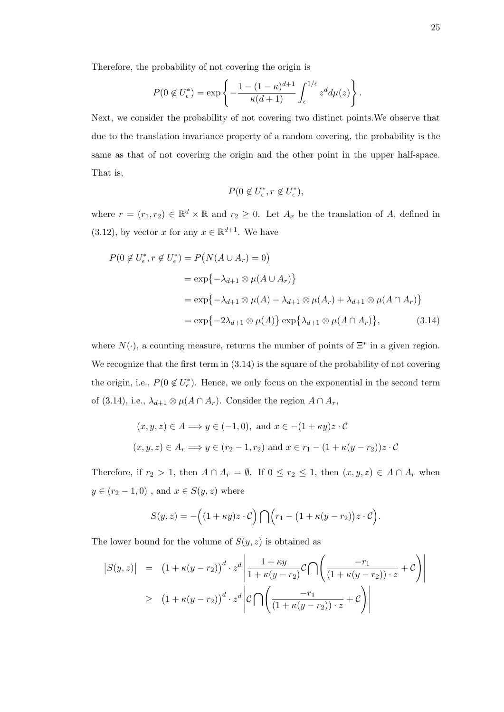Therefore, the probability of not covering the origin is

$$
P(0 \notin U_{\epsilon}^*) = \exp\left\{-\frac{1 - (1 - \kappa)^{d+1}}{\kappa(d+1)} \int_{\epsilon}^{1/\epsilon} z^d d\mu(z)\right\}.
$$

Next, we consider the probability of not covering two distinct points.We observe that due to the translation invariance property of a random covering, the probability is the same as that of not covering the origin and the other point in the upper half-space. That is,

$$
P(0\not\in U_{\epsilon}^*, r\not\in U_{\epsilon}^*),
$$

where  $r = (r_1, r_2) \in \mathbb{R}^d \times \mathbb{R}$  and  $r_2 \geq 0$ . Let  $A_x$  be the translation of A, defined in  $(3.12)$ , by vector x for any  $x \in \mathbb{R}^{d+1}$ . We have

$$
P(0 \notin U_{\epsilon}^*, r \notin U_{\epsilon}^*) = P(N(A \cup A_r) = 0)
$$
  
=  $\exp\{-\lambda_{d+1} \otimes \mu(A \cup A_r)\}$   
=  $\exp\{-\lambda_{d+1} \otimes \mu(A) - \lambda_{d+1} \otimes \mu(A_r) + \lambda_{d+1} \otimes \mu(A \cap A_r)\}$   
=  $\exp\{-2\lambda_{d+1} \otimes \mu(A)\} \exp\{\lambda_{d+1} \otimes \mu(A \cap A_r)\},$  (3.14)

where  $N(\cdot)$ , a counting measure, returns the number of points of  $\Xi^*$  in a given region. We recognize that the first term in  $(3.14)$  is the square of the probability of not covering the origin, i.e.,  $P(0 \notin U_{\epsilon}^*)$ . Hence, we only focus on the exponential in the second term of (3.14), i.e.,  $\lambda_{d+1} \otimes \mu(A \cap A_r)$ . Consider the region  $A \cap A_r$ ,

$$
(x, y, z) \in A \Longrightarrow y \in (-1, 0)
$$
, and  $x \in -(1 + \kappa y)z \cdot C$   
 $(x, y, z) \in A_r \Longrightarrow y \in (r_2 - 1, r_2)$  and  $x \in r_1 - (1 + \kappa(y - r_2))z \cdot C$ 

Therefore, if  $r_2 > 1$ , then  $A \cap A_r = \emptyset$ . If  $0 \le r_2 \le 1$ , then  $(x, y, z) \in A \cap A_r$  when  $y \in (r_2 - 1, 0)$  , and  $x \in S(y, z)$  where

$$
S(y,z) = -\Big((1 + \kappa y)z \cdot C\Big) \bigcap \Big(r_1 - \big(1 + \kappa (y - r_2)\big)z \cdot C\Big).
$$

The lower bound for the volume of  $S(y, z)$  is obtained as

$$
\begin{array}{rcl} \left|S(y,z)\right| & = & \left(1 + \kappa(y-r_2)\right)^d \cdot z^d \left|\frac{1 + \kappa y}{1 + \kappa(y-r_2)}\mathcal{C}\bigcap\left(\frac{-r_1}{\left(1 + \kappa(y-r_2)\right)\cdot z} + \mathcal{C}\right)\right| \\ \\ & \geq & \left(1 + \kappa(y-r_2)\right)^d \cdot z^d \left|\mathcal{C}\bigcap\left(\frac{-r_1}{\left(1 + \kappa(y-r_2)\right)\cdot z} + \mathcal{C}\right)\right|\end{array}
$$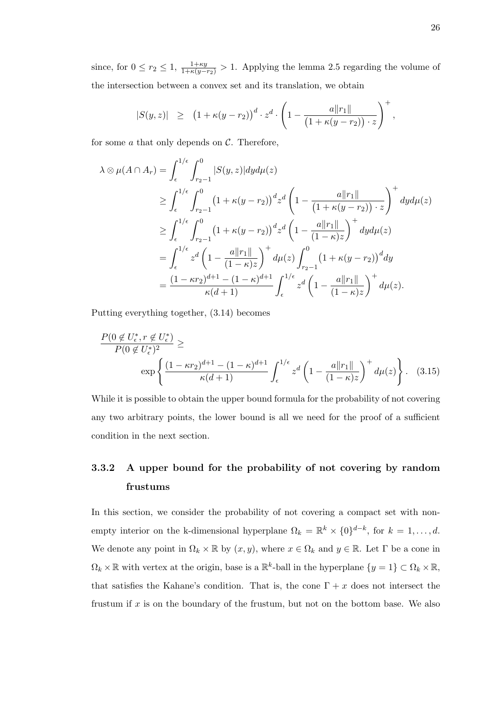since, for  $0 \le r_2 \le 1$ ,  $\frac{1+\kappa y}{1+\kappa(y-r_2)} > 1$ . Applying the lemma 2.5 regarding the volume of the intersection between a convex set and its translation, we obtain

$$
|S(y,z)| \geq (1+\kappa(y-r_2))^{d} \cdot z^d \cdot \left(1-\frac{a\|r_1\|}{(1+\kappa(y-r_2))\cdot z}\right)^+,
$$

for some  $a$  that only depends on  $C$ . Therefore,

$$
\lambda \otimes \mu(A \cap A_r) = \int_{\epsilon}^{1/\epsilon} \int_{r_2-1}^{0} |S(y, z)| dy d\mu(z)
$$
  
\n
$$
\geq \int_{\epsilon}^{1/\epsilon} \int_{r_2-1}^{0} (1 + \kappa(y - r_2))^{d} z^{d} \left(1 - \frac{a ||r_1||}{(1 + \kappa(y - r_2)) \cdot z}\right)^{+} dy d\mu(z)
$$
  
\n
$$
\geq \int_{\epsilon}^{1/\epsilon} \int_{r_2-1}^{0} (1 + \kappa(y - r_2))^{d} z^{d} \left(1 - \frac{a ||r_1||}{(1 - \kappa)z}\right)^{+} dy d\mu(z)
$$
  
\n
$$
= \int_{\epsilon}^{1/\epsilon} z^{d} \left(1 - \frac{a ||r_1||}{(1 - \kappa)z}\right)^{+} d\mu(z) \int_{r_2-1}^{0} (1 + \kappa(y - r_2))^{d} dy
$$
  
\n
$$
= \frac{(1 - \kappa r_2)^{d+1} - (1 - \kappa)^{d+1}}{\kappa(d+1)} \int_{\epsilon}^{1/\epsilon} z^{d} \left(1 - \frac{a ||r_1||}{(1 - \kappa)z}\right)^{+} d\mu(z).
$$

Putting everything together, (3.14) becomes

$$
\frac{P(0 \notin U_{\epsilon}^*, r \notin U_{\epsilon}^*)}{P(0 \notin U_{\epsilon}^*)^2} \ge \exp\left\{\frac{(1 - \kappa r_2)^{d+1} - (1 - \kappa)^{d+1}}{\kappa(d+1)} \int_{\epsilon}^{1/\epsilon} z^d \left(1 - \frac{a\|r_1\|}{(1 - \kappa)z}\right)^+ d\mu(z)\right\}.
$$
 (3.15)

While it is possible to obtain the upper bound formula for the probability of not covering any two arbitrary points, the lower bound is all we need for the proof of a sufficient condition in the next section.

# 3.3.2 A upper bound for the probability of not covering by random frustums

In this section, we consider the probability of not covering a compact set with nonempty interior on the k-dimensional hyperplane  $\Omega_k = \mathbb{R}^k \times \{0\}^{d-k}$ , for  $k = 1, \ldots, d$ . We denote any point in  $\Omega_k \times \mathbb{R}$  by  $(x, y)$ , where  $x \in \Omega_k$  and  $y \in \mathbb{R}$ . Let  $\Gamma$  be a cone in  $\Omega_k \times \mathbb{R}$  with vertex at the origin, base is a  $\mathbb{R}^k$ -ball in the hyperplane  $\{y = 1\} \subset \Omega_k \times \mathbb{R}$ , that satisfies the Kahane's condition. That is, the cone  $\Gamma + x$  does not intersect the frustum if  $x$  is on the boundary of the frustum, but not on the bottom base. We also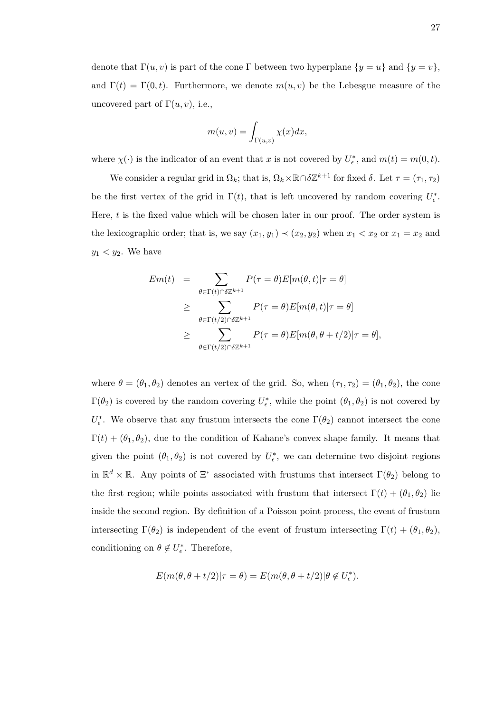denote that  $\Gamma(u, v)$  is part of the cone Γ between two hyperplane  $\{y = u\}$  and  $\{y = v\}$ , and  $\Gamma(t) = \Gamma(0, t)$ . Furthermore, we denote  $m(u, v)$  be the Lebesgue measure of the uncovered part of  $\Gamma(u, v)$ , i.e.,

$$
m(u, v) = \int_{\Gamma(u,v)} \chi(x) dx,
$$

where  $\chi(\cdot)$  is the indicator of an event that x is not covered by  $U_{\epsilon}^*$ , and  $m(t) = m(0, t)$ .

We consider a regular grid in  $\Omega_k$ ; that is,  $\Omega_k \times \mathbb{R} \cap \delta \mathbb{Z}^{k+1}$  for fixed  $\delta$ . Let  $\tau = (\tau_1, \tau_2)$ be the first vertex of the grid in  $\Gamma(t)$ , that is left uncovered by random covering  $U_{\epsilon}^*$ . Here,  $t$  is the fixed value which will be chosen later in our proof. The order system is the lexicographic order; that is, we say  $(x_1, y_1) \prec (x_2, y_2)$  when  $x_1 < x_2$  or  $x_1 = x_2$  and  $y_1 < y_2$ . We have

$$
Em(t) = \sum_{\theta \in \Gamma(t) \cap \delta \mathbb{Z}^{k+1}} P(\tau = \theta) E[m(\theta, t) | \tau = \theta]
$$
  
\n
$$
\geq \sum_{\theta \in \Gamma(t/2) \cap \delta \mathbb{Z}^{k+1}} P(\tau = \theta) E[m(\theta, t) | \tau = \theta]
$$
  
\n
$$
\geq \sum_{\theta \in \Gamma(t/2) \cap \delta \mathbb{Z}^{k+1}} P(\tau = \theta) E[m(\theta, \theta + t/2) | \tau = \theta],
$$

where  $\theta = (\theta_1, \theta_2)$  denotes an vertex of the grid. So, when  $(\tau_1, \tau_2) = (\theta_1, \theta_2)$ , the cone  $\Gamma(\theta_2)$  is covered by the random covering  $U_{\epsilon}^*$ , while the point  $(\theta_1, \theta_2)$  is not covered by  $U_{\epsilon}^*$ . We observe that any frustum intersects the cone  $\Gamma(\theta_2)$  cannot intersect the cone  $\Gamma(t) + (\theta_1, \theta_2)$ , due to the condition of Kahane's convex shape family. It means that given the point  $(\theta_1, \theta_2)$  is not covered by  $U_{\epsilon}^*$ , we can determine two disjoint regions in  $\mathbb{R}^d \times \mathbb{R}$ . Any points of  $\Xi^*$  associated with frustums that intersect  $\Gamma(\theta_2)$  belong to the first region; while points associated with frustum that intersect  $\Gamma(t) + (\theta_1, \theta_2)$  lie inside the second region. By definition of a Poisson point process, the event of frustum intersecting  $\Gamma(\theta_2)$  is independent of the event of frustum intersecting  $\Gamma(t) + (\theta_1, \theta_2)$ , conditioning on  $\theta \notin U_{\epsilon}^*$ . Therefore,

$$
E(m(\theta, \theta + t/2)|\tau = \theta) = E(m(\theta, \theta + t/2)|\theta \notin U_{\epsilon}^*).
$$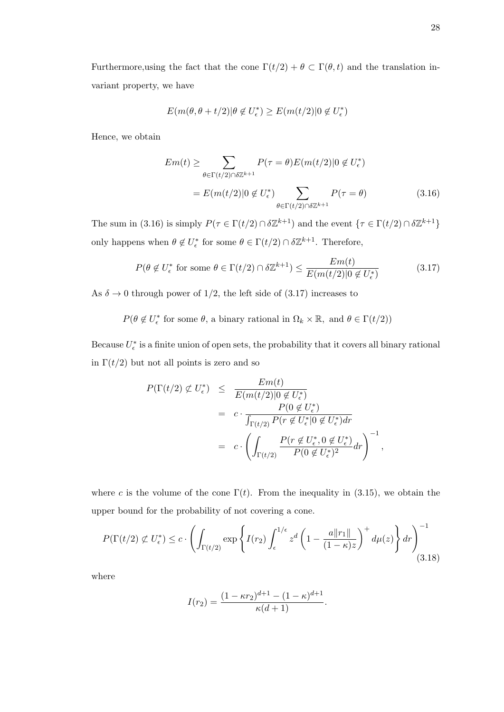Furthermore, using the fact that the cone  $\Gamma(t/2) + \theta \subset \Gamma(\theta, t)$  and the translation invariant property, we have

$$
E(m(\theta, \theta + t/2)|\theta \notin U_{\epsilon}^*) \ge E(m(t/2)|0 \notin U_{\epsilon}^*)
$$

Hence, we obtain

$$
Em(t) \geq \sum_{\theta \in \Gamma(t/2) \cap \delta \mathbb{Z}^{k+1}} P(\tau = \theta) E(m(t/2) | 0 \notin U_{\epsilon}^*)
$$
  
= 
$$
E(m(t/2) | 0 \notin U_{\epsilon}^*) \sum_{\theta \in \Gamma(t/2) \cap \delta \mathbb{Z}^{k+1}} P(\tau = \theta)
$$
(3.16)

The sum in (3.16) is simply  $P(\tau \in \Gamma(t/2) \cap \delta \mathbb{Z}^{k+1})$  and the event  $\{\tau \in \Gamma(t/2) \cap \delta \mathbb{Z}^{k+1}\}\$ only happens when  $\theta \notin U_{\epsilon}^*$  for some  $\theta \in \Gamma(t/2) \cap \delta \mathbb{Z}^{k+1}$ . Therefore,

$$
P(\theta \notin U_{\epsilon}^* \text{ for some } \theta \in \Gamma(t/2) \cap \delta \mathbb{Z}^{k+1}) \le \frac{Em(t)}{E(m(t/2)|0 \notin U_{\epsilon}^*)}
$$
(3.17)

As  $\delta \to 0$  through power of 1/2, the left side of (3.17) increases to

 $P(\theta \notin U_{\epsilon}^*$  for some  $\theta$ , a binary rational in  $\Omega_k \times \mathbb{R}$ , and  $\theta \in \Gamma(t/2)$ )

Because  $U_{\epsilon}^*$  is a finite union of open sets, the probability that it covers all binary rational in  $\Gamma(t/2)$  but not all points is zero and so

$$
P(\Gamma(t/2) \not\subset U_{\epsilon}^{*}) \leq \frac{Em(t)}{E(m(t/2)|0 \not\in U_{\epsilon}^{*})}
$$
  
= 
$$
c \cdot \frac{P(0 \not\in U_{\epsilon}^{*})}{\int_{\Gamma(t/2)} P(r \not\in U_{\epsilon}^{*}|0 \not\in U_{\epsilon}^{*}) dr}
$$
  
= 
$$
c \cdot \left(\int_{\Gamma(t/2)} \frac{P(r \not\in U_{\epsilon}^{*}, 0 \not\in U_{\epsilon}^{*})}{P(0 \not\in U_{\epsilon}^{*})^{2}} dr\right)^{-1}
$$

,

where c is the volume of the cone  $\Gamma(t)$ . From the inequality in (3.15), we obtain the upper bound for the probability of not covering a cone.

$$
P(\Gamma(t/2) \not\subset U_{\epsilon}^*) \le c \cdot \left( \int_{\Gamma(t/2)} \exp \left\{ I(r_2) \int_{\epsilon}^{1/\epsilon} z^d \left( 1 - \frac{a \|r_1\|}{(1 - \kappa)z} \right)^+ d\mu(z) \right\} dr \right)^{-1}
$$
\n(3.18)

where

$$
I(r_2) = \frac{(1 - \kappa r_2)^{d+1} - (1 - \kappa)^{d+1}}{\kappa(d+1)}.
$$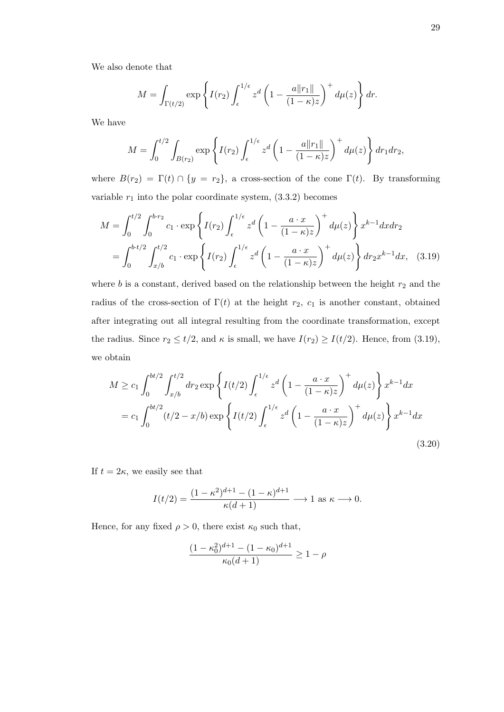We also denote that

$$
M = \int_{\Gamma(t/2)} \exp\left\{ I(r_2) \int_{\epsilon}^{1/\epsilon} z^d \left( 1 - \frac{a \|r_1\|}{(1 - \kappa)z} \right)^+ d\mu(z) \right\} dr.
$$

We have

$$
M = \int_0^{t/2} \int_{B(r_2)} \exp\left\{ I(r_2) \int_{\epsilon}^{1/\epsilon} z^d \left( 1 - \frac{a\|r_1\|}{(1-\kappa)z} \right)^+ d\mu(z) \right\} dr_1 dr_2,
$$

where  $B(r_2) = \Gamma(t) \cap \{y = r_2\}$ , a cross-section of the cone  $\Gamma(t)$ . By transforming variable  $r_1$  into the polar coordinate system,  $(3.3.2)$  becomes

$$
M = \int_0^{t/2} \int_0^{b \cdot r_2} c_1 \cdot \exp \left\{ I(r_2) \int_{\epsilon}^{1/\epsilon} z^d \left( 1 - \frac{a \cdot x}{(1 - \kappa)z} \right)^+ d\mu(z) \right\} x^{k-1} dx dr_2
$$
  
= 
$$
\int_0^{b \cdot t/2} \int_{x/b}^{t/2} c_1 \cdot \exp \left\{ I(r_2) \int_{\epsilon}^{1/\epsilon} z^d \left( 1 - \frac{a \cdot x}{(1 - \kappa)z} \right)^+ d\mu(z) \right\} dr_2 x^{k-1} dx, \quad (3.19)
$$

where  $b$  is a constant, derived based on the relationship between the height  $r_2$  and the radius of the cross-section of  $\Gamma(t)$  at the height  $r_2$ ,  $c_1$  is another constant, obtained after integrating out all integral resulting from the coordinate transformation, except the radius. Since  $r_2 \le t/2$ , and  $\kappa$  is small, we have  $I(r_2) \ge I(t/2)$ . Hence, from (3.19), we obtain

$$
M \ge c_1 \int_0^{bt/2} \int_{x/b}^{t/2} dr_2 \exp \left\{ I(t/2) \int_{\epsilon}^{1/\epsilon} z^d \left( 1 - \frac{a \cdot x}{(1 - \kappa)z} \right)^+ d\mu(z) \right\} x^{k-1} dx
$$
  
=  $c_1 \int_0^{bt/2} (t/2 - x/b) \exp \left\{ I(t/2) \int_{\epsilon}^{1/\epsilon} z^d \left( 1 - \frac{a \cdot x}{(1 - \kappa)z} \right)^+ d\mu(z) \right\} x^{k-1} dx$  (3.20)

If  $t = 2\kappa$ , we easily see that

$$
I(t/2) = \frac{(1 - \kappa^2)^{d+1} - (1 - \kappa)^{d+1}}{\kappa(d+1)} \longrightarrow 1 \text{ as } \kappa \longrightarrow 0.
$$

Hence, for any fixed  $\rho > 0$ , there exist  $\kappa_0$  such that,

$$
\frac{(1 - \kappa_0^2)^{d+1} - (1 - \kappa_0)^{d+1}}{\kappa_0(d+1)} \ge 1 - \rho
$$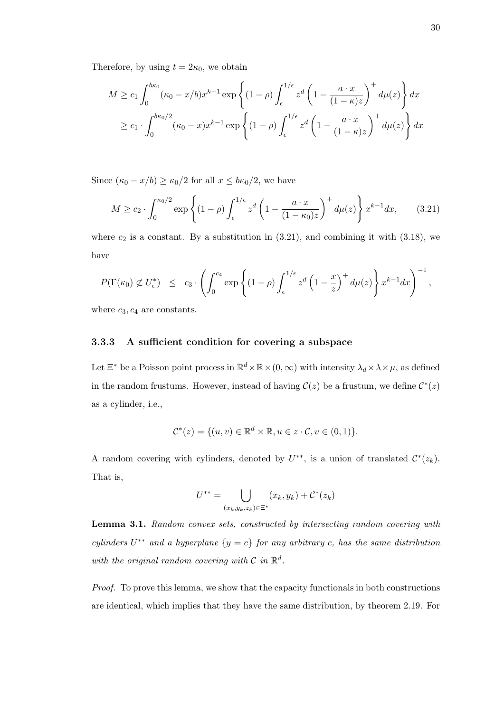Therefore, by using  $t = 2\kappa_0$ , we obtain

$$
M \ge c_1 \int_0^{b\kappa_0} (\kappa_0 - x/b)x^{k-1} \exp\left\{ (1 - \rho) \int_{\epsilon}^{1/\epsilon} z^d \left( 1 - \frac{a \cdot x}{(1 - \kappa)z} \right)^+ d\mu(z) \right\} dx
$$
  
 
$$
\ge c_1 \cdot \int_0^{b\kappa_0/2} (\kappa_0 - x)x^{k-1} \exp\left\{ (1 - \rho) \int_{\epsilon}^{1/\epsilon} z^d \left( 1 - \frac{a \cdot x}{(1 - \kappa)z} \right)^+ d\mu(z) \right\} dx
$$

Since  $(\kappa_0 - x/b) \ge \kappa_0/2$  for all  $x \le b\kappa_0/2$ , we have

$$
M \ge c_2 \cdot \int_0^{\kappa_0/2} \exp\left\{ (1 - \rho) \int_{\epsilon}^{1/\epsilon} z^d \left( 1 - \frac{a \cdot x}{(1 - \kappa_0)z} \right)^+ d\mu(z) \right\} x^{k-1} dx, \qquad (3.21)
$$

where  $c_2$  is a constant. By a substitution in  $(3.21)$ , and combining it with  $(3.18)$ , we have

$$
P(\Gamma(\kappa_0) \not\subset U_{\epsilon}^*) \leq c_3 \cdot \left( \int_0^{c_4} \exp \left\{ (1-\rho) \int_{\epsilon}^{1/\epsilon} z^d \left( 1 - \frac{x}{z} \right)^+ d\mu(z) \right\} x^{k-1} dx \right)^{-1},
$$

where  $c_3, c_4$  are constants.

### 3.3.3 A sufficient condition for covering a subspace

Let  $\Xi^*$  be a Poisson point process in  $\mathbb{R}^d \times \mathbb{R} \times (0, \infty)$  with intensity  $\lambda_d \times \lambda \times \mu$ , as defined in the random frustums. However, instead of having  $\mathcal{C}(z)$  be a frustum, we define  $\mathcal{C}^*(z)$ as a cylinder, i.e.,

$$
\mathcal{C}^*(z) = \{(u, v) \in \mathbb{R}^d \times \mathbb{R}, u \in z \cdot \mathcal{C}, v \in (0, 1)\}.
$$

A random covering with cylinders, denoted by  $U^{**}$ , is a union of translated  $\mathcal{C}^*(z_k)$ . That is,

$$
U^{**} = \bigcup_{(x_k,y_k,z_k)\in \Xi^*} (x_k,y_k) + \mathcal{C}^*(z_k)
$$

Lemma 3.1. Random convex sets, constructed by intersecting random covering with cylinders  $U^{**}$  and a hyperplane  $\{y = c\}$  for any arbitrary c, has the same distribution with the original random covering with  $\mathcal C$  in  $\mathbb R^d$ .

Proof. To prove this lemma, we show that the capacity functionals in both constructions are identical, which implies that they have the same distribution, by theorem 2.19. For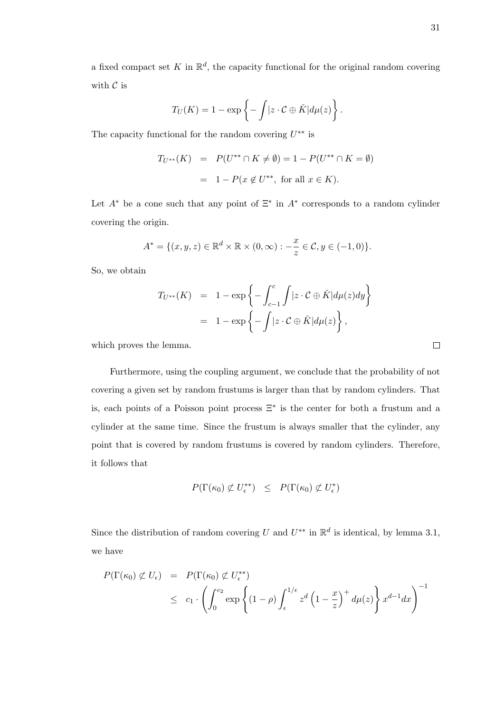$$
T_U(K) = 1 - \exp\left\{-\int |z \cdot C \oplus \check{K}| d\mu(z)\right\}.
$$

The capacity functional for the random covering  $U^{**}$  is

$$
T_{U^{**}}(K) = P(U^{**} \cap K \neq \emptyset) = 1 - P(U^{**} \cap K = \emptyset)
$$
  
= 1 - P(x \notin U^{\*\*}, for all  $x \in K$ ).

Let  $A^*$  be a cone such that any point of  $\Xi^*$  in  $A^*$  corresponds to a random cylinder covering the origin.

$$
A^* = \{ (x, y, z) \in \mathbb{R}^d \times \mathbb{R} \times (0, \infty) : -\frac{x}{z} \in \mathcal{C}, y \in (-1, 0) \}.
$$

So, we obtain

$$
T_{U^{**}}(K) = 1 - \exp\left\{-\int_{c-1}^{c} \int |z \cdot C \oplus \check{K}| d\mu(z) dy\right\}
$$
  
= 1 - \exp\left\{-\int |z \cdot C \oplus \check{K}| d\mu(z)\right\},

which proves the lemma.

Furthermore, using the coupling argument, we conclude that the probability of not covering a given set by random frustums is larger than that by random cylinders. That is, each points of a Poisson point process  $\Xi^*$  is the center for both a frustum and a cylinder at the same time. Since the frustum is always smaller that the cylinder, any point that is covered by random frustums is covered by random cylinders. Therefore, it follows that

$$
P(\Gamma(\kappa_0) \not\subset U_{\epsilon}^{**}) \leq P(\Gamma(\kappa_0) \not\subset U_{\epsilon}^*)
$$

Since the distribution of random covering U and  $U^{**}$  in  $\mathbb{R}^d$  is identical, by lemma 3.1, we have

$$
P(\Gamma(\kappa_0) \not\subset U_{\epsilon}) = P(\Gamma(\kappa_0) \not\subset U_{\epsilon}^{**})
$$
  
 
$$
\leq c_1 \cdot \left( \int_0^{c_2} \exp \left\{ (1 - \rho) \int_{\epsilon}^{1/\epsilon} z^d \left( 1 - \frac{x}{z} \right)^+ d\mu(z) \right\} x^{d-1} dx \right)^{-1}
$$

 $\Box$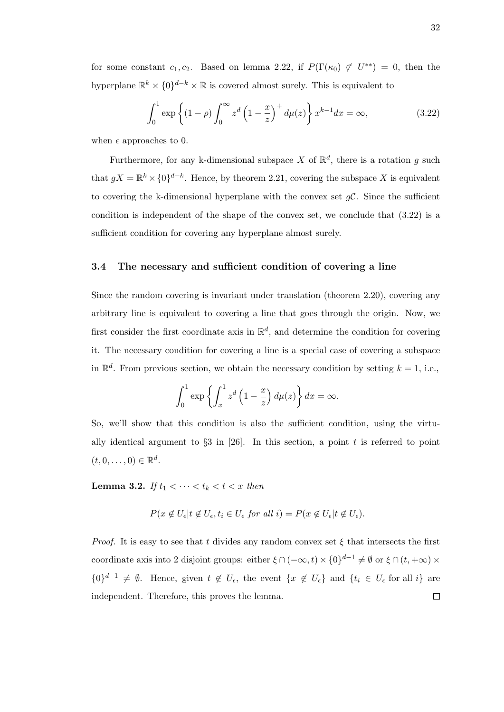for some constant  $c_1, c_2$ . Based on lemma 2.22, if  $P(\Gamma(\kappa_0) \not\subset U^{**}) = 0$ , then the hyperplane  $\mathbb{R}^k \times \{0\}^{d-k} \times \mathbb{R}$  is covered almost surely. This is equivalent to

$$
\int_0^1 \exp\left\{(1-\rho)\int_0^\infty z^d \left(1-\frac{x}{z}\right)^+ d\mu(z)\right\} x^{k-1} dx = \infty,
$$
\n(3.22)

when  $\epsilon$  approaches to 0.

Furthermore, for any k-dimensional subspace X of  $\mathbb{R}^d$ , there is a rotation g such that  $gX = \mathbb{R}^k \times \{0\}^{d-k}$ . Hence, by theorem 2.21, covering the subspace X is equivalent to covering the k-dimensional hyperplane with the convex set  $qC$ . Since the sufficient condition is independent of the shape of the convex set, we conclude that (3.22) is a sufficient condition for covering any hyperplane almost surely.

#### 3.4 The necessary and sufficient condition of covering a line

Since the random covering is invariant under translation (theorem 2.20), covering any arbitrary line is equivalent to covering a line that goes through the origin. Now, we first consider the first coordinate axis in  $\mathbb{R}^d$ , and determine the condition for covering it. The necessary condition for covering a line is a special case of covering a subspace in  $\mathbb{R}^d$ . From previous section, we obtain the necessary condition by setting  $k = 1$ , i.e.,

$$
\int_0^1 \exp\left\{ \int_x^1 z^d \left(1 - \frac{x}{z}\right) d\mu(z) \right\} dx = \infty.
$$

So, we'll show that this condition is also the sufficient condition, using the virtually identical argument to  $\S$ 3 in [26]. In this section, a point t is referred to point  $(t,0,\ldots,0) \in \mathbb{R}^d$ .

Lemma 3.2. If  $t_1 < \cdots < t_k < t < x$  then

$$
P(x \notin U_{\epsilon} | t \notin U_{\epsilon}, t_i \in U_{\epsilon} \text{ for all } i) = P(x \notin U_{\epsilon} | t \notin U_{\epsilon}).
$$

*Proof.* It is easy to see that t divides any random convex set  $\xi$  that intersects the first coordinate axis into 2 disjoint groups: either  $\xi \cap (-\infty, t) \times \{0\}^{d-1} \neq \emptyset$  or  $\xi \cap (t, +\infty) \times$  ${0}^{d-1} \neq \emptyset$ . Hence, given  $t \notin U_{\epsilon}$ , the event  ${x \notin U_{\epsilon}}$  and  ${t_i \in U_{\epsilon}}$  for all i} are independent. Therefore, this proves the lemma. $\Box$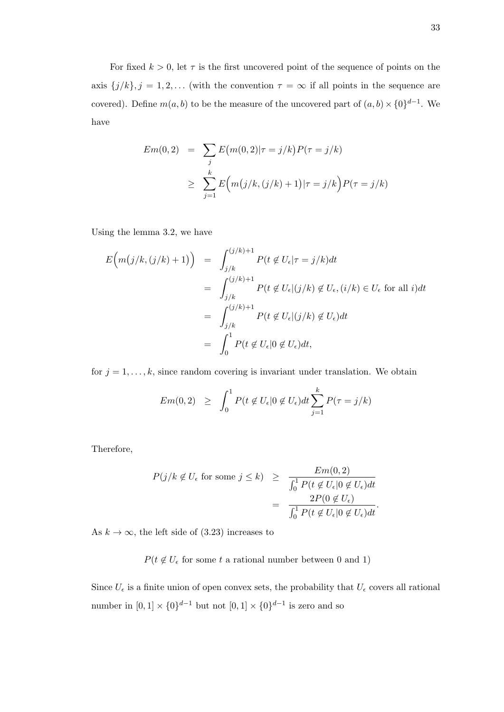For fixed  $k > 0$ , let  $\tau$  is the first uncovered point of the sequence of points on the axis  ${j/k}, j = 1, 2, ...$  (with the convention  $\tau = \infty$  if all points in the sequence are covered). Define  $m(a, b)$  to be the measure of the uncovered part of  $(a, b) \times \{0\}^{d-1}$ . We have

$$
Em(0,2) = \sum_{j} E(m(0,2)|\tau = j/k) P(\tau = j/k)
$$
  
 
$$
\geq \sum_{j=1}^{k} E(m(j/k, (j/k) + 1)|\tau = j/k) P(\tau = j/k)
$$

Using the lemma 3.2, we have

$$
E(m(j/k, (j/k) + 1)) = \int_{j/k}^{(j/k)+1} P(t \notin U_{\epsilon} | \tau = j/k) dt
$$
  

$$
= \int_{j/k}^{(j/k)+1} P(t \notin U_{\epsilon} | (j/k) \notin U_{\epsilon}, (i/k) \in U_{\epsilon} \text{ for all } i) dt
$$
  

$$
= \int_{j/k}^{(j/k)+1} P(t \notin U_{\epsilon} | (j/k) \notin U_{\epsilon}) dt
$$
  

$$
= \int_{0}^{1} P(t \notin U_{\epsilon} | 0 \notin U_{\epsilon}) dt,
$$

for  $j = 1, \ldots, k$ , since random covering is invariant under translation. We obtain

$$
Em(0,2) \geq \int_0^1 P(t \notin U_{\epsilon}|0 \notin U_{\epsilon}) dt \sum_{j=1}^k P(\tau = j/k)
$$

Therefore,

$$
P(j/k \notin U_{\epsilon} \text{ for some } j \leq k) \geq \frac{Em(0, 2)}{\int_0^1 P(t \notin U_{\epsilon}|0 \notin U_{\epsilon})dt}
$$

$$
= \frac{2P(0 \notin U_{\epsilon})}{\int_0^1 P(t \notin U_{\epsilon}|0 \notin U_{\epsilon})dt}.
$$

As  $k \to \infty$ , the left side of (3.23) increases to

 $P(t \notin U_{\epsilon}$  for some t a rational number between 0 and 1)

Since  $U_{\epsilon}$  is a finite union of open convex sets, the probability that  $U_{\epsilon}$  covers all rational number in  $[0,1] \times \{0\}^{d-1}$  but not  $[0,1] \times \{0\}^{d-1}$  is zero and so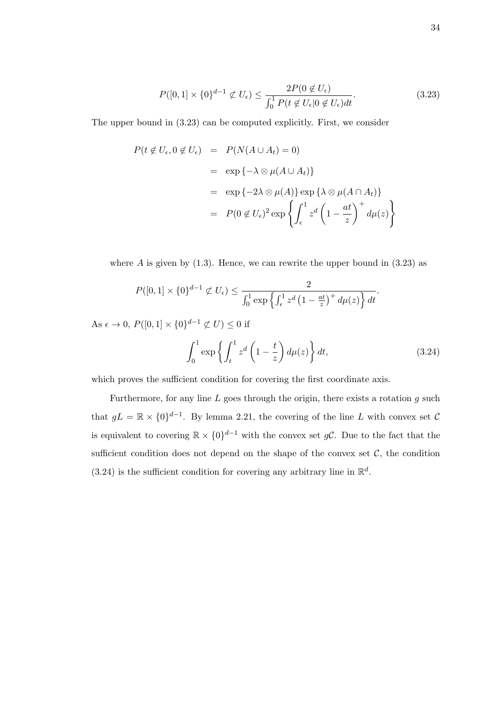$$
P([0,1] \times \{0\}^{d-1} \not\subset U_{\epsilon}) \le \frac{2P(0 \not\in U_{\epsilon})}{\int_0^1 P(t \not\in U_{\epsilon}|0 \not\in U_{\epsilon})dt}.\tag{3.23}
$$

The upper bound in (3.23) can be computed explicitly. First, we consider

$$
P(t \notin U_{\epsilon}, 0 \notin U_{\epsilon}) = P(N(A \cup A_{t}) = 0)
$$
  
= 
$$
\exp \{-\lambda \otimes \mu(A \cup A_{t})\}
$$
  
= 
$$
\exp \{-2\lambda \otimes \mu(A)\} \exp \{\lambda \otimes \mu(A \cap A_{t})\}
$$
  
= 
$$
P(0 \notin U_{\epsilon})^{2} \exp \{\int_{\epsilon}^{1} z^{d} \left(1 - \frac{at}{z}\right)^{+} d\mu(z)\}
$$

where  $A$  is given by  $(1.3)$ . Hence, we can rewrite the upper bound in  $(3.23)$  as

$$
P([0,1] \times \{0\}^{d-1} \not\subset U_{\epsilon}) \leq \frac{2}{\int_0^1 \exp\left\{\int_{\epsilon}^1 z^d \left(1 - \frac{at}{z}\right)^+ d\mu(z)\right\} dt}.
$$

As  $\epsilon \to 0$ ,  $P([0,1] \times \{0\}^{d-1} \not\subset U) \leq 0$  if

$$
\int_0^1 \exp\left\{ \int_t^1 z^d \left( 1 - \frac{t}{z} \right) d\mu(z) \right\} dt,
$$
\n(3.24)

which proves the sufficient condition for covering the first coordinate axis.

Furthermore, for any line  $L$  goes through the origin, there exists a rotation  $q$  such that  $gL = \mathbb{R} \times \{0\}^{d-1}$ . By lemma 2.21, the covering of the line L with convex set C is equivalent to covering  $\mathbb{R} \times \{0\}^{d-1}$  with the convex set gC. Due to the fact that the sufficient condition does not depend on the shape of the convex set  $C$ , the condition  $(3.24)$  is the sufficient condition for covering any arbitrary line in  $\mathbb{R}^d$ .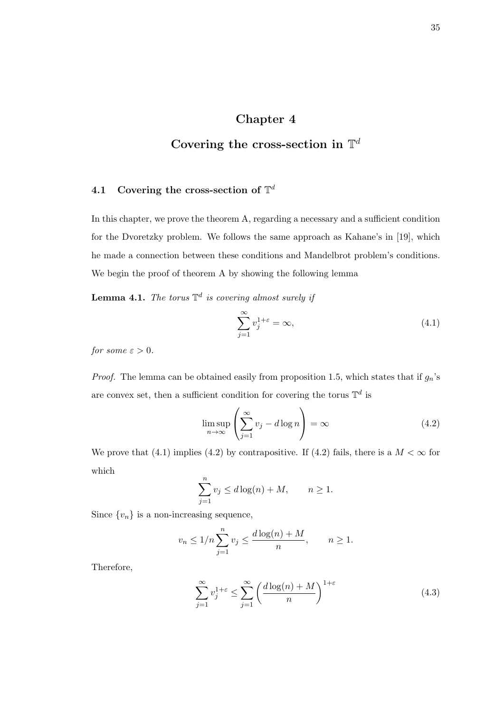## Chapter 4

# Covering the cross-section in  $\mathbb{T}^d$

## 4.1 Covering the cross-section of  $\mathbb{T}^d$

In this chapter, we prove the theorem A, regarding a necessary and a sufficient condition for the Dvoretzky problem. We follows the same approach as Kahane's in [19], which he made a connection between these conditions and Mandelbrot problem's conditions. We begin the proof of theorem A by showing the following lemma

**Lemma 4.1.** The torus  $\mathbb{T}^d$  is covering almost surely if

$$
\sum_{j=1}^{\infty} v_j^{1+\varepsilon} = \infty,
$$
\n(4.1)

for some  $\varepsilon > 0$ .

*Proof.* The lemma can be obtained easily from proposition 1.5, which states that if  $g_n$ 's are convex set, then a sufficient condition for covering the torus  $\mathbb{T}^d$  is

$$
\limsup_{n \to \infty} \left( \sum_{j=1}^{\infty} v_j - d \log n \right) = \infty \tag{4.2}
$$

We prove that (4.1) implies (4.2) by contrapositive. If (4.2) fails, there is a  $M < \infty$  for which

$$
\sum_{j=1}^{n} v_j \le d \log(n) + M, \qquad n \ge 1.
$$

Since  $\{v_n\}$  is a non-increasing sequence,

$$
v_n \le 1/n \sum_{j=1}^n v_j \le \frac{d \log(n) + M}{n}, \qquad n \ge 1.
$$

Therefore,

$$
\sum_{j=1}^{\infty} v_j^{1+\varepsilon} \le \sum_{j=1}^{\infty} \left( \frac{d \log(n) + M}{n} \right)^{1+\varepsilon} \tag{4.3}
$$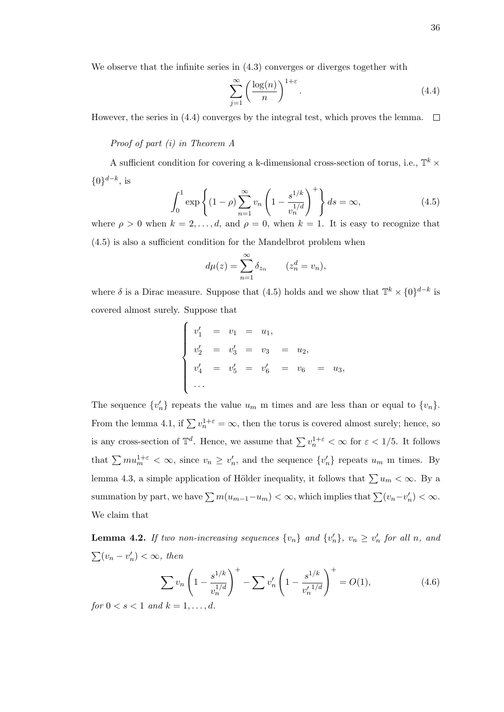We observe that the infinite series in  $(4.3)$  converges or diverges together with

$$
\sum_{j=1}^{\infty} \left( \frac{\log(n)}{n} \right)^{1+\varepsilon} . \tag{4.4}
$$

However, the series in (4.4) converges by the integral test, which proves the lemma.  $\Box$ 

#### Proof of part (i) in Theorem A

A sufficient condition for covering a k-dimensional cross-section of torus, i.e.,  $\mathbb{T}^k$  ×  $\{0\}^{d-k}$ , is

$$
\int_0^1 \exp\left\{ (1-\rho) \sum_{n=1}^\infty v_n \left( 1 - \frac{s^{1/k}}{v_n^{1/d}} \right)^+ \right\} ds = \infty, \tag{4.5}
$$

where  $\rho > 0$  when  $k = 2, ..., d$ , and  $\rho = 0$ , when  $k = 1$ . It is easy to recognize that (4.5) is also a sufficient condition for the Mandelbrot problem when

$$
d\mu(z) = \sum_{n=1}^{\infty} \delta_{z_n} \qquad (z_n^d = v_n),
$$

where  $\delta$  is a Dirac measure. Suppose that (4.5) holds and we show that  $\mathbb{T}^k \times \{0\}^{d-k}$  is covered almost surely. Suppose that

$$
\begin{cases}\nv'_1 = v_1 = u_1, \\
v'_2 = v'_3 = v_3 = u_2, \\
v'_4 = v'_5 = v'_6 = v_6 = u_3, \\
\cdots\n\end{cases}
$$

The sequence  $\{v'_n\}$  repeats the value  $u_m$  m times and are less than or equal to  $\{v_n\}$ . From the lemma 4.1, if  $\sum v_n^{1+\epsilon} = \infty$ , then the torus is covered almost surely; hence, so is any cross-section of  $\mathbb{T}^d$ . Hence, we assume that  $\sum v_n^{1+\varepsilon} < \infty$  for  $\varepsilon < 1/5$ . It follows that  $\sum m u_m^{1+\varepsilon} < \infty$ , since  $v_n \ge v'_n$ , and the sequence  $\{v'_n\}$  repeats  $u_m$  m times. By lemma 4.3, a simple application of Hölder inequality, it follows that  $\sum u_m < \infty$ . By a summation by part, we have  $\sum m(u_{m-1}-u_m) < \infty$ , which implies that  $\sum (v_n-v'_n) < \infty$ . We claim that

**Lemma 4.2.** If two non-increasing sequences  $\{v_n\}$  and  $\{v'_n\}$ ,  $v_n \ge v'_n$  for all n, and  $\sum (v_n - v'_n) < \infty$ , then

$$
\sum v_n \left(1 - \frac{s^{1/k}}{v_n^{1/d}}\right)^+ - \sum v'_n \left(1 - \frac{s^{1/k}}{v'_n^{1/d}}\right)^+ = O(1),\tag{4.6}
$$

for  $0 \leq s \leq 1$  and  $k = 1, \ldots, d$ .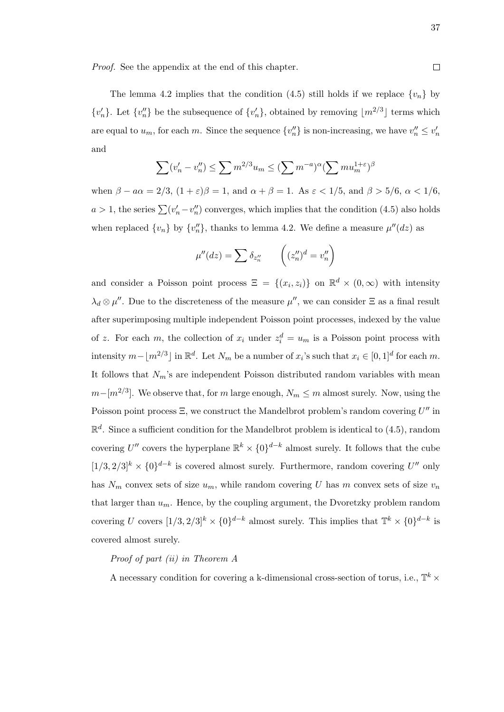Proof. See the appendix at the end of this chapter.

The lemma 4.2 implies that the condition (4.5) still holds if we replace  $\{v_n\}$  by  $\{v'_n\}$ . Let  $\{v''_n\}$  be the subsequence of  $\{v'_n\}$ , obtained by removing  $\lfloor m^{2/3} \rfloor$  terms which are equal to  $u_m$ , for each m. Since the sequence  $\{v''_n\}$  is non-increasing, we have  $v''_n \leq v'_m$ and

$$
\sum (v'_n - v''_n) \le \sum m^{2/3} u_m \le (\sum m^{-a})^{\alpha} (\sum m u_m^{1+\varepsilon})^{\beta}
$$

when  $\beta - a\alpha = 2/3$ ,  $(1 + \varepsilon)\beta = 1$ , and  $\alpha + \beta = 1$ . As  $\varepsilon < 1/5$ , and  $\beta > 5/6$ ,  $\alpha < 1/6$ ,  $a > 1$ , the series  $\sum (v'_n - v''_n)$  converges, which implies that the condition (4.5) also holds when replaced  $\{v_n\}$  by  $\{v''_n\}$ , thanks to lemma 4.2. We define a measure  $\mu''(dz)$  as

$$
\mu''(dz) = \sum \delta_{z_n''} \qquad \left( (z_n'')^d = v_n'' \right)
$$

and consider a Poisson point process  $\Xi = \{(x_i, z_i)\}\$ on  $\mathbb{R}^d \times (0, \infty)$  with intensity  $\lambda_d \otimes \mu''$ . Due to the discreteness of the measure  $\mu''$ , we can consider  $\Xi$  as a final result after superimposing multiple independent Poisson point processes, indexed by the value of z. For each m, the collection of  $x_i$  under  $z_i^d = u_m$  is a Poisson point process with intensity  $m - \lfloor m^{2/3} \rfloor$  in  $\mathbb{R}^d$ . Let  $N_m$  be a number of  $x_i$ 's such that  $x_i \in [0, 1]^d$  for each m. It follows that  $N_m$ 's are independent Poisson distributed random variables with mean  $m-[m^{2/3}]$ . We observe that, for m large enough,  $N_m \le m$  almost surely. Now, using the Poisson point process  $\Xi$ , we construct the Mandelbrot problem's random covering  $U''$  in  $\mathbb{R}^d$ . Since a sufficient condition for the Mandelbrot problem is identical to (4.5), random covering U'' covers the hyperplane  $\mathbb{R}^k \times \{0\}^{d-k}$  almost surely. It follows that the cube  $[1/3, 2/3]^k \times \{0\}^{d-k}$  is covered almost surely. Furthermore, random covering U'' only has  $N_m$  convex sets of size  $u_m$ , while random covering U has m convex sets of size  $v_n$ that larger than  $u_m$ . Hence, by the coupling argument, the Dvoretzky problem random covering U covers  $[1/3, 2/3]^k \times \{0\}^{d-k}$  almost surely. This implies that  $\mathbb{T}^k \times \{0\}^{d-k}$  is covered almost surely.

#### Proof of part (ii) in Theorem A

A necessary condition for covering a k-dimensional cross-section of torus, i.e.,  $\mathbb{T}^k$  ×

 $\Box$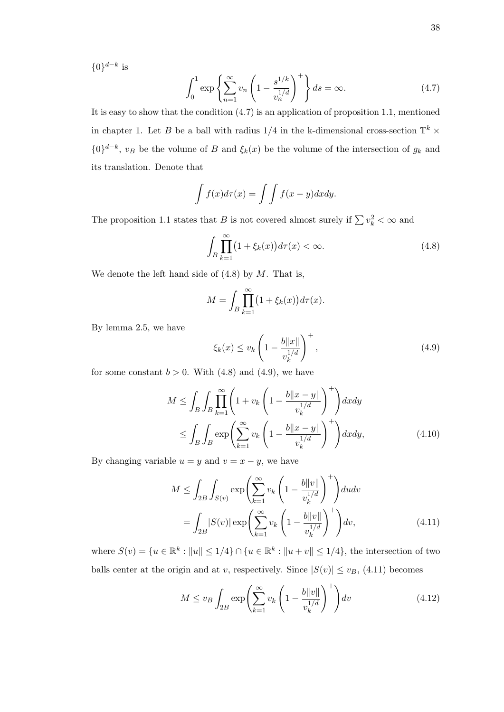$\{0\}^{d-k}$  is

$$
\int_0^1 \exp\left\{\sum_{n=1}^\infty v_n \left(1 - \frac{s^{1/k}}{v_n^{1/d}}\right)^+\right\} ds = \infty. \tag{4.7}
$$

It is easy to show that the condition (4.7) is an application of proposition 1.1, mentioned in chapter 1. Let B be a ball with radius  $1/4$  in the k-dimensional cross-section  $\mathbb{T}^k$  ×  $\{0\}^{d-k}$ ,  $v_B$  be the volume of B and  $\xi_k(x)$  be the volume of the intersection of  $g_k$  and its translation. Denote that

$$
\int f(x)d\tau(x) = \int \int f(x-y)dxdy.
$$

The proposition 1.1 states that B is not covered almost surely if  $\sum v_k^2 < \infty$  and

$$
\int_{B} \prod_{k=1}^{\infty} \left(1 + \xi_k(x)\right) d\tau(x) < \infty. \tag{4.8}
$$

We denote the left hand side of  $(4.8)$  by M. That is,

$$
M = \int_{B} \prod_{k=1}^{\infty} (1 + \xi_k(x)) d\tau(x).
$$

By lemma 2.5, we have

$$
\xi_k(x) \le v_k \left(1 - \frac{b\|x\|}{v_k^{1/d}}\right)^+,\tag{4.9}
$$

for some constant  $b > 0$ . With  $(4.8)$  and  $(4.9)$ , we have

$$
M \leq \int_{B} \int_{B} \prod_{k=1}^{\infty} \left( 1 + v_k \left( 1 - \frac{b \|x - y\|}{v_k^{1/d}} \right)^{+} \right) dx dy
$$
  

$$
\leq \int_{B} \int_{B} \exp \left( \sum_{k=1}^{\infty} v_k \left( 1 - \frac{b \|x - y\|}{v_k^{1/d}} \right)^{+} \right) dx dy, \tag{4.10}
$$

By changing variable  $u = y$  and  $v = x - y$ , we have

$$
M \leq \int_{2B} \int_{S(v)} \exp\left(\sum_{k=1}^{\infty} v_k \left(1 - \frac{b||v||}{v_k^{1/d}}\right)^+\right) du dv
$$

$$
= \int_{2B} |S(v)| \exp\left(\sum_{k=1}^{\infty} v_k \left(1 - \frac{b||v||}{v_k^{1/d}}\right)^+\right) dv,
$$
(4.11)

where  $S(v) = \{u \in \mathbb{R}^k : ||u|| \leq 1/4\} \cap \{u \in \mathbb{R}^k : ||u + v|| \leq 1/4\}$ , the intersection of two balls center at the origin and at v, respectively. Since  $|S(v)| \le v_B$ , (4.11) becomes

$$
M \le v_B \int_{2B} \exp\left(\sum_{k=1}^{\infty} v_k \left(1 - \frac{b \|v\|}{v_k^{1/d}}\right)^+\right) dv \tag{4.12}
$$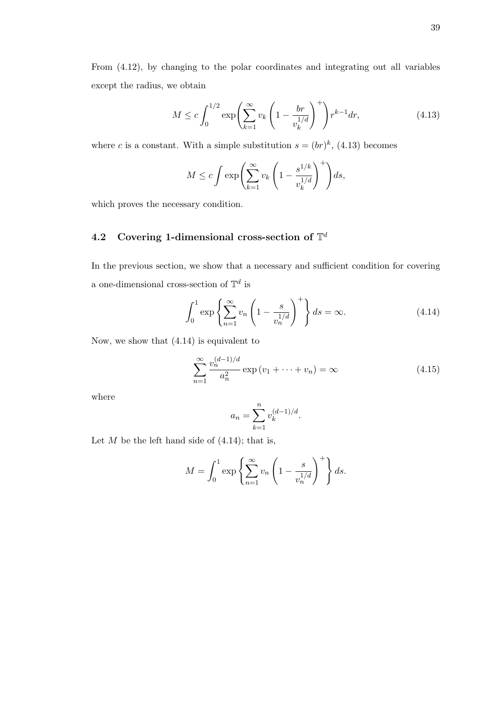From (4.12), by changing to the polar coordinates and integrating out all variables except the radius, we obtain

$$
M \le c \int_0^{1/2} \exp\left(\sum_{k=1}^\infty v_k \left(1 - \frac{br}{v_k^{1/d}}\right)^+\right) r^{k-1} dr,\tag{4.13}
$$

where c is a constant. With a simple substitution  $s = (br)^k$ , (4.13) becomes

$$
M \le c \int \exp\left(\sum_{k=1}^{\infty} v_k \left(1 - \frac{s^{1/k}}{v_k^{1/d}}\right)^+\right) ds,
$$

which proves the necessary condition.

## 4.2 Covering 1-dimensional cross-section of  $\mathbb{T}^d$

In the previous section, we show that a necessary and sufficient condition for covering a one-dimensional cross-section of  $\mathbb{T}^d$  is

$$
\int_0^1 \exp\left\{\sum_{n=1}^\infty v_n \left(1 - \frac{s}{v_n^{1/d}}\right)^+\right\} ds = \infty. \tag{4.14}
$$

Now, we show that (4.14) is equivalent to

$$
\sum_{n=1}^{\infty} \frac{v_n^{(d-1)/d}}{a_n^2} \exp(v_1 + \dots + v_n) = \infty
$$
 (4.15)

where

$$
a_n = \sum_{k=1}^n v_k^{(d-1)/d}.
$$

Let  $M$  be the left hand side of  $(4.14)$ ; that is,

$$
M = \int_0^1 \exp\left\{\sum_{n=1}^\infty v_n \left(1 - \frac{s}{v_n^{1/d}}\right)^+\right\} ds.
$$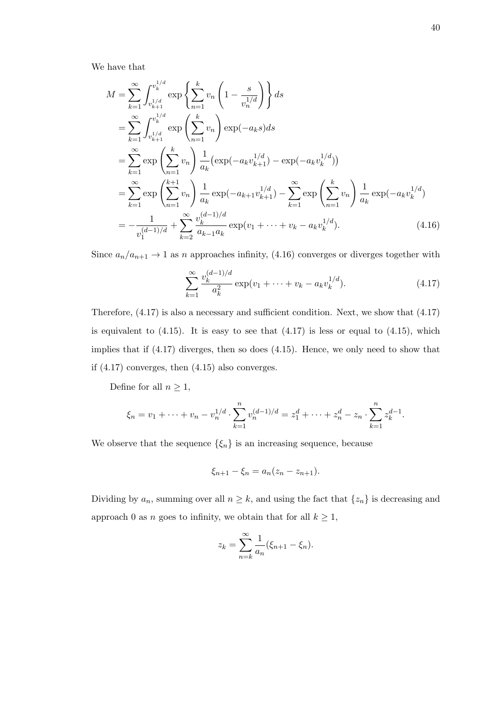We have that

$$
M = \sum_{k=1}^{\infty} \int_{v_{k+1}^{1/d}}^{v_k^{1/d}} \exp\left\{\sum_{n=1}^k v_n \left(1 - \frac{s}{v_n^{1/d}}\right)\right\} ds
$$
  
\n
$$
= \sum_{k=1}^{\infty} \int_{v_{k+1}^{1/d}}^{v_k^{1/d}} \exp\left(\sum_{n=1}^k v_n\right) \exp(-a_k s) ds
$$
  
\n
$$
= \sum_{k=1}^{\infty} \exp\left(\sum_{n=1}^k v_n\right) \frac{1}{a_k} \left(\exp(-a_k v_{k+1}^{1/d}) - \exp(-a_k v_k^{1/d})\right)
$$
  
\n
$$
= \sum_{k=1}^{\infty} \exp\left(\sum_{n=1}^{k+1} v_n\right) \frac{1}{a_k} \exp(-a_{k+1} v_{k+1}^{1/d}) - \sum_{k=1}^{\infty} \exp\left(\sum_{n=1}^k v_n\right) \frac{1}{a_k} \exp(-a_k v_k^{1/d})
$$
  
\n
$$
= -\frac{1}{v_1^{(d-1)/d}} + \sum_{k=2}^{\infty} \frac{v_k^{(d-1)/d}}{a_{k-1} a_k} \exp(v_1 + \dots + v_k - a_k v_k^{1/d}). \tag{4.16}
$$

Since  $a_n/a_{n+1} \to 1$  as n approaches infinity, (4.16) converges or diverges together with

$$
\sum_{k=1}^{\infty} \frac{v_k^{(d-1)/d}}{a_k^2} \exp(v_1 + \dots + v_k - a_k v_k^{1/d}).\tag{4.17}
$$

Therefore, (4.17) is also a necessary and sufficient condition. Next, we show that (4.17) is equivalent to  $(4.15)$ . It is easy to see that  $(4.17)$  is less or equal to  $(4.15)$ , which implies that if (4.17) diverges, then so does (4.15). Hence, we only need to show that if (4.17) converges, then (4.15) also converges.

Define for all  $n \geq 1$ ,

$$
\xi_n = v_1 + \dots + v_n - v_n^{1/d} \cdot \sum_{k=1}^n v_n^{(d-1)/d} = z_1^d + \dots + z_n^d - z_n \cdot \sum_{k=1}^n z_k^{d-1}.
$$

We observe that the sequence  $\{\xi_n\}$  is an increasing sequence, because

$$
\xi_{n+1} - \xi_n = a_n(z_n - z_{n+1}).
$$

Dividing by  $a_n$ , summing over all  $n \geq k$ , and using the fact that  $\{z_n\}$  is decreasing and approach 0 as n goes to infinity, we obtain that for all  $k \geq 1$ ,

$$
z_k = \sum_{n=k}^{\infty} \frac{1}{a_n} (\xi_{n+1} - \xi_n).
$$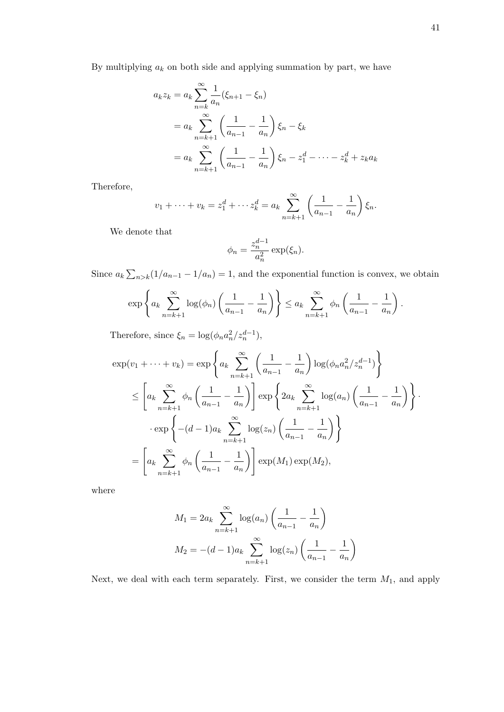By multiplying  $a_k$  on both side and applying summation by part, we have

$$
a_k z_k = a_k \sum_{n=k}^{\infty} \frac{1}{a_n} (\xi_{n+1} - \xi_n)
$$
  
=  $a_k \sum_{n=k+1}^{\infty} \left( \frac{1}{a_{n-1}} - \frac{1}{a_n} \right) \xi_n - \xi_k$   
=  $a_k \sum_{n=k+1}^{\infty} \left( \frac{1}{a_{n-1}} - \frac{1}{a_n} \right) \xi_n - z_1^d - \dots - z_k^d + z_k a_k$ 

Therefore,

$$
v_1 + \dots + v_k = z_1^d + \dots + z_k^d = a_k \sum_{n=k+1}^{\infty} \left( \frac{1}{a_{n-1}} - \frac{1}{a_n} \right) \xi_n.
$$

We denote that

$$
\phi_n = \frac{z_n^{d-1}}{a_n^2} \exp(\xi_n).
$$

Since  $a_k \sum_{n>k} (1/a_{n-1} - 1/a_n) = 1$ , and the exponential function is convex, we obtain

$$
\exp\left\{a_k\sum_{n=k+1}^{\infty}\log(\phi_n)\left(\frac{1}{a_{n-1}}-\frac{1}{a_n}\right)\right\}\leq a_k\sum_{n=k+1}^{\infty}\phi_n\left(\frac{1}{a_{n-1}}-\frac{1}{a_n}\right).
$$

Therefore, since  $\xi_n = \log(\phi_n a_n^2 / z_n^{d-1}),$ 

$$
\exp(v_1 + \dots + v_k) = \exp\left\{ a_k \sum_{n=k+1}^{\infty} \left( \frac{1}{a_{n-1}} - \frac{1}{a_n} \right) \log(\phi_n a_n^2 / z_n^{d-1}) \right\}
$$
  
\n
$$
\leq \left[ a_k \sum_{n=k+1}^{\infty} \phi_n \left( \frac{1}{a_{n-1}} - \frac{1}{a_n} \right) \right] \exp\left\{ 2a_k \sum_{n=k+1}^{\infty} \log(a_n) \left( \frac{1}{a_{n-1}} - \frac{1}{a_n} \right) \right\}.
$$
  
\n
$$
\cdot \exp\left\{ -(d-1)a_k \sum_{n=k+1}^{\infty} \log(z_n) \left( \frac{1}{a_{n-1}} - \frac{1}{a_n} \right) \right\}
$$
  
\n
$$
= \left[ a_k \sum_{n=k+1}^{\infty} \phi_n \left( \frac{1}{a_{n-1}} - \frac{1}{a_n} \right) \right] \exp(M_1) \exp(M_2),
$$

where

$$
M_1 = 2a_k \sum_{n=k+1}^{\infty} \log(a_n) \left( \frac{1}{a_{n-1}} - \frac{1}{a_n} \right)
$$

$$
M_2 = -(d-1)a_k \sum_{n=k+1}^{\infty} \log(z_n) \left( \frac{1}{a_{n-1}} - \frac{1}{a_n} \right)
$$

Next, we deal with each term separately. First, we consider the term  $M_1$ , and apply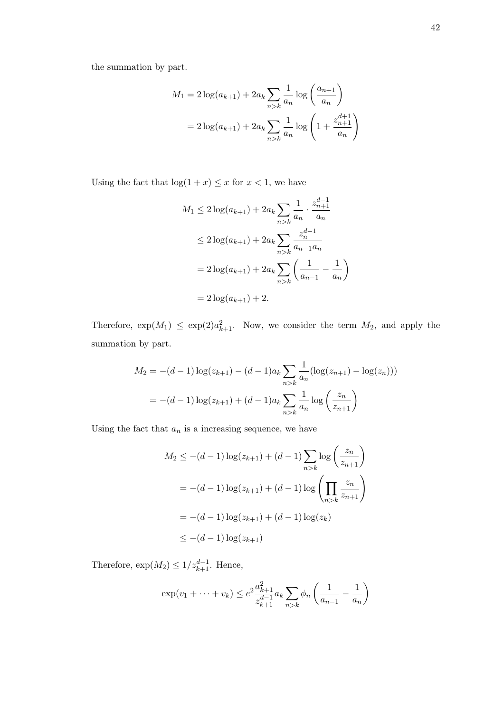$$
M_1 = 2\log(a_{k+1}) + 2a_k \sum_{n>k} \frac{1}{a_n} \log\left(\frac{a_{n+1}}{a_n}\right)
$$
  
= 
$$
2\log(a_{k+1}) + 2a_k \sum_{n>k} \frac{1}{a_n} \log\left(1 + \frac{z_{n+1}^{d+1}}{a_n}\right)
$$

Using the fact that  $\log(1 + x) \leq x$  for  $x < 1$ , we have

$$
M_1 \le 2\log(a_{k+1}) + 2a_k \sum_{n>k} \frac{1}{a_n} \cdot \frac{z_{n+1}^{d-1}}{a_n}
$$
  
\n
$$
\le 2\log(a_{k+1}) + 2a_k \sum_{n>k} \frac{z_n^{d-1}}{a_{n-1}a_n}
$$
  
\n
$$
= 2\log(a_{k+1}) + 2a_k \sum_{n>k} \left(\frac{1}{a_{n-1}} - \frac{1}{a_n}\right)
$$
  
\n
$$
= 2\log(a_{k+1}) + 2.
$$

Therefore,  $\exp(M_1) \leq \exp(2)a_{k+1}^2$ . Now, we consider the term  $M_2$ , and apply the summation by part.

$$
M_2 = -(d-1)\log(z_{k+1}) - (d-1)a_k \sum_{n>k} \frac{1}{a_n} (\log(z_{n+1}) - \log(z_n)))
$$
  
= -(d-1)log(z\_{k+1}) + (d-1)a\_k \sum\_{n>k} \frac{1}{a\_n} log\left(\frac{z\_n}{z\_{n+1}}\right)

Using the fact that  $a_n$  is a increasing sequence, we have

$$
M_2 \leq -(d-1)\log(z_{k+1}) + (d-1)\sum_{n>k} \log\left(\frac{z_n}{z_{n+1}}\right)
$$
  
= -(d-1)\log(z\_{k+1}) + (d-1)\log\left(\prod\_{n>k} \frac{z\_n}{z\_{n+1}}\right)  
= -(d-1)\log(z\_{k+1}) + (d-1)\log(z\_k)  

$$
\leq -(d-1)\log(z_{k+1})
$$

Therefore,  $\exp(M_2) \leq 1/z_{k+1}^{d-1}$ . Hence,

$$
\exp(v_1 + \dots + v_k) \le e^2 \frac{a_{k+1}^2}{z_{k+1}^{d-1}} a_k \sum_{n > k} \phi_n \left( \frac{1}{a_{n-1}} - \frac{1}{a_n} \right)
$$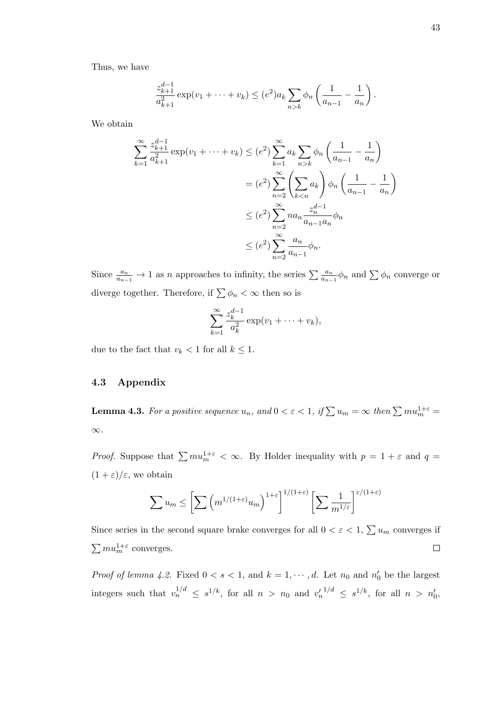Thus, we have

$$
\frac{z_{k+1}^{d-1}}{a_{k+1}^2} \exp(v_1 + \dots + v_k) \le (e^2) a_k \sum_{n > k} \phi_n \left( \frac{1}{a_{n-1}} - \frac{1}{a_n} \right).
$$

We obtain

$$
\sum_{k=1}^{\infty} \frac{z_{k+1}^{d-1}}{a_{k+1}^2} \exp(v_1 + \dots + v_k) \le (e^2) \sum_{k=1}^{\infty} a_k \sum_{n>k} \phi_n \left( \frac{1}{a_{n-1}} - \frac{1}{a_n} \right)
$$
  
=  $(e^2) \sum_{n=2}^{\infty} \left( \sum_{k < n} a_k \right) \phi_n \left( \frac{1}{a_{n-1}} - \frac{1}{a_n} \right)$   
 $\le (e^2) \sum_{n=2}^{\infty} n a_n \frac{z_n^{d-1}}{a_{n-1} a_n} \phi_n$   
 $\le (e^2) \sum_{n=2}^{\infty} \frac{a_n}{a_{n-1}} \phi_n.$ 

Since  $\frac{a_n}{a_{n-1}} \to 1$  as n approaches to infinity, the series  $\sum \frac{a_n}{a_{n-1}} \phi_n$  and  $\sum \phi_n$  converge or diverge together. Therefore, if  $\sum \phi_n < \infty$  then so is

$$
\sum_{k=1}^{\infty} \frac{z_k^{d-1}}{a_k^2} \exp(v_1 + \dots + v_k),
$$

due to the fact that  $v_k < 1$  for all  $k \leq 1$ .

#### 4.3 Appendix

**Lemma 4.3.** For a positive sequence  $u_n$ , and  $0 < \varepsilon < 1$ , if  $\sum u_m = \infty$  then  $\sum m u_m^{1+\varepsilon} =$ ∞.

*Proof.* Suppose that  $\sum m u_m^{1+\epsilon} < \infty$ . By Holder inequality with  $p = 1 + \epsilon$  and  $q =$  $(1+\varepsilon)/\varepsilon$ , we obtain

$$
\sum u_m \leq \left[ \sum \left( m^{1/(1+\varepsilon)} u_m \right)^{1+\varepsilon} \right]^{1/(1+\varepsilon)} \left[ \sum \frac{1}{m^{1/\varepsilon}} \right]^{\varepsilon/(1+\varepsilon)}
$$

Since series in the second square brake converges for all  $0 < \varepsilon < 1$ ,  $\sum u_m$  converges if  $\sum m u_m^{1+\varepsilon}$  converges.  $\Box$ 

*Proof of lemma 4.2.* Fixed  $0 < s < 1$ , and  $k = 1, \dots, d$ . Let  $n_0$  and  $n'_0$  be the largest integers such that  $v_n^{1/d} \leq s^{1/k}$ , for all  $n > n_0$  and  $v_n'^{1/d} \leq s^{1/k}$ , for all  $n > n'_0$ ,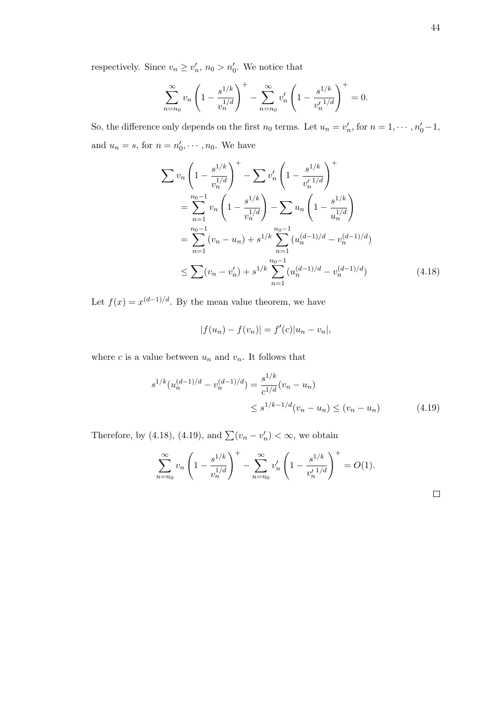respectively. Since  $v_n \ge v'_n$ ,  $n_0 > n'_0$ . We notice that

$$
\sum_{n=n_0}^{\infty} v_n \left( 1 - \frac{s^{1/k}}{v_n^{1/d}} \right)^+ - \sum_{n=n_0}^{\infty} v'_n \left( 1 - \frac{s^{1/k}}{v'_n^{1/d}} \right)^+ = 0.
$$

So, the difference only depends on the first  $n_0$  terms. Let  $u_n = v'_n$ , for  $n = 1, \dots, n'_0 - 1$ , and  $u_n = s$ , for  $n = n'_0, \dots, n_0$ . We have

$$
\sum v_n \left(1 - \frac{s^{1/k}}{v_n^{1/d}}\right)^+ - \sum v'_n \left(1 - \frac{s^{1/k}}{v'_n^{1/d}}\right)^+ \n= \sum_{n=1}^{n_0 - 1} v_n \left(1 - \frac{s^{1/k}}{v_n^{1/d}}\right) - \sum u_n \left(1 - \frac{s^{1/k}}{u_n^{1/d}}\right) \n= \sum_{n=1}^{n_0 - 1} (v_n - u_n) + s^{1/k} \sum_{n=1}^{n_0 - 1} (u_n^{(d-1)/d} - v_n^{(d-1)/d}) \n\le \sum (v_n - v'_n) + s^{1/k} \sum_{n=1}^{n_0 - 1} (u_n^{(d-1)/d} - v_n^{(d-1)/d}) \tag{4.18}
$$

Let  $f(x) = x^{(d-1)/d}$ . By the mean value theorem, we have

$$
|f(u_n) - f(v_n)| = f'(c)|u_n - v_n|,
$$

where c is a value between  $u_n$  and  $v_n$ . It follows that

$$
s^{1/k} (u_n^{(d-1)/d} - v_n^{(d-1)/d}) = \frac{s^{1/k}}{c^{1/d}} (v_n - u_n)
$$
  

$$
\leq s^{1/k - 1/d} (v_n - u_n) \leq (v_n - u_n)
$$
 (4.19)

Therefore, by (4.18), (4.19), and  $\sum (v_n - v'_n) < \infty$ , we obtain

$$
\sum_{n=n_0}^{\infty} v_n \left( 1 - \frac{s^{1/k}}{v_n^{1/d}} \right)^+ - \sum_{n=n_0}^{\infty} v'_n \left( 1 - \frac{s^{1/k}}{v'_n^{1/d}} \right)^+ = O(1).
$$

 $\Box$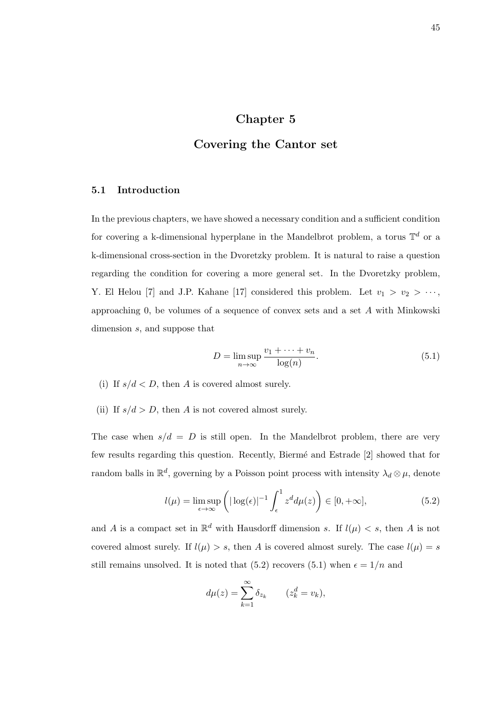## Chapter 5

### Covering the Cantor set

### 5.1 Introduction

In the previous chapters, we have showed a necessary condition and a sufficient condition for covering a k-dimensional hyperplane in the Mandelbrot problem, a torus  $\mathbb{T}^d$  or a k-dimensional cross-section in the Dvoretzky problem. It is natural to raise a question regarding the condition for covering a more general set. In the Dvoretzky problem, Y. El Helou [7] and J.P. Kahane [17] considered this problem. Let  $v_1 > v_2 > \cdots$ , approaching 0, be volumes of a sequence of convex sets and a set A with Minkowski dimension s, and suppose that

$$
D = \limsup_{n \to \infty} \frac{v_1 + \dots + v_n}{\log(n)}.
$$
\n(5.1)

- (i) If  $s/d < D$ , then A is covered almost surely.
- (ii) If  $s/d > D$ , then A is not covered almost surely.

The case when  $s/d = D$  is still open. In the Mandelbrot problem, there are very few results regarding this question. Recently, Biermé and Estrade [2] showed that for random balls in  $\mathbb{R}^d$ , governing by a Poisson point process with intensity  $\lambda_d \otimes \mu$ , denote

$$
l(\mu) = \limsup_{\epsilon \to \infty} \left( |\log(\epsilon)|^{-1} \int_{\epsilon}^{1} z^d d\mu(z) \right) \in [0, +\infty],\tag{5.2}
$$

and A is a compact set in  $\mathbb{R}^d$  with Hausdorff dimension s. If  $l(\mu) < s$ , then A is not covered almost surely. If  $l(\mu) > s$ , then A is covered almost surely. The case  $l(\mu) = s$ still remains unsolved. It is noted that (5.2) recovers (5.1) when  $\epsilon = 1/n$  and

$$
d\mu(z) = \sum_{k=1}^{\infty} \delta_{z_k} \qquad (z_k^d = v_k),
$$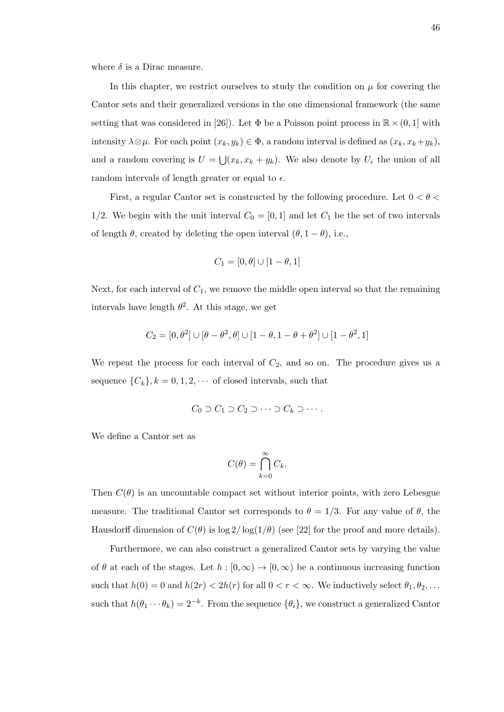where  $\delta$  is a Dirac measure.

In this chapter, we restrict ourselves to study the condition on  $\mu$  for covering the Cantor sets and their generalized versions in the one dimensional framework (the same setting that was considered in [26]). Let  $\Phi$  be a Poisson point process in  $\mathbb{R} \times (0, 1]$  with intensity  $\lambda \otimes \mu$ . For each point  $(x_k, y_k) \in \Phi$ , a random interval is defined as  $(x_k, x_k+y_k)$ , and a random covering is  $U = \bigcup (x_k, x_k + y_k)$ . We also denote by  $U_{\epsilon}$  the union of all random intervals of length greater or equal to  $\epsilon$ .

First, a regular Cantor set is constructed by the following procedure. Let  $0<\theta<$ 1/2. We begin with the unit interval  $C_0 = [0, 1]$  and let  $C_1$  be the set of two intervals of length  $\theta$ , created by deleting the open interval  $(\theta, 1 - \theta)$ , i.e.,

$$
C_1=[0,\theta]\cup[1-\theta,1]
$$

Next, for each interval of  $C_1$ , we remove the middle open interval so that the remaining intervals have length  $\theta^2$ . At this stage, we get

$$
C_2=[0,\theta^2]\cup[\theta-\theta^2,\theta]\cup[1-\theta,1-\theta+\theta^2]\cup[1-\theta^2,1]
$$

We repeat the process for each interval of  $C_2$ , and so on. The procedure gives us a sequence  $\{C_k\}, k = 0, 1, 2, \cdots$  of closed intervals, such that

$$
C_0 \supset C_1 \supset C_2 \supset \cdots \supset C_k \supset \cdots.
$$

We define a Cantor set as

$$
C(\theta) = \bigcap_{k=0}^{\infty} C_k.
$$

Then  $C(\theta)$  is an uncountable compact set without interior points, with zero Lebesgue measure. The traditional Cantor set corresponds to  $\theta = 1/3$ . For any value of  $\theta$ , the Hausdorff dimension of  $C(\theta)$  is  $\log 2/\log(1/\theta)$  (see [22] for the proof and more details).

Furthermore, we can also construct a generalized Cantor sets by varying the value of  $\theta$  at each of the stages. Let  $h : [0, \infty) \to [0, \infty)$  be a continuous increasing function such that  $h(0) = 0$  and  $h(2r) < 2h(r)$  for all  $0 < r < \infty$ . We inductively select  $\theta_1, \theta_2, \ldots$ such that  $h(\theta_1 \cdots \theta_k) = 2^{-k}$ . From the sequence  $\{\theta_i\}$ , we construct a generalized Cantor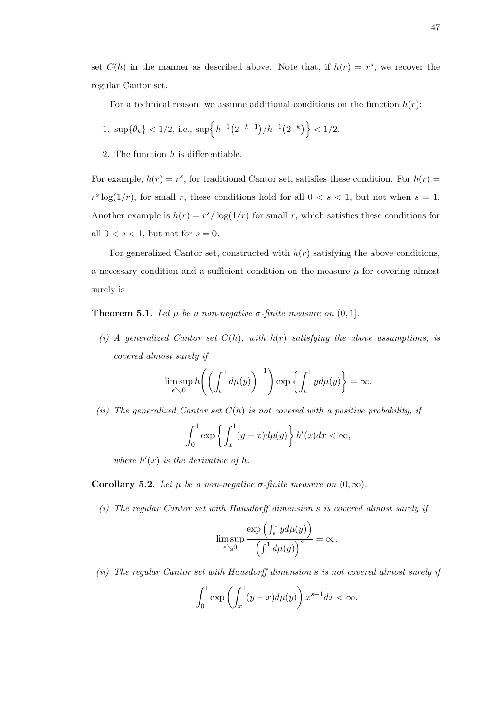set  $C(h)$  in the manner as described above. Note that, if  $h(r) = r^s$ , we recover the regular Cantor set.

For a technical reason, we assume additional conditions on the function  $h(r)$ :

1. 
$$
\sup{\{\theta_k\}} < 1/2
$$
, i.e.,  $\sup{\left\{h^{-1}(2^{-k-1})/h^{-1}(2^{-k})\right\}} < 1/2$ .

2. The function  $h$  is differentiable.

For example,  $h(r) = r^s$ , for traditional Cantor set, satisfies these condition. For  $h(r) =$  $r^s \log(1/r)$ , for small r, these conditions hold for all  $0 < s < 1$ , but not when  $s = 1$ . Another example is  $h(r) = r^{s}/\log(1/r)$  for small r, which satisfies these conditions for all  $0 < s < 1$ , but not for  $s = 0$ .

For generalized Cantor set, constructed with  $h(r)$  satisfying the above conditions, a necessary condition and a sufficient condition on the measure  $\mu$  for covering almost surely is

**Theorem 5.1.** Let  $\mu$  be a non-negative  $\sigma$ -finite measure on  $(0, 1]$ .

(i) A generalized Cantor set  $C(h)$ , with  $h(r)$  satisfying the above assumptions, is covered almost surely if

$$
\limsup_{\epsilon \searrow 0} h\left(\left(\int_{\epsilon}^{1} d\mu(y)\right)^{-1}\right) \exp\left\{\int_{\epsilon}^{1} y d\mu(y)\right\} = \infty.
$$

(ii) The generalized Cantor set  $C(h)$  is not covered with a positive probability, if

$$
\int_0^1 \exp\left\{ \int_x^1 (y-x)d\mu(y) \right\} h'(x)dx < \infty,
$$

where  $h'(x)$  is the derivative of h.

#### Corollary 5.2. Let  $\mu$  be a non-negative  $\sigma$ -finite measure on  $(0, \infty)$ .

(i) The regular Cantor set with Hausdorff dimension s is covered almost surely if

$$
\limsup_{\epsilon \searrow 0} \frac{\exp\left(\int_{\epsilon}^{1} y d\mu(y)\right)}{\left(\int_{\epsilon}^{1} d\mu(y)\right)^{s}} = \infty.
$$

(ii) The regular Cantor set with Hausdorff dimension s is not covered almost surely if

$$
\int_0^1 \exp\left(\int_x^1 (y-x)d\mu(y)\right) x^{s-1}dx < \infty.
$$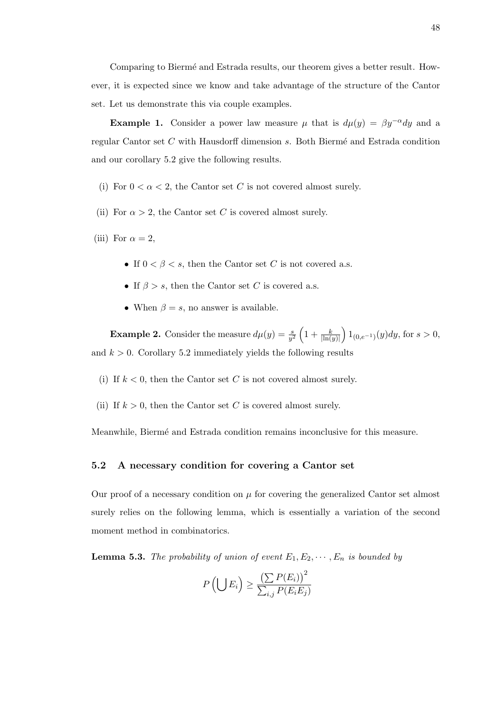Comparing to Biermé and Estrada results, our theorem gives a better result. However, it is expected since we know and take advantage of the structure of the Cantor set. Let us demonstrate this via couple examples.

**Example 1.** Consider a power law measure  $\mu$  that is  $d\mu(y) = \beta y^{-\alpha} dy$  and a regular Cantor set  $C$  with Hausdorff dimension  $s$ . Both Biermé and Estrada condition and our corollary 5.2 give the following results.

- (i) For  $0 < \alpha < 2$ , the Cantor set C is not covered almost surely.
- (ii) For  $\alpha > 2$ , the Cantor set C is covered almost surely.
- (iii) For  $\alpha = 2$ ,
	- If  $0 < \beta < s$ , then the Cantor set C is not covered a.s.
	- If  $\beta > s$ , then the Cantor set C is covered a.s.
	- When  $\beta = s$ , no answer is available.

**Example 2.** Consider the measure  $d\mu(y) = \frac{s}{y^2} \left(1 + \frac{k}{\vert \ln(y) \vert}\right) 1_{(0, e^{-1})}(y) dy$ , for  $s > 0$ , and  $k > 0$ . Corollary 5.2 immediately yields the following results

- (i) If  $k < 0$ , then the Cantor set C is not covered almost surely.
- (ii) If  $k > 0$ , then the Cantor set C is covered almost surely.

Meanwhile, Bierm´e and Estrada condition remains inconclusive for this measure.

#### 5.2 A necessary condition for covering a Cantor set

Our proof of a necessary condition on  $\mu$  for covering the generalized Cantor set almost surely relies on the following lemma, which is essentially a variation of the second moment method in combinatorics.

**Lemma 5.3.** The probability of union of event  $E_1, E_2, \dots, E_n$  is bounded by

$$
P\left(\bigcup E_i\right) \ge \frac{\left(\sum P(E_i)\right)^2}{\sum_{i,j} P(E_i E_j)}
$$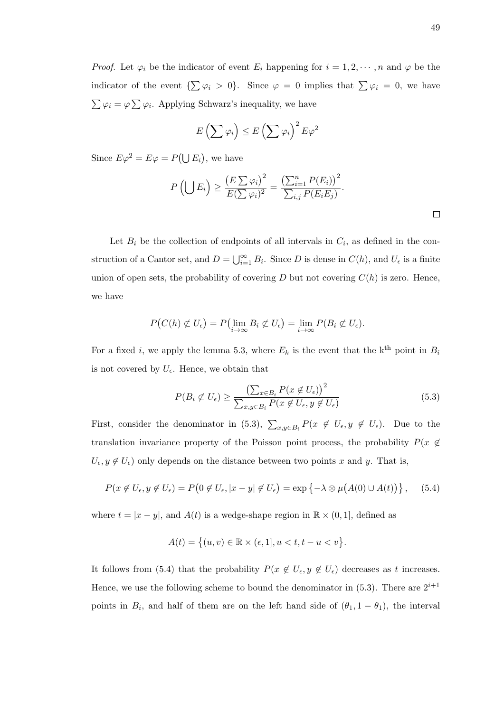*Proof.* Let  $\varphi_i$  be the indicator of event  $E_i$  happening for  $i = 1, 2, \dots, n$  and  $\varphi$  be the indicator of the event  $\{\sum \varphi_i > 0\}$ . Since  $\varphi = 0$  implies that  $\sum \varphi_i = 0$ , we have  $\sum \varphi_i = \varphi \sum \varphi_i$ . Applying Schwarz's inequality, we have

$$
E\left(\sum \varphi_i\right) \leq E\left(\sum \varphi_i\right)^2 E \varphi^2
$$

Since  $E\varphi^2 = E\varphi = P(\bigcup E_i)$ , we have

$$
P\left(\bigcup E_i\right) \ge \frac{\left(E \sum \varphi_i\right)^2}{E(\sum \varphi_i)^2} = \frac{\left(\sum_{i=1}^n P(E_i)\right)^2}{\sum_{i,j} P(E_i E_j)}.
$$

Let  $B_i$  be the collection of endpoints of all intervals in  $C_i$ , as defined in the construction of a Cantor set, and  $D = \bigcup_{i=1}^{\infty} B_i$ . Since D is dense in  $C(h)$ , and  $U_{\epsilon}$  is a finite union of open sets, the probability of covering  $D$  but not covering  $C(h)$  is zero. Hence, we have

$$
P\big(C(h) \not\subset U_{\epsilon}\big) = P\big(\lim_{i \to \infty} B_i \not\subset U_{\epsilon}\big) = \lim_{i \to \infty} P(B_i \not\subset U_{\epsilon}).
$$

For a fixed i, we apply the lemma 5.3, where  $E_k$  is the event that the k<sup>th</sup> point in  $B_i$ is not covered by  $U_{\epsilon}$ . Hence, we obtain that

$$
P(B_i \not\subset U_{\epsilon}) \ge \frac{\left(\sum_{x \in B_i} P(x \not\in U_{\epsilon})\right)^2}{\sum_{x,y \in B_i} P(x \not\in U_{\epsilon}, y \not\in U_{\epsilon})}
$$
(5.3)

First, consider the denominator in (5.3),  $\sum_{x,y\in B_i} P(x \notin U_{\epsilon}, y \notin U_{\epsilon})$ . Due to the translation invariance property of the Poisson point process, the probability  $P(x \notin$  $U_{\epsilon}, y \notin U_{\epsilon}$  only depends on the distance between two points x and y. That is,

$$
P(x \notin U_{\epsilon}, y \notin U_{\epsilon}) = P\big(0 \notin U_{\epsilon}, |x - y| \notin U_{\epsilon}\big) = \exp\left\{-\lambda \otimes \mu\big(A(0) \cup A(t)\big)\right\},\tag{5.4}
$$

where  $t = |x - y|$ , and  $A(t)$  is a wedge-shape region in  $\mathbb{R} \times (0, 1]$ , defined as

$$
A(t) = \{(u, v) \in \mathbb{R} \times (\epsilon, 1], u < t, t - u < v\}.
$$

It follows from (5.4) that the probability  $P(x \notin U_{\epsilon}, y \notin U_{\epsilon})$  decreases as t increases. Hence, we use the following scheme to bound the denominator in (5.3). There are  $2^{i+1}$ points in  $B_i$ , and half of them are on the left hand side of  $(\theta_1, 1 - \theta_1)$ , the interval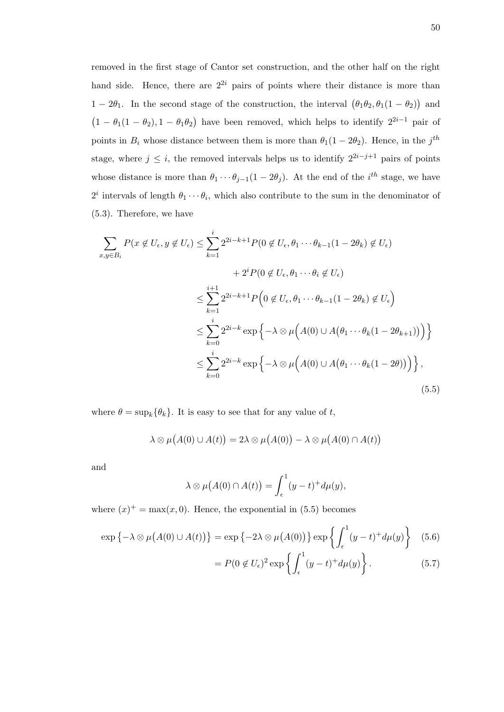removed in the first stage of Cantor set construction, and the other half on the right hand side. Hence, there are  $2^{2i}$  pairs of points where their distance is more than  $1-2\theta_1$ . In the second stage of the construction, the interval  $(\theta_1\theta_2, \theta_1(1-\theta_2))$  and  $(1 - \theta_1(1 - \theta_2), 1 - \theta_1\theta_2)$  have been removed, which helps to identify  $2^{2i-1}$  pair of points in  $B_i$  whose distance between them is more than  $\theta_1(1-2\theta_2)$ . Hence, in the j<sup>th</sup> stage, where  $j \leq i$ , the removed intervals helps us to identify  $2^{2i-j+1}$  pairs of points whose distance is more than  $\theta_1 \cdots \theta_{j-1} (1 - 2\theta_j)$ . At the end of the *i*<sup>th</sup> stage, we have  $2^i$  intervals of length  $\theta_1 \cdots \theta_i$ , which also contribute to the sum in the denominator of (5.3). Therefore, we have

$$
\sum_{x,y \in B_i} P(x \notin U_{\epsilon}, y \notin U_{\epsilon}) \leq \sum_{k=1}^{i} 2^{2i-k+1} P(0 \notin U_{\epsilon}, \theta_1 \cdots \theta_{k-1} (1 - 2\theta_k) \notin U_{\epsilon})
$$
  
+  $2^i P(0 \notin U_{\epsilon}, \theta_1 \cdots \theta_i \notin U_{\epsilon})$   

$$
\leq \sum_{k=1}^{i+1} 2^{2i-k+1} P(0 \notin U_{\epsilon}, \theta_1 \cdots \theta_{k-1} (1 - 2\theta_k) \notin U_{\epsilon})
$$
  

$$
\leq \sum_{k=0}^{i} 2^{2i-k} \exp \{-\lambda \otimes \mu (A(0) \cup A(\theta_1 \cdots \theta_k (1 - 2\theta_{k+1})) ) \}
$$
  

$$
\leq \sum_{k=0}^{i} 2^{2i-k} \exp \{-\lambda \otimes \mu (A(0) \cup A(\theta_1 \cdots \theta_k (1 - 2\theta)) ) \},
$$
  
(5.5)

where  $\theta = \sup_k {\{\theta_k\}}$ . It is easy to see that for any value of t,

$$
\lambda \otimes \mu(A(0) \cup A(t)) = 2\lambda \otimes \mu(A(0)) - \lambda \otimes \mu(A(0) \cap A(t))
$$

and

$$
\lambda \otimes \mu(A(0) \cap A(t)) = \int_{\epsilon}^{1} (y - t)^{+} d\mu(y),
$$

where  $(x)^{+} = \max(x, 0)$ . Hence, the exponential in (5.5) becomes

$$
\exp\left\{-\lambda \otimes \mu(A(0) \cup A(t))\right\} = \exp\left\{-2\lambda \otimes \mu(A(0))\right\} \exp\left\{\int_{\epsilon}^{1} (y-t)^{+} d\mu(y)\right\} \tag{5.6}
$$

$$
= P(0 \notin U_{\epsilon})^2 \exp\left\{ \int_{\epsilon}^{1} (y - t)^{+} d\mu(y) \right\}.
$$
 (5.7)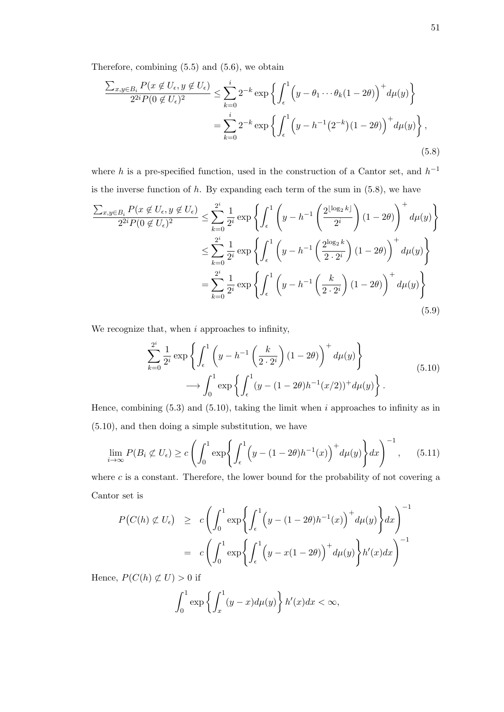Therefore, combining (5.5) and (5.6), we obtain

$$
\frac{\sum_{x,y\in B_i} P(x \notin U_{\epsilon}, y \notin U_{\epsilon})}{2^{2i} P(0 \notin U_{\epsilon})^2} \le \sum_{k=0}^i 2^{-k} \exp\left\{ \int_{\epsilon}^1 \left( y - \theta_1 \cdots \theta_k (1 - 2\theta) \right)^+ d\mu(y) \right\}
$$

$$
= \sum_{k=0}^i 2^{-k} \exp\left\{ \int_{\epsilon}^1 \left( y - h^{-1} (2^{-k})(1 - 2\theta) \right)^+ d\mu(y) \right\}, \tag{5.8}
$$

where h is a pre-specified function, used in the construction of a Cantor set, and  $h^{-1}$ is the inverse function of  $h$ . By expanding each term of the sum in  $(5.8)$ , we have

$$
\frac{\sum_{x,y\in B_i} P(x \notin U_{\epsilon}, y \notin U_{\epsilon})}{2^{2i}P(0 \notin U_{\epsilon})^2} \leq \sum_{k=0}^{2^i} \frac{1}{2^i} \exp\left\{ \int_{\epsilon}^1 \left( y - h^{-1} \left( \frac{2^{\lfloor \log_2 k \rfloor}}{2^i} \right) (1 - 2\theta) \right)^+ d\mu(y) \right\}
$$

$$
\leq \sum_{k=0}^{2^i} \frac{1}{2^i} \exp\left\{ \int_{\epsilon}^1 \left( y - h^{-1} \left( \frac{2^{\log_2 k}}{2 \cdot 2^i} \right) (1 - 2\theta) \right)^+ d\mu(y) \right\}
$$

$$
= \sum_{k=0}^{2^i} \frac{1}{2^i} \exp\left\{ \int_{\epsilon}^1 \left( y - h^{-1} \left( \frac{k}{2 \cdot 2^i} \right) (1 - 2\theta) \right)^+ d\mu(y) \right\}
$$
(5.9)

We recognize that, when  $i$  approaches to infinity,

$$
\sum_{k=0}^{2^i} \frac{1}{2^i} \exp\left\{ \int_{\epsilon}^1 \left( y - h^{-1} \left( \frac{k}{2 \cdot 2^i} \right) (1 - 2\theta) \right)^+ d\mu(y) \right\} \longrightarrow \int_0^1 \exp\left\{ \int_{\epsilon}^1 (y - (1 - 2\theta) h^{-1} (x/2))^+ d\mu(y) \right\}.
$$
\n(5.10)

Hence, combining  $(5.3)$  and  $(5.10)$ , taking the limit when i approaches to infinity as in (5.10), and then doing a simple substitution, we have

$$
\lim_{i \to \infty} P(B_i \not\subset U_\epsilon) \ge c \left( \int_0^1 \exp \left\{ \int_\epsilon^1 \left( y - (1 - 2\theta) h^{-1}(x) \right)^+ d\mu(y) \right\} dx \right)^{-1}, \quad (5.11)
$$

where  $c$  is a constant. Therefore, the lower bound for the probability of not covering a Cantor set is

$$
P(C(h) \not\subset U_{\epsilon}) \ge c \left( \int_0^1 \exp \left\{ \int_{\epsilon}^1 \left( y - (1 - 2\theta) h^{-1}(x) \right)^+ d\mu(y) \right\} dx \right)^{-1}
$$

$$
= c \left( \int_0^1 \exp \left\{ \int_{\epsilon}^1 \left( y - x(1 - 2\theta) \right)^+ d\mu(y) \right\} h'(x) dx \right)^{-1}
$$

Hence,  $P(C(h) \not\subset U) > 0$  if

$$
\int_0^1 \exp\left\{\int_x^1 (y-x)d\mu(y)\right\} h'(x)dx < \infty,
$$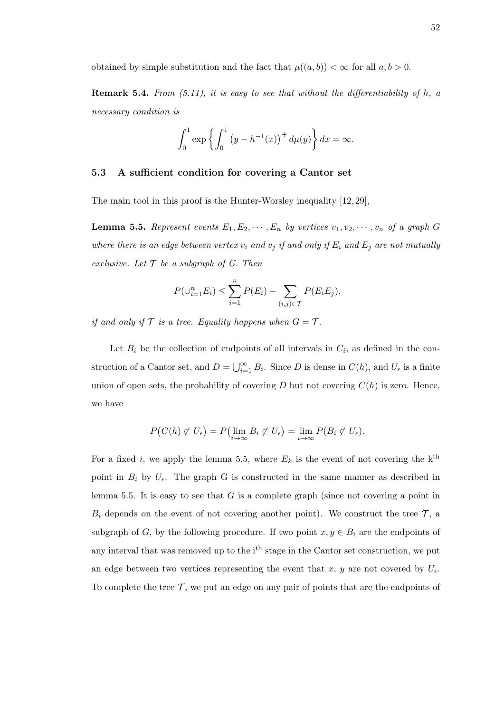obtained by simple substitution and the fact that  $\mu((a, b)) < \infty$  for all  $a, b > 0$ .

**Remark 5.4.** From  $(5.11)$ , it is easy to see that without the differentiability of h, a necessary condition is

$$
\int_0^1 \exp \left\{ \int_0^1 (y - h^{-1}(x))^+ d\mu(y) \right\} dx = \infty.
$$

#### 5.3 A sufficient condition for covering a Cantor set

The main tool in this proof is the Hunter-Worsley inequality [12, 29],

**Lemma 5.5.** Represent events  $E_1, E_2, \dots, E_n$  by vertices  $v_1, v_2, \dots, v_n$  of a graph G where there is an edge between vertex  $v_i$  and  $v_j$  if and only if  $E_i$  and  $E_j$  are not mutually exclusive. Let  $\mathcal T$  be a subgraph of G. Then

$$
P(\cup_{i=1}^{n} E_i) \le \sum_{i=1}^{n} P(E_i) - \sum_{(i,j) \in \mathcal{T}} P(E_i E_j),
$$

if and only if  $\mathcal T$  is a tree. Equality happens when  $G = \mathcal T$ .

Let  $B_i$  be the collection of endpoints of all intervals in  $C_i$ , as defined in the construction of a Cantor set, and  $D = \bigcup_{i=1}^{\infty} B_i$ . Since D is dense in  $C(h)$ , and  $U_{\epsilon}$  is a finite union of open sets, the probability of covering  $D$  but not covering  $C(h)$  is zero. Hence, we have

$$
P(C(h) \not\subset U_{\epsilon}) = P(\lim_{i \to \infty} B_i \not\subset U_{\epsilon}) = \lim_{i \to \infty} P(B_i \not\subset U_{\epsilon}).
$$

For a fixed i, we apply the lemma 5.5, where  $E_k$  is the event of not covering the k<sup>th</sup> point in  $B_i$  by  $U_{\epsilon}$ . The graph G is constructed in the same manner as described in lemma 5.5. It is easy to see that  $G$  is a complete graph (since not covering a point in  $B_i$  depends on the event of not covering another point). We construct the tree  $\mathcal{T}$ , a subgraph of G, by the following procedure. If two point  $x, y \in B_i$  are the endpoints of any interval that was removed up to the i<sup>th</sup> stage in the Cantor set construction, we put an edge between two vertices representing the event that x, y are not covered by  $U_{\epsilon}$ . To complete the tree  $\mathcal{T}$ , we put an edge on any pair of points that are the endpoints of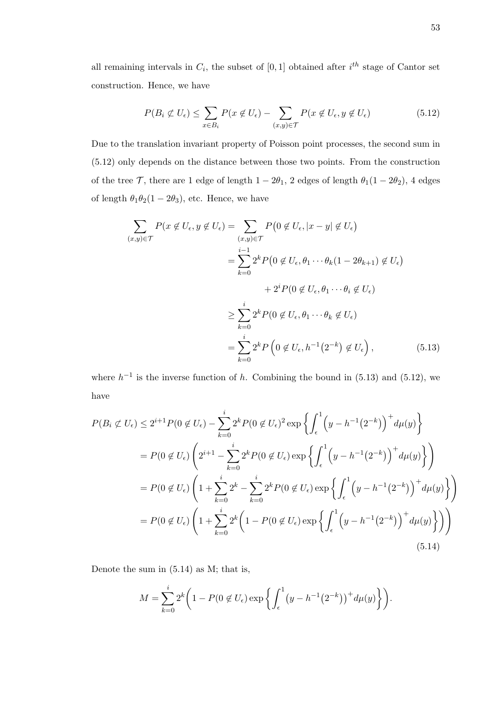all remaining intervals in  $C_i$ , the subset of [0,1] obtained after  $i^{th}$  stage of Cantor set construction. Hence, we have

$$
P(B_i \not\subset U_{\epsilon}) \le \sum_{x \in B_i} P(x \not\in U_{\epsilon}) - \sum_{(x,y) \in \mathcal{T}} P(x \not\in U_{\epsilon}, y \not\in U_{\epsilon}) \tag{5.12}
$$

Due to the translation invariant property of Poisson point processes, the second sum in (5.12) only depends on the distance between those two points. From the construction of the tree  $\mathcal{T}$ , there are 1 edge of length  $1 - 2\theta_1$ , 2 edges of length  $\theta_1(1 - 2\theta_2)$ , 4 edges of length  $\theta_1\theta_2(1-2\theta_3)$ , etc. Hence, we have

$$
\sum_{(x,y)\in\mathcal{T}} P(x \notin U_{\epsilon}, y \notin U_{\epsilon}) = \sum_{(x,y)\in\mathcal{T}} P(0 \notin U_{\epsilon}, |x-y| \notin U_{\epsilon})
$$
  
\n
$$
= \sum_{k=0}^{i-1} 2^{k} P(0 \notin U_{\epsilon}, \theta_{1} \cdots \theta_{k} (1 - 2\theta_{k+1}) \notin U_{\epsilon})
$$
  
\n
$$
+ 2^{i} P(0 \notin U_{\epsilon}, \theta_{1} \cdots \theta_{i} \notin U_{\epsilon})
$$
  
\n
$$
\geq \sum_{k=0}^{i} 2^{k} P(0 \notin U_{\epsilon}, \theta_{1} \cdots \theta_{k} \notin U_{\epsilon})
$$
  
\n
$$
= \sum_{k=0}^{i} 2^{k} P(0 \notin U_{\epsilon}, h^{-1}(2^{-k}) \notin U_{\epsilon}), \qquad (5.13)
$$

where  $h^{-1}$  is the inverse function of h. Combining the bound in (5.13) and (5.12), we have

$$
P(B_i \not\subset U_{\epsilon}) \le 2^{i+1} P(0 \not\in U_{\epsilon}) - \sum_{k=0}^{i} 2^{k} P(0 \not\in U_{\epsilon})^2 \exp \left\{ \int_{\epsilon}^{1} \left( y - h^{-1}(2^{-k}) \right)^{+} d\mu(y) \right\}
$$
  
=  $P(0 \not\in U_{\epsilon}) \left( 2^{i+1} - \sum_{k=0}^{i} 2^{k} P(0 \not\in U_{\epsilon}) \exp \left\{ \int_{\epsilon}^{1} \left( y - h^{-1}(2^{-k}) \right)^{+} d\mu(y) \right\} \right)$   
=  $P(0 \not\in U_{\epsilon}) \left( 1 + \sum_{k=0}^{i} 2^{k} - \sum_{k=0}^{i} 2^{k} P(0 \not\in U_{\epsilon}) \exp \left\{ \int_{\epsilon}^{1} \left( y - h^{-1}(2^{-k}) \right)^{+} d\mu(y) \right\} \right)$   
=  $P(0 \not\in U_{\epsilon}) \left( 1 + \sum_{k=0}^{i} 2^{k} \left( 1 - P(0 \not\in U_{\epsilon}) \exp \left\{ \int_{\epsilon}^{1} \left( y - h^{-1}(2^{-k}) \right)^{+} d\mu(y) \right\} \right) \right)$   
(5.14)

Denote the sum in (5.14) as M; that is,

$$
M = \sum_{k=0}^{i} 2^{k} \left( 1 - P(0 \notin U_{\epsilon}) \exp \left\{ \int_{\epsilon}^{1} (y - h^{-1}(2^{-k}))^{+} d\mu(y) \right\} \right).
$$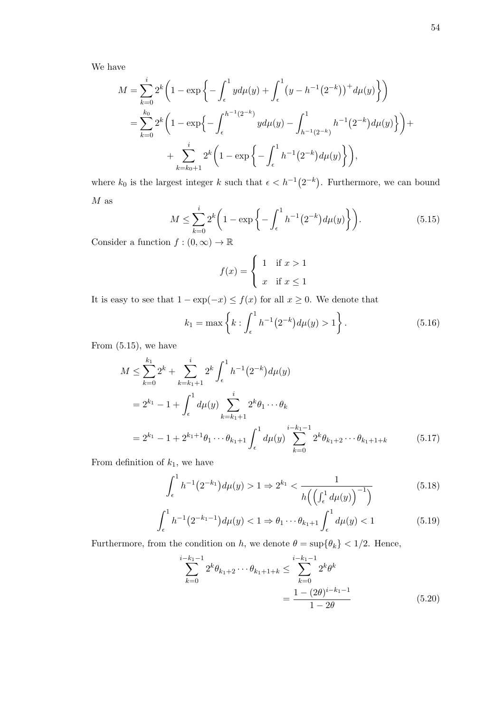We have

$$
M = \sum_{k=0}^{i} 2^{k} \left( 1 - \exp \left\{ - \int_{\epsilon}^{1} y d\mu(y) + \int_{\epsilon}^{1} (y - h^{-1} (2^{-k}))^{+} d\mu(y) \right\} \right)
$$
  
= 
$$
\sum_{k=0}^{k_{0}} 2^{k} \left( 1 - \exp \left\{ - \int_{\epsilon}^{h^{-1} (2^{-k})} y d\mu(y) - \int_{h^{-1} (2^{-k})}^{1} h^{-1} (2^{-k}) d\mu(y) \right\} \right) +
$$
  
+ 
$$
\sum_{k=k_{0}+1}^{i} 2^{k} \left( 1 - \exp \left\{ - \int_{\epsilon}^{1} h^{-1} (2^{-k}) d\mu(y) \right\} \right),
$$

where  $k_0$  is the largest integer k such that  $\epsilon < h^{-1}(2^{-k})$ . Furthermore, we can bound  $M$  as

$$
M \le \sum_{k=0}^{i} 2^k \left( 1 - \exp\left\{ - \int_{\epsilon}^1 h^{-1} (2^{-k}) d\mu(y) \right\} \right). \tag{5.15}
$$

Consider a function  $f:(0,\infty)\rightarrow \mathbb{R}$ 

$$
f(x) = \begin{cases} 1 & \text{if } x > 1 \\ x & \text{if } x \le 1 \end{cases}
$$

It is easy to see that  $1 - \exp(-x) \le f(x)$  for all  $x \ge 0$ . We denote that

$$
k_1 = \max\left\{k : \int_{\epsilon}^{1} h^{-1}(2^{-k}) d\mu(y) > 1\right\}.
$$
 (5.16)

From  $(5.15)$ , we have

$$
M \leq \sum_{k=0}^{k_1} 2^k + \sum_{k=k_1+1}^i 2^k \int_{\epsilon}^1 h^{-1} (2^{-k}) d\mu(y)
$$
  
=  $2^{k_1} - 1 + \int_{\epsilon}^1 d\mu(y) \sum_{k=k_1+1}^i 2^k \theta_1 \cdots \theta_k$   
=  $2^{k_1} - 1 + 2^{k_1+1} \theta_1 \cdots \theta_{k_1+1} \int_{\epsilon}^1 d\mu(y) \sum_{k=0}^{i-k_1-1} 2^k \theta_{k_1+2} \cdots \theta_{k_1+1+k}$  (5.17)

From definition of  $k_1$ , we have

$$
\int_{\epsilon}^{1} h^{-1}(2^{-k_1}) d\mu(y) > 1 \Rightarrow 2^{k_1} < \frac{1}{h\left(\left(\int_{\epsilon}^{1} d\mu(y)\right)^{-1}\right)}\tag{5.18}
$$

$$
\int_{\epsilon}^{1} h^{-1} (2^{-k_1 - 1}) d\mu(y) < 1 \Rightarrow \theta_1 \cdots \theta_{k_1 + 1} \int_{\epsilon}^{1} d\mu(y) < 1 \tag{5.19}
$$

Furthermore, from the condition on h, we denote  $\theta = \sup\{\theta_k\} < 1/2$ . Hence,

$$
\sum_{k=0}^{i-k_1-1} 2^k \theta_{k_1+2} \cdots \theta_{k_1+1+k} \le \sum_{k=0}^{i-k_1-1} 2^k \theta^k
$$

$$
= \frac{1 - (2\theta)^{i-k_1-1}}{1 - 2\theta} \tag{5.20}
$$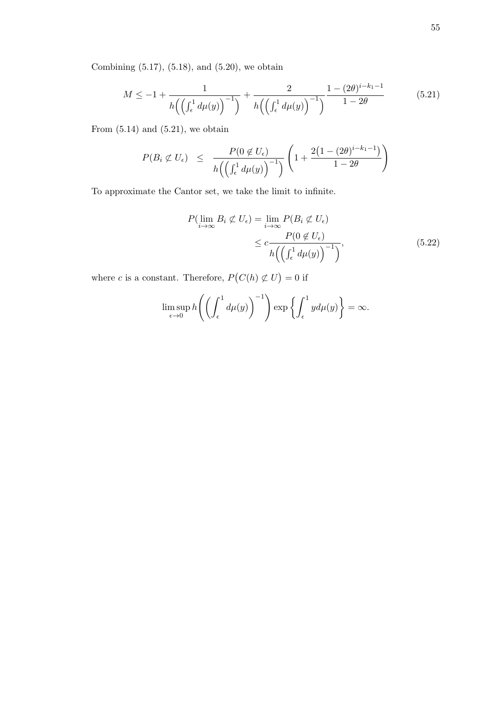Combining (5.17), (5.18), and (5.20), we obtain

$$
M \le -1 + \frac{1}{h\left(\left(\int_{\epsilon}^{1} d\mu(y)\right)^{-1}\right)} + \frac{2}{h\left(\left(\int_{\epsilon}^{1} d\mu(y)\right)^{-1}\right)} \frac{1 - (2\theta)^{i - k_1 - 1}}{1 - 2\theta} \tag{5.21}
$$

From  $(5.14)$  and  $(5.21)$ , we obtain

$$
P(B_i \not\subset U_{\epsilon}) \leq \frac{P(0 \not\in U_{\epsilon})}{h\left(\left(\int_{\epsilon}^1 d\mu(y)\right)^{-1}\right)} \left(1 + \frac{2\left(1 - (2\theta)^{i-k_1-1}\right)}{1 - 2\theta}\right)
$$

To approximate the Cantor set, we take the limit to infinite.

$$
P(\lim_{i \to \infty} B_i \not\subset U_{\epsilon}) = \lim_{i \to \infty} P(B_i \not\subset U_{\epsilon})
$$
  

$$
\leq c \frac{P(0 \not\in U_{\epsilon})}{h\left(\left(\int_{\epsilon}^{1} d\mu(y)\right)^{-1}\right)},
$$
(5.22)

where c is a constant. Therefore,  $P(C(h) \not\subset U) = 0$  if

$$
\limsup_{\epsilon \to 0} h\left(\left(\int_{\epsilon}^{1} d\mu(y)\right)^{-1}\right) \exp\left\{\int_{\epsilon}^{1} y d\mu(y)\right\} = \infty.
$$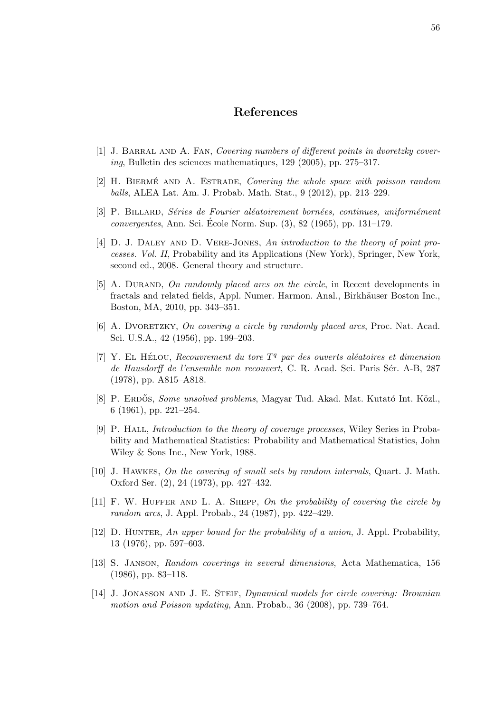### References

- [1] J. Barral and A. Fan, Covering numbers of different points in dvoretzky covering, Bulletin des sciences mathematiques, 129 (2005), pp. 275–317.
- $[2]$  H. BIERMÉ AND A. ESTRADE, *Covering the whole space with poisson random* balls, ALEA Lat. Am. J. Probab. Math. Stat., 9 (2012), pp. 213–229.
- [3] P. BILLARD, Séries de Fourier aléatoirement bornées, continues, uniformément  $convergentes, Ann. Sci. Ecole Norm. Sup. (3), 82 (1965), pp. 131–179.$
- [4] D. J. Daley and D. Vere-Jones, An introduction to the theory of point processes. Vol. II, Probability and its Applications (New York), Springer, New York, second ed., 2008. General theory and structure.
- [5] A. DURAND, On randomly placed arcs on the circle, in Recent developments in fractals and related fields, Appl. Numer. Harmon. Anal., Birkhäuser Boston Inc., Boston, MA, 2010, pp. 343–351.
- [6] A. DVORETZKY, On covering a circle by randomly placed arcs, Proc. Nat. Acad. Sci. U.S.A., 42 (1956), pp. 199–203.
- [7] Y. EL HÉLOU, Recouvrement du tore  $T<sup>q</sup>$  par des ouverts aléatoires et dimension de Hausdorff de l'ensemble non recouvert, C. R. Acad. Sci. Paris Sér. A-B, 287 (1978), pp. A815–A818.
- [8] P. ERDŐS, Some unsolved problems, Magyar Tud. Akad. Mat. Kutató Int. Közl., 6 (1961), pp. 221–254.
- [9] P. Hall, Introduction to the theory of coverage processes, Wiley Series in Probability and Mathematical Statistics: Probability and Mathematical Statistics, John Wiley & Sons Inc., New York, 1988.
- [10] J. Hawkes, On the covering of small sets by random intervals, Quart. J. Math. Oxford Ser. (2), 24 (1973), pp. 427–432.
- [11] F. W. Huffer and L. A. Shepp, On the probability of covering the circle by random arcs, J. Appl. Probab., 24 (1987), pp. 422–429.
- [12] D. HUNTER, An upper bound for the probability of a union, J. Appl. Probability, 13 (1976), pp. 597–603.
- [13] S. Janson, Random coverings in several dimensions, Acta Mathematica, 156 (1986), pp. 83–118.
- [14] J. JONASSON AND J. E. STEIF, Dynamical models for circle covering: Brownian motion and Poisson updating, Ann. Probab., 36 (2008), pp. 739–764.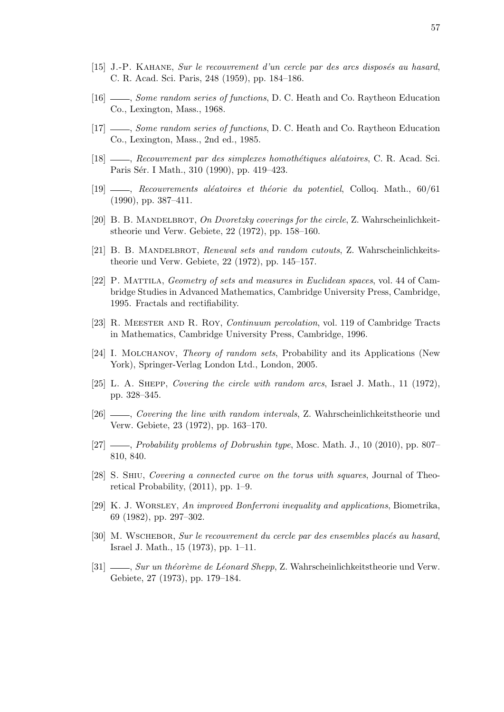- [15] J.-P. KAHANE, Sur le recouvrement d'un cercle par des arcs disposés au hasard, C. R. Acad. Sci. Paris, 248 (1959), pp. 184–186.
- [16]  $\_\_\_\_\_\$  Some random series of functions, D. C. Heath and Co. Raytheon Education Co., Lexington, Mass., 1968.
- [17]  $\_\_\_\_\_\_\_\_\_\_\_\_\.\$  Some random series of functions, D. C. Heath and Co. Raytheon Education Co., Lexington, Mass., 2nd ed., 1985.
- $[18]$  , Recouvrement par des simplexes homothétiques aléatoires, C. R. Acad. Sci. Paris Sér. I Math., 310 (1990), pp. 419–423.
- $[19]$  , Recouvrements aléatoires et théorie du potentiel, Colloq. Math., 60/61 (1990), pp. 387–411.
- [20] B. B. MANDELBROT, On Dvoretzky coverings for the circle, Z. Wahrscheinlichkeitstheorie und Verw. Gebiete, 22 (1972), pp. 158–160.
- [21] B. B. MANDELBROT, Renewal sets and random cutouts, Z. Wahrscheinlichkeitstheorie und Verw. Gebiete, 22 (1972), pp. 145–157.
- [22] P. Mattila, Geometry of sets and measures in Euclidean spaces, vol. 44 of Cambridge Studies in Advanced Mathematics, Cambridge University Press, Cambridge, 1995. Fractals and rectifiability.
- [23] R. Meester and R. Roy, Continuum percolation, vol. 119 of Cambridge Tracts in Mathematics, Cambridge University Press, Cambridge, 1996.
- [24] I. MOLCHANOV, *Theory of random sets*, Probability and its Applications (New York), Springer-Verlag London Ltd., London, 2005.
- [25] L. A. SHEPP, Covering the circle with random arcs, Israel J. Math., 11 (1972), pp. 328–345.
- [26] , Covering the line with random intervals, Z. Wahrscheinlichkeitstheorie und Verw. Gebiete, 23 (1972), pp. 163–170.
- [27]  $\_\_\_\_\_\$  Probability problems of Dobrushin type, Mosc. Math. J., 10 (2010), pp. 807– 810, 840.
- [28] S. Shiu, Covering a connected curve on the torus with squares, Journal of Theoretical Probability, (2011), pp. 1–9.
- [29] K. J. Worsley, An improved Bonferroni inequality and applications, Biometrika, 69 (1982), pp. 297–302.
- [30] M. WSCHEBOR, Sur le recouvrement du cercle par des ensembles placés au hasard, Israel J. Math., 15 (1973), pp. 1–11.
- [31]  $\_\_\_\_\_\_\_\_\_\_\_\_\_\_\_\_\_\_\.\$  Sur un théorème de Léonard Shepp, Z. Wahrscheinlichkeitstheorie und Verw. Gebiete, 27 (1973), pp. 179–184.